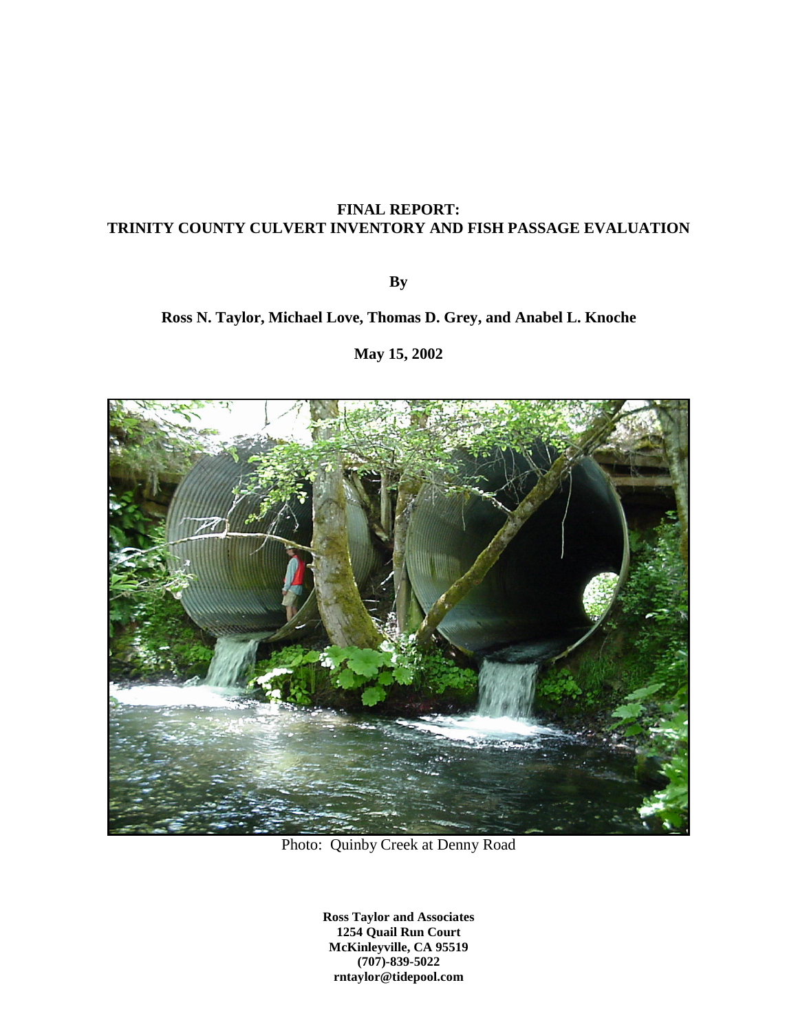## **FINAL REPORT: TRINITY COUNTY CULVERT INVENTORY AND FISH PASSAGE EVALUATION**

**By**

# **Ross N. Taylor, Michael Love, Thomas D. Grey, and Anabel L. Knoche**

**May 15, 2002**



Photo: Quinby Creek at Denny Road

**Ross Taylor and Associates 1254 Quail Run Court McKinleyville, CA 95519 (707)-839-5022 rntaylor@tidepool.com**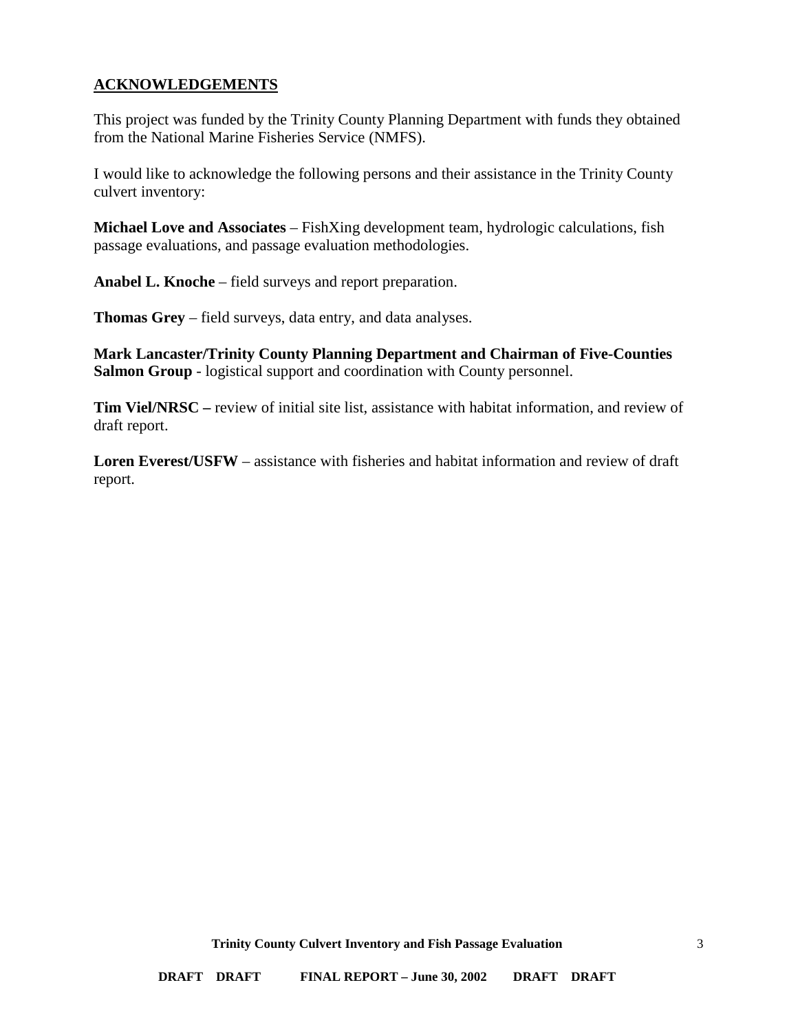### <span id="page-2-0"></span>**ACKNOWLEDGEMENTS**

This project was funded by the Trinity County Planning Department with funds they obtained from the National Marine Fisheries Service (NMFS).

I would like to acknowledge the following persons and their assistance in the Trinity County culvert inventory:

**Michael Love and Associates** – FishXing development team, hydrologic calculations, fish passage evaluations, and passage evaluation methodologies.

**Anabel L. Knoche** – field surveys and report preparation.

**Thomas Grey** – field surveys, data entry, and data analyses.

**Mark Lancaster/Trinity County Planning Department and Chairman of Five-Counties Salmon Group** - logistical support and coordination with County personnel.

**Tim Viel/NRSC –** review of initial site list, assistance with habitat information, and review of draft report.

**Loren Everest/USFW** – assistance with fisheries and habitat information and review of draft report.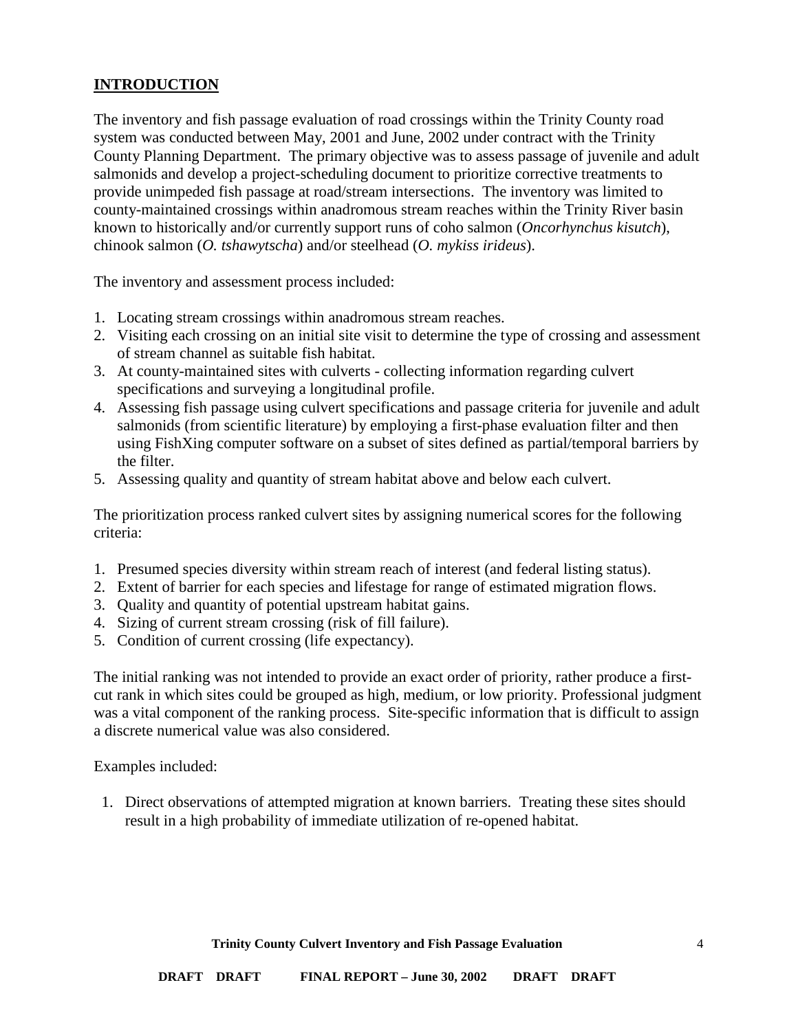## <span id="page-3-0"></span>**INTRODUCTION**

The inventory and fish passage evaluation of road crossings within the Trinity County road system was conducted between May, 2001 and June, 2002 under contract with the Trinity County Planning Department. The primary objective was to assess passage of juvenile and adult salmonids and develop a project-scheduling document to prioritize corrective treatments to provide unimpeded fish passage at road/stream intersections. The inventory was limited to county-maintained crossings within anadromous stream reaches within the Trinity River basin known to historically and/or currently support runs of coho salmon (*Oncorhynchus kisutch*), chinook salmon (*O. tshawytscha*) and/or steelhead (*O. mykiss irideus*).

The inventory and assessment process included:

- 1. Locating stream crossings within anadromous stream reaches.
- 2. Visiting each crossing on an initial site visit to determine the type of crossing and assessment of stream channel as suitable fish habitat.
- 3. At county-maintained sites with culverts collecting information regarding culvert specifications and surveying a longitudinal profile.
- 4. Assessing fish passage using culvert specifications and passage criteria for juvenile and adult salmonids (from scientific literature) by employing a first-phase evaluation filter and then using FishXing computer software on a subset of sites defined as partial/temporal barriers by the filter.
- 5. Assessing quality and quantity of stream habitat above and below each culvert.

The prioritization process ranked culvert sites by assigning numerical scores for the following criteria:

- 1. Presumed species diversity within stream reach of interest (and federal listing status).
- 2. Extent of barrier for each species and lifestage for range of estimated migration flows.
- 3. Quality and quantity of potential upstream habitat gains.
- 4. Sizing of current stream crossing (risk of fill failure).
- 5. Condition of current crossing (life expectancy).

The initial ranking was not intended to provide an exact order of priority, rather produce a firstcut rank in which sites could be grouped as high, medium, or low priority. Professional judgment was a vital component of the ranking process. Site-specific information that is difficult to assign a discrete numerical value was also considered.

Examples included:

1. Direct observations of attempted migration at known barriers. Treating these sites should result in a high probability of immediate utilization of re-opened habitat.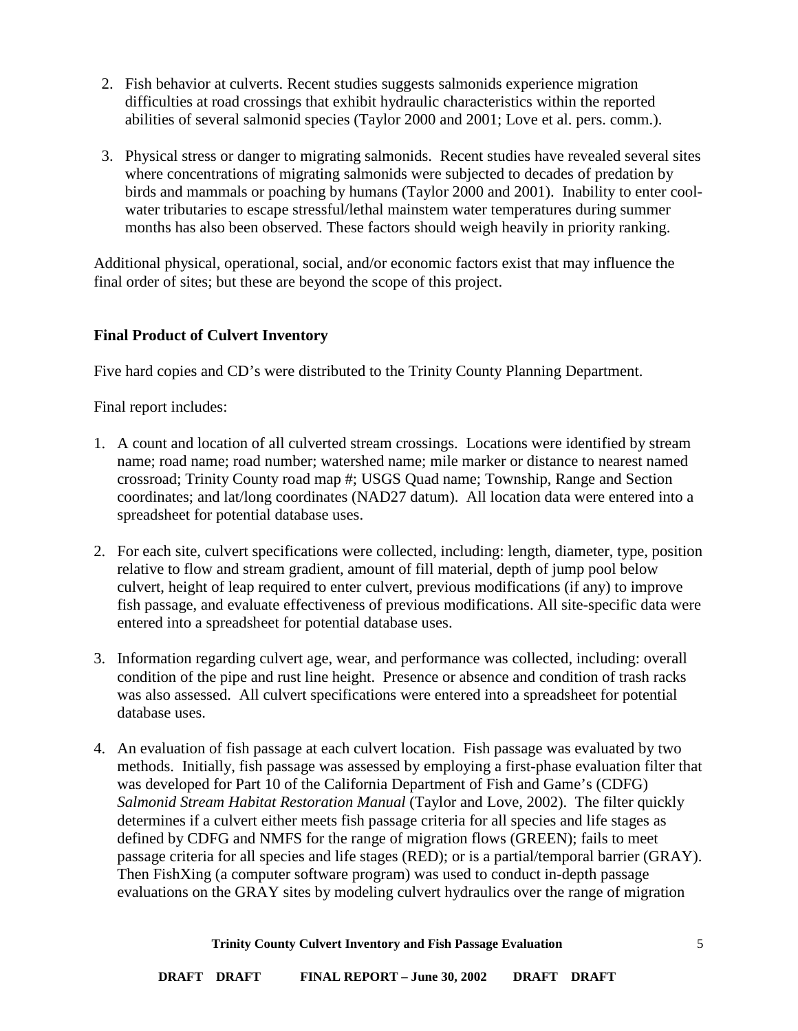- 2. Fish behavior at culverts. Recent studies suggests salmonids experience migration difficulties at road crossings that exhibit hydraulic characteristics within the reported abilities of several salmonid species (Taylor 2000 and 2001; Love et al. pers. comm.).
- 3. Physical stress or danger to migrating salmonids. Recent studies have revealed several sites where concentrations of migrating salmonids were subjected to decades of predation by birds and mammals or poaching by humans (Taylor 2000 and 2001). Inability to enter coolwater tributaries to escape stressful/lethal mainstem water temperatures during summer months has also been observed. These factors should weigh heavily in priority ranking.

Additional physical, operational, social, and/or economic factors exist that may influence the final order of sites; but these are beyond the scope of this project.

### <span id="page-4-0"></span>**Final Product of Culvert Inventory**

Five hard copies and CD's were distributed to the Trinity County Planning Department.

Final report includes:

- 1. A count and location of all culverted stream crossings. Locations were identified by stream name; road name; road number; watershed name; mile marker or distance to nearest named crossroad; Trinity County road map #; USGS Quad name; Township, Range and Section coordinates; and lat/long coordinates (NAD27 datum). All location data were entered into a spreadsheet for potential database uses.
- 2. For each site, culvert specifications were collected, including: length, diameter, type, position relative to flow and stream gradient, amount of fill material, depth of jump pool below culvert, height of leap required to enter culvert, previous modifications (if any) to improve fish passage, and evaluate effectiveness of previous modifications. All site-specific data were entered into a spreadsheet for potential database uses.
- 3. Information regarding culvert age, wear, and performance was collected, including: overall condition of the pipe and rust line height. Presence or absence and condition of trash racks was also assessed. All culvert specifications were entered into a spreadsheet for potential database uses.
- 4. An evaluation of fish passage at each culvert location. Fish passage was evaluated by two methods. Initially, fish passage was assessed by employing a first-phase evaluation filter that was developed for Part 10 of the California Department of Fish and Game's (CDFG) *Salmonid Stream Habitat Restoration Manual* (Taylor and Love, 2002). The filter quickly determines if a culvert either meets fish passage criteria for all species and life stages as defined by CDFG and NMFS for the range of migration flows (GREEN); fails to meet passage criteria for all species and life stages (RED); or is a partial/temporal barrier (GRAY). Then FishXing (a computer software program) was used to conduct in-depth passage evaluations on the GRAY sites by modeling culvert hydraulics over the range of migration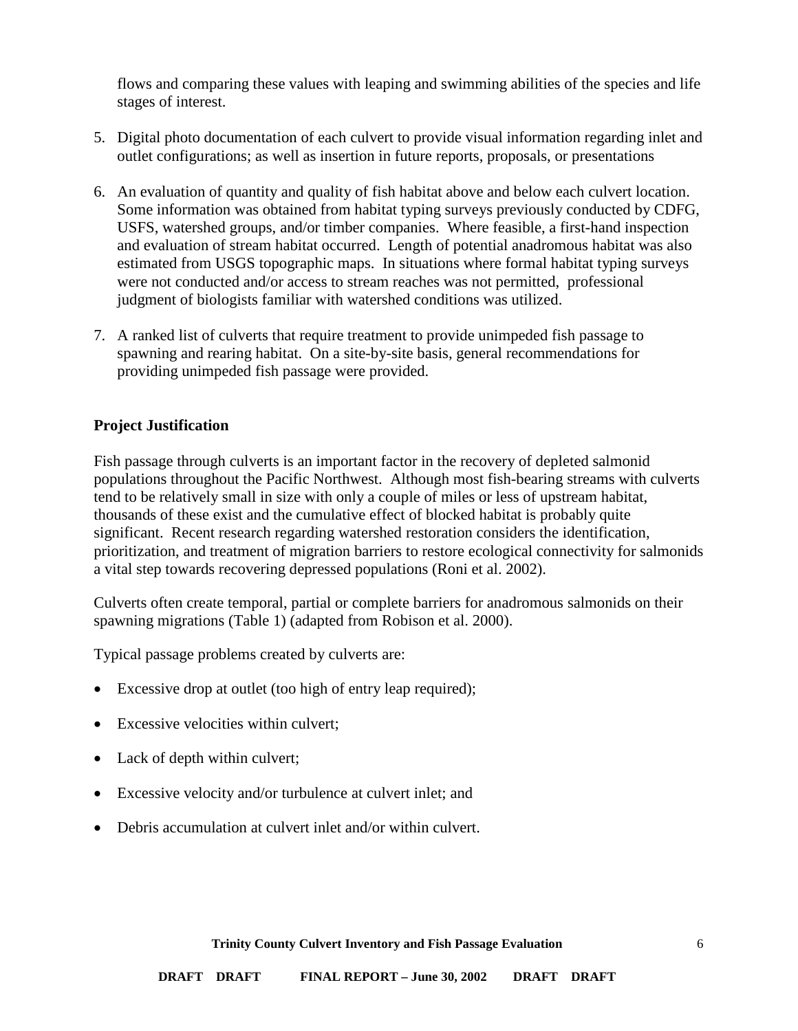flows and comparing these values with leaping and swimming abilities of the species and life stages of interest.

- 5. Digital photo documentation of each culvert to provide visual information regarding inlet and outlet configurations; as well as insertion in future reports, proposals, or presentations
- 6. An evaluation of quantity and quality of fish habitat above and below each culvert location. Some information was obtained from habitat typing surveys previously conducted by CDFG, USFS, watershed groups, and/or timber companies. Where feasible, a first-hand inspection and evaluation of stream habitat occurred. Length of potential anadromous habitat was also estimated from USGS topographic maps. In situations where formal habitat typing surveys were not conducted and/or access to stream reaches was not permitted, professional judgment of biologists familiar with watershed conditions was utilized.
- 7. A ranked list of culverts that require treatment to provide unimpeded fish passage to spawning and rearing habitat. On a site-by-site basis, general recommendations for providing unimpeded fish passage were provided.

### <span id="page-5-0"></span>**Project Justification**

Fish passage through culverts is an important factor in the recovery of depleted salmonid populations throughout the Pacific Northwest. Although most fish-bearing streams with culverts tend to be relatively small in size with only a couple of miles or less of upstream habitat, thousands of these exist and the cumulative effect of blocked habitat is probably quite significant. Recent research regarding watershed restoration considers the identification, prioritization, and treatment of migration barriers to restore ecological connectivity for salmonids a vital step towards recovering depressed populations (Roni et al. 2002).

Culverts often create temporal, partial or complete barriers for anadromous salmonids on their spawning migrations (Table 1) (adapted from Robison et al. 2000).

Typical passage problems created by culverts are:

- Excessive drop at outlet (too high of entry leap required);
- Excessive velocities within culvert;
- Lack of depth within culvert;
- Excessive velocity and/or turbulence at culvert inlet; and
- Debris accumulation at culvert inlet and/or within culvert.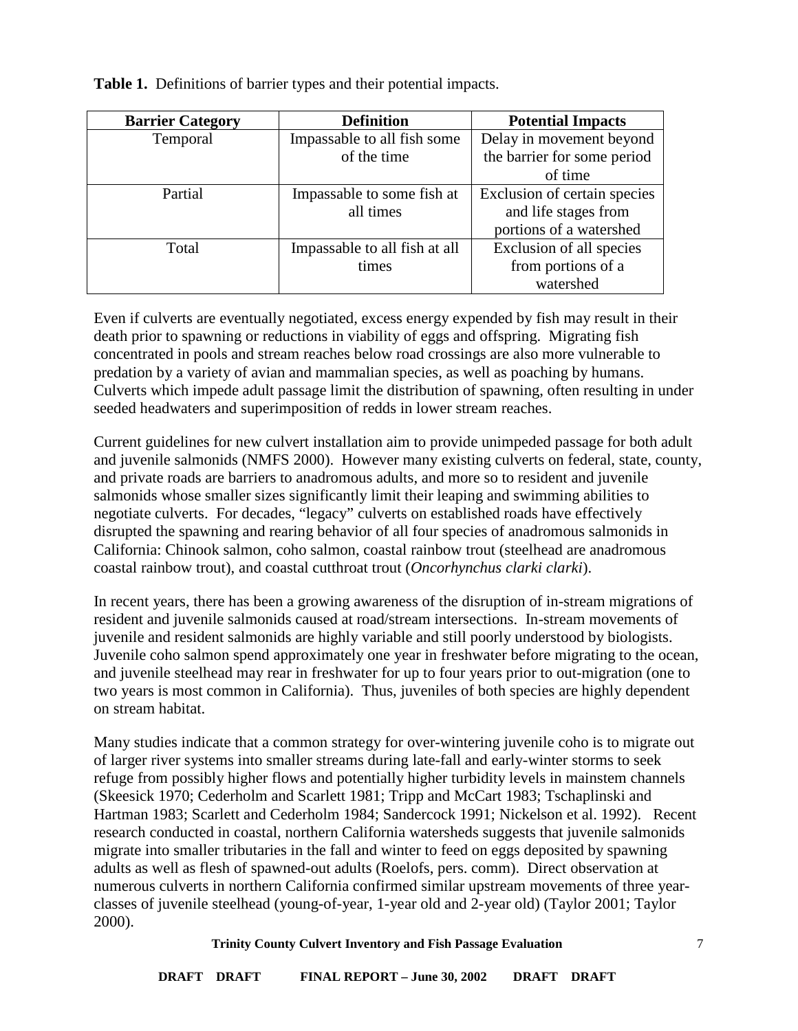| <b>Barrier Category</b> | <b>Definition</b>             | <b>Potential Impacts</b>     |
|-------------------------|-------------------------------|------------------------------|
| Temporal                | Impassable to all fish some   | Delay in movement beyond     |
|                         | of the time                   | the barrier for some period  |
|                         |                               | of time                      |
| Partial                 | Impassable to some fish at    | Exclusion of certain species |
|                         | all times                     | and life stages from         |
|                         |                               | portions of a watershed      |
| Total                   | Impassable to all fish at all | Exclusion of all species     |
|                         | times                         | from portions of a           |
|                         |                               | watershed                    |

**Table 1.** Definitions of barrier types and their potential impacts.

Even if culverts are eventually negotiated, excess energy expended by fish may result in their death prior to spawning or reductions in viability of eggs and offspring. Migrating fish concentrated in pools and stream reaches below road crossings are also more vulnerable to predation by a variety of avian and mammalian species, as well as poaching by humans. Culverts which impede adult passage limit the distribution of spawning, often resulting in under seeded headwaters and superimposition of redds in lower stream reaches.

Current guidelines for new culvert installation aim to provide unimpeded passage for both adult and juvenile salmonids (NMFS 2000). However many existing culverts on federal, state, county, and private roads are barriers to anadromous adults, and more so to resident and juvenile salmonids whose smaller sizes significantly limit their leaping and swimming abilities to negotiate culverts. For decades, "legacy" culverts on established roads have effectively disrupted the spawning and rearing behavior of all four species of anadromous salmonids in California: Chinook salmon, coho salmon, coastal rainbow trout (steelhead are anadromous coastal rainbow trout), and coastal cutthroat trout (*Oncorhynchus clarki clarki*).

In recent years, there has been a growing awareness of the disruption of in-stream migrations of resident and juvenile salmonids caused at road/stream intersections. In-stream movements of juvenile and resident salmonids are highly variable and still poorly understood by biologists. Juvenile coho salmon spend approximately one year in freshwater before migrating to the ocean, and juvenile steelhead may rear in freshwater for up to four years prior to out-migration (one to two years is most common in California). Thus, juveniles of both species are highly dependent on stream habitat.

Many studies indicate that a common strategy for over-wintering juvenile coho is to migrate out of larger river systems into smaller streams during late-fall and early-winter storms to seek refuge from possibly higher flows and potentially higher turbidity levels in mainstem channels (Skeesick 1970; Cederholm and Scarlett 1981; Tripp and McCart 1983; Tschaplinski and Hartman 1983; Scarlett and Cederholm 1984; Sandercock 1991; Nickelson et al. 1992). Recent research conducted in coastal, northern California watersheds suggests that juvenile salmonids migrate into smaller tributaries in the fall and winter to feed on eggs deposited by spawning adults as well as flesh of spawned-out adults (Roelofs, pers. comm). Direct observation at numerous culverts in northern California confirmed similar upstream movements of three yearclasses of juvenile steelhead (young-of-year, 1-year old and 2-year old) (Taylor 2001; Taylor 2000).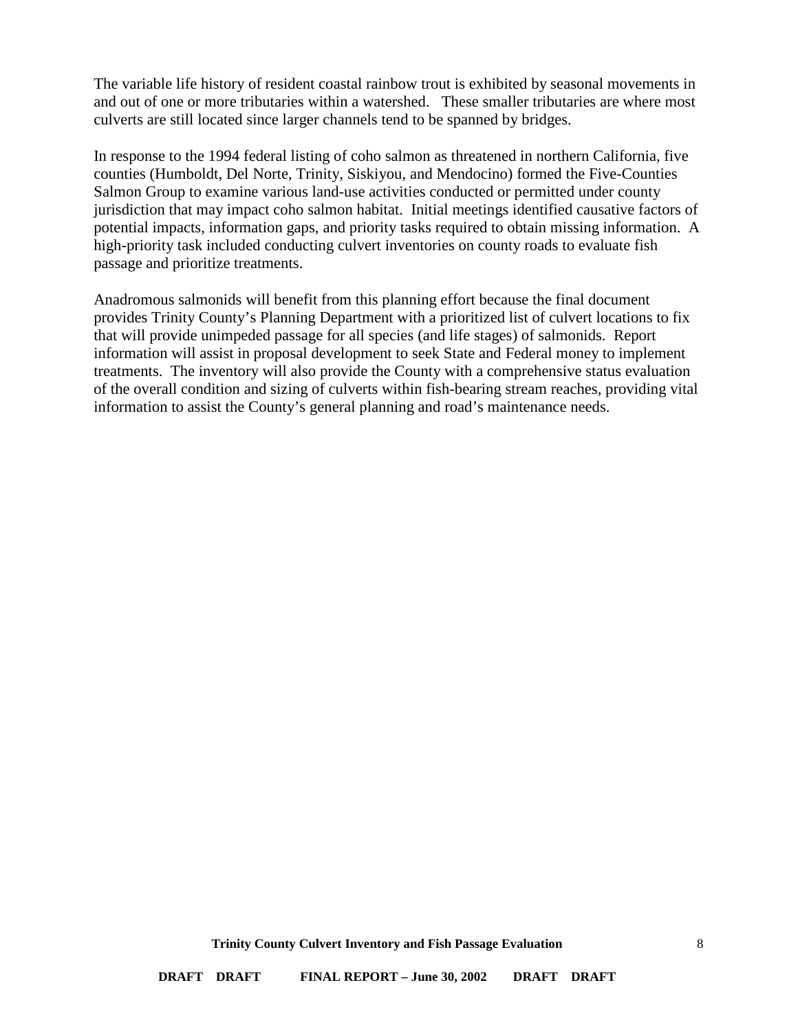The variable life history of resident coastal rainbow trout is exhibited by seasonal movements in and out of one or more tributaries within a watershed. These smaller tributaries are where most culverts are still located since larger channels tend to be spanned by bridges.

In response to the 1994 federal listing of coho salmon as threatened in northern California, five counties (Humboldt, Del Norte, Trinity, Siskiyou, and Mendocino) formed the Five-Counties Salmon Group to examine various land-use activities conducted or permitted under county jurisdiction that may impact coho salmon habitat. Initial meetings identified causative factors of potential impacts, information gaps, and priority tasks required to obtain missing information. A high-priority task included conducting culvert inventories on county roads to evaluate fish passage and prioritize treatments.

Anadromous salmonids will benefit from this planning effort because the final document provides Trinity County's Planning Department with a prioritized list of culvert locations to fix that will provide unimpeded passage for all species (and life stages) of salmonids. Report information will assist in proposal development to seek State and Federal money to implement treatments. The inventory will also provide the County with a comprehensive status evaluation of the overall condition and sizing of culverts within fish-bearing stream reaches, providing vital information to assist the County's general planning and road's maintenance needs.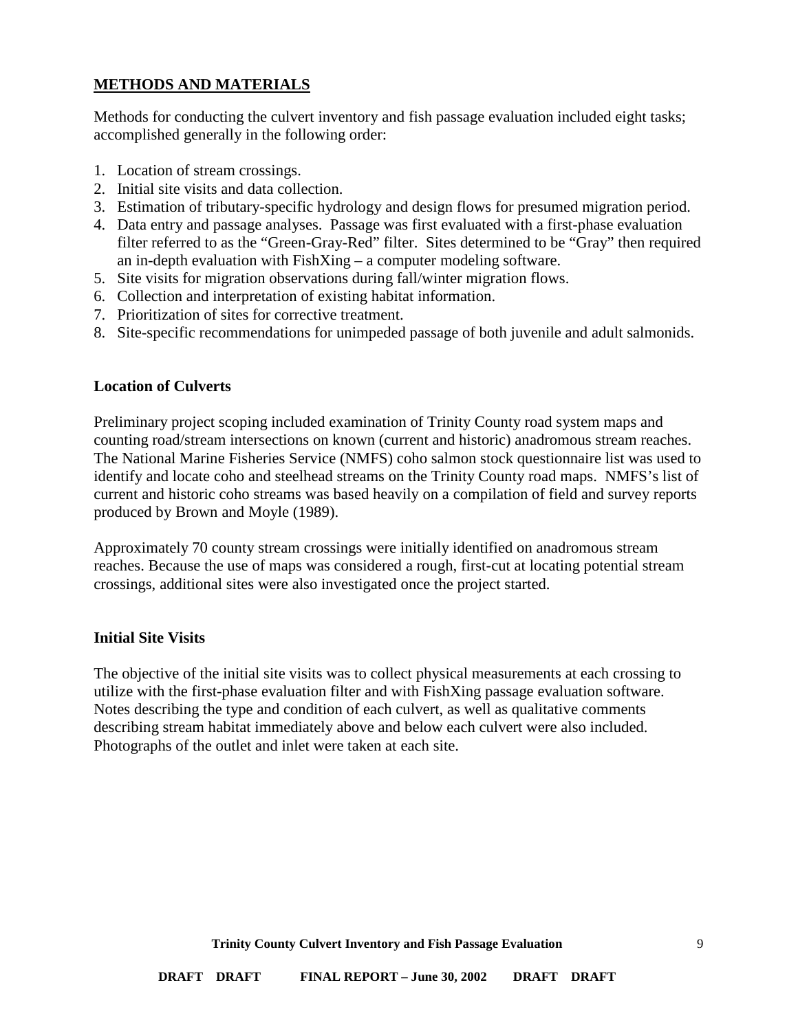### <span id="page-8-0"></span>**METHODS AND MATERIALS**

Methods for conducting the culvert inventory and fish passage evaluation included eight tasks; accomplished generally in the following order:

- 1. Location of stream crossings.
- 2. Initial site visits and data collection.
- 3. Estimation of tributary-specific hydrology and design flows for presumed migration period.
- 4. Data entry and passage analyses. Passage was first evaluated with a first-phase evaluation filter referred to as the "Green-Gray-Red" filter. Sites determined to be "Gray" then required an in-depth evaluation with FishXing – a computer modeling software.
- 5. Site visits for migration observations during fall/winter migration flows.
- 6. Collection and interpretation of existing habitat information.
- 7. Prioritization of sites for corrective treatment.
- 8. Site-specific recommendations for unimpeded passage of both juvenile and adult salmonids.

### <span id="page-8-1"></span>**Location of Culverts**

Preliminary project scoping included examination of Trinity County road system maps and counting road/stream intersections on known (current and historic) anadromous stream reaches. The National Marine Fisheries Service (NMFS) coho salmon stock questionnaire list was used to identify and locate coho and steelhead streams on the Trinity County road maps. NMFS's list of current and historic coho streams was based heavily on a compilation of field and survey reports produced by Brown and Moyle (1989).

Approximately 70 county stream crossings were initially identified on anadromous stream reaches. Because the use of maps was considered a rough, first-cut at locating potential stream crossings, additional sites were also investigated once the project started.

#### <span id="page-8-2"></span>**Initial Site Visits**

The objective of the initial site visits was to collect physical measurements at each crossing to utilize with the first-phase evaluation filter and with FishXing passage evaluation software. Notes describing the type and condition of each culvert, as well as qualitative comments describing stream habitat immediately above and below each culvert were also included. Photographs of the outlet and inlet were taken at each site.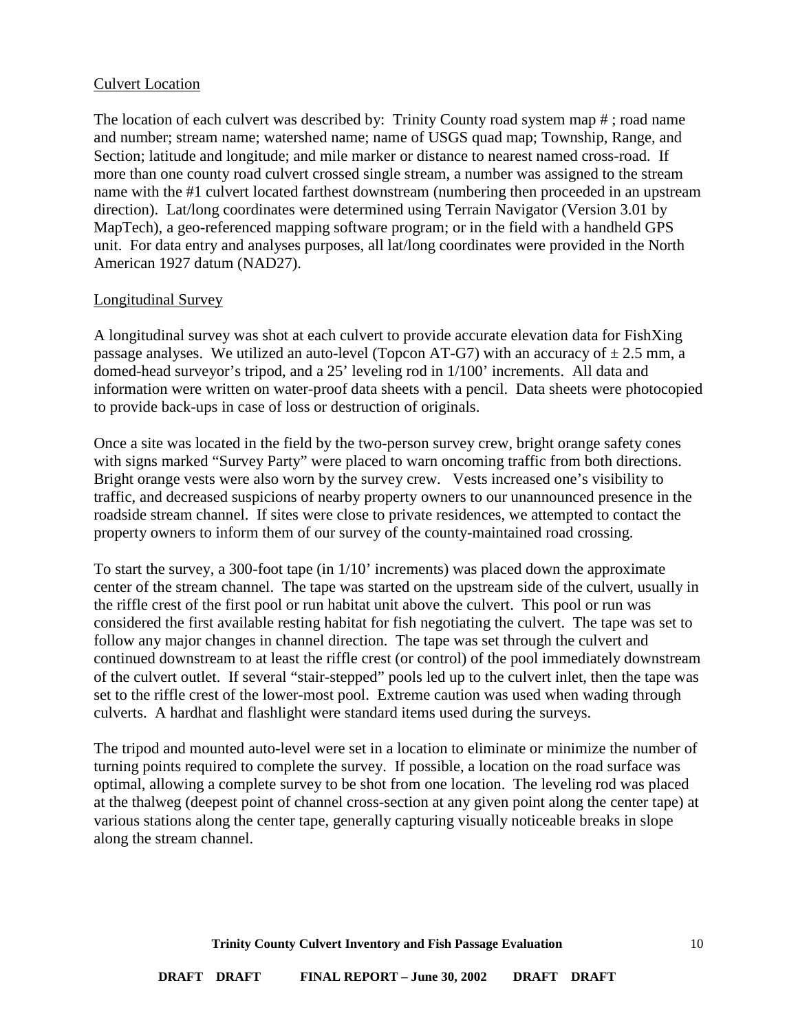### <span id="page-9-0"></span>Culvert Location

The location of each culvert was described by: Trinity County road system map # ; road name and number; stream name; watershed name; name of USGS quad map; Township, Range, and Section; latitude and longitude; and mile marker or distance to nearest named cross-road. If more than one county road culvert crossed single stream, a number was assigned to the stream name with the #1 culvert located farthest downstream (numbering then proceeded in an upstream direction). Lat/long coordinates were determined using Terrain Navigator (Version 3.01 by MapTech), a geo-referenced mapping software program; or in the field with a handheld GPS unit. For data entry and analyses purposes, all lat/long coordinates were provided in the North American 1927 datum (NAD27).

#### <span id="page-9-1"></span>Longitudinal Survey

A longitudinal survey was shot at each culvert to provide accurate elevation data for FishXing passage analyses. We utilized an auto-level (Topcon AT-G7) with an accuracy of  $\pm 2.5$  mm, a domed-head surveyor's tripod, and a 25' leveling rod in 1/100' increments. All data and information were written on water-proof data sheets with a pencil. Data sheets were photocopied to provide back-ups in case of loss or destruction of originals.

Once a site was located in the field by the two-person survey crew, bright orange safety cones with signs marked "Survey Party" were placed to warn oncoming traffic from both directions. Bright orange vests were also worn by the survey crew. Vests increased one's visibility to traffic, and decreased suspicions of nearby property owners to our unannounced presence in the roadside stream channel. If sites were close to private residences, we attempted to contact the property owners to inform them of our survey of the county-maintained road crossing.

To start the survey, a 300-foot tape (in 1/10' increments) was placed down the approximate center of the stream channel. The tape was started on the upstream side of the culvert, usually in the riffle crest of the first pool or run habitat unit above the culvert. This pool or run was considered the first available resting habitat for fish negotiating the culvert. The tape was set to follow any major changes in channel direction. The tape was set through the culvert and continued downstream to at least the riffle crest (or control) of the pool immediately downstream of the culvert outlet. If several "stair-stepped" pools led up to the culvert inlet, then the tape was set to the riffle crest of the lower-most pool. Extreme caution was used when wading through culverts. A hardhat and flashlight were standard items used during the surveys.

The tripod and mounted auto-level were set in a location to eliminate or minimize the number of turning points required to complete the survey. If possible, a location on the road surface was optimal, allowing a complete survey to be shot from one location. The leveling rod was placed at the thalweg (deepest point of channel cross-section at any given point along the center tape) at various stations along the center tape, generally capturing visually noticeable breaks in slope along the stream channel.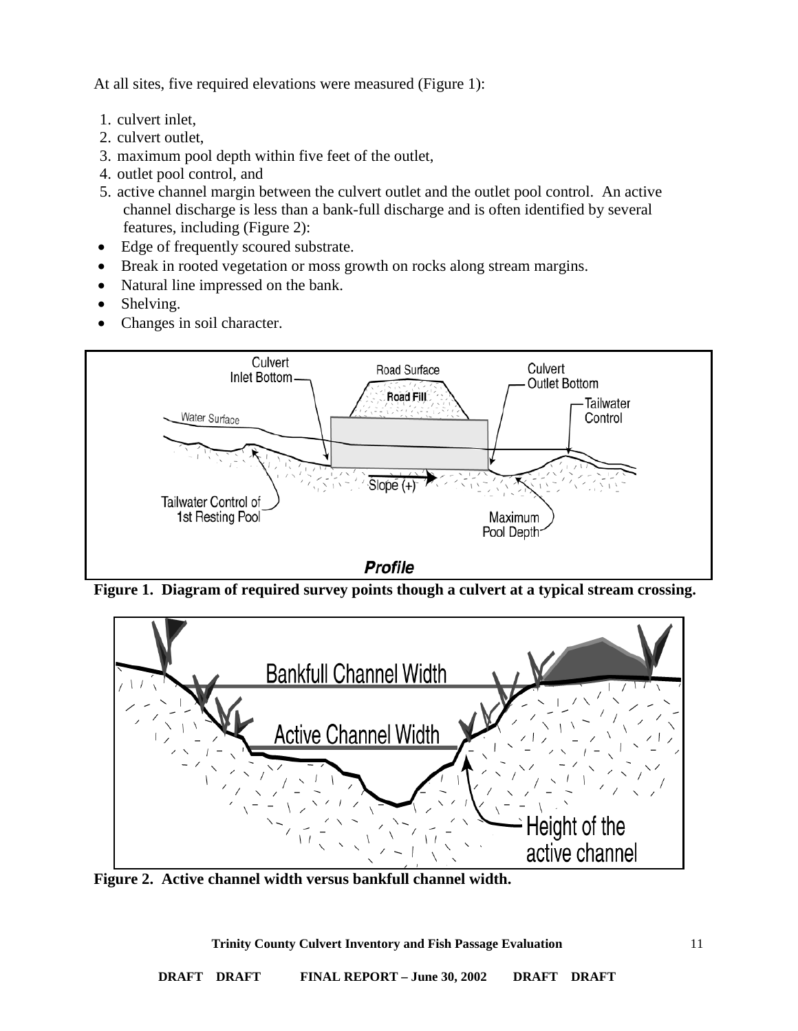At all sites, five required elevations were measured (Figure 1):

- 1. culvert inlet,
- 2. culvert outlet,
- 3. maximum pool depth within five feet of the outlet,
- 4. outlet pool control, and
- 5. active channel margin between the culvert outlet and the outlet pool control. An active channel discharge is less than a bank-full discharge and is often identified by several features, including (Figure 2):
- Edge of frequently scoured substrate.
- Break in rooted vegetation or moss growth on rocks along stream margins.
- Natural line impressed on the bank.
- Shelving.
- Changes in soil character.



**Figure 1. Diagram of required survey points though a culvert at a typical stream crossing.**



**Figure 2. Active channel width versus bankfull channel width.**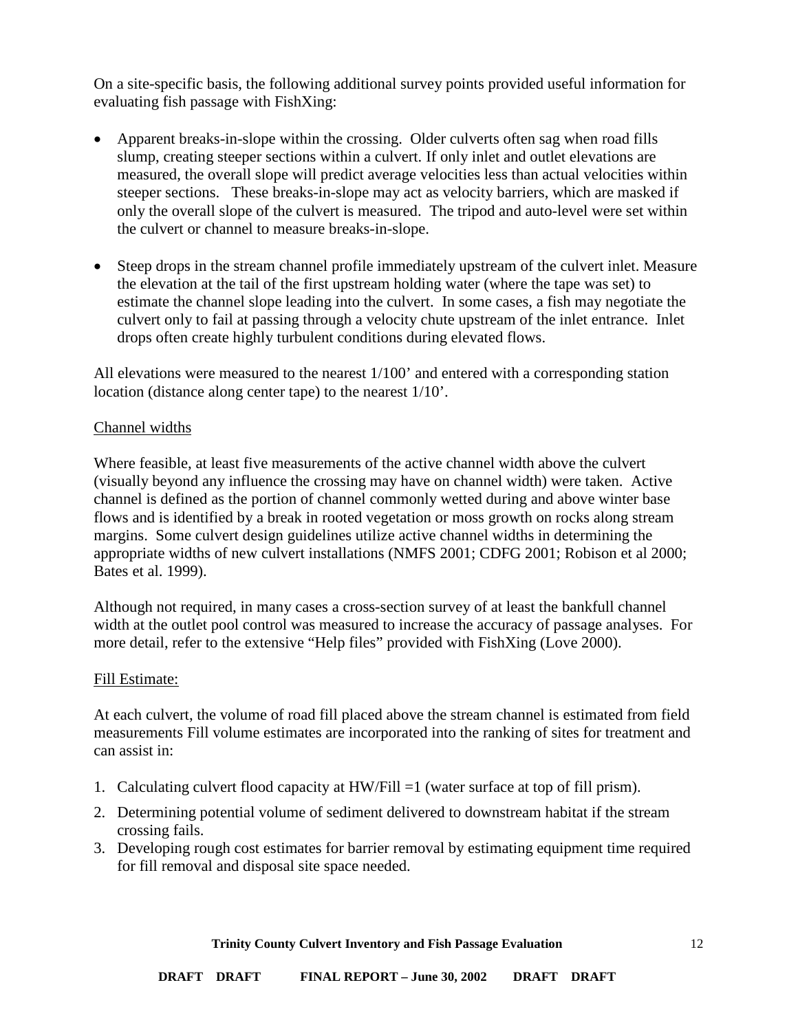On a site-specific basis, the following additional survey points provided useful information for evaluating fish passage with FishXing:

- Apparent breaks-in-slope within the crossing. Older culverts often sag when road fills slump, creating steeper sections within a culvert. If only inlet and outlet elevations are measured, the overall slope will predict average velocities less than actual velocities within steeper sections. These breaks-in-slope may act as velocity barriers, which are masked if only the overall slope of the culvert is measured. The tripod and auto-level were set within the culvert or channel to measure breaks-in-slope.
- Steep drops in the stream channel profile immediately upstream of the culvert inlet. Measure the elevation at the tail of the first upstream holding water (where the tape was set) to estimate the channel slope leading into the culvert. In some cases, a fish may negotiate the culvert only to fail at passing through a velocity chute upstream of the inlet entrance. Inlet drops often create highly turbulent conditions during elevated flows.

All elevations were measured to the nearest 1/100' and entered with a corresponding station location (distance along center tape) to the nearest 1/10'.

### <span id="page-11-0"></span>Channel widths

Where feasible, at least five measurements of the active channel width above the culvert (visually beyond any influence the crossing may have on channel width) were taken. Active channel is defined as the portion of channel commonly wetted during and above winter base flows and is identified by a break in rooted vegetation or moss growth on rocks along stream margins. Some culvert design guidelines utilize active channel widths in determining the appropriate widths of new culvert installations (NMFS 2001; CDFG 2001; Robison et al 2000; Bates et al. 1999).

Although not required, in many cases a cross-section survey of at least the bankfull channel width at the outlet pool control was measured to increase the accuracy of passage analyses. For more detail, refer to the extensive "Help files" provided with FishXing (Love 2000).

#### <span id="page-11-1"></span>Fill Estimate:

At each culvert, the volume of road fill placed above the stream channel is estimated from field measurements Fill volume estimates are incorporated into the ranking of sites for treatment and can assist in:

- 1. Calculating culvert flood capacity at HW/Fill =1 (water surface at top of fill prism).
- 2. Determining potential volume of sediment delivered to downstream habitat if the stream crossing fails.
- 3. Developing rough cost estimates for barrier removal by estimating equipment time required for fill removal and disposal site space needed.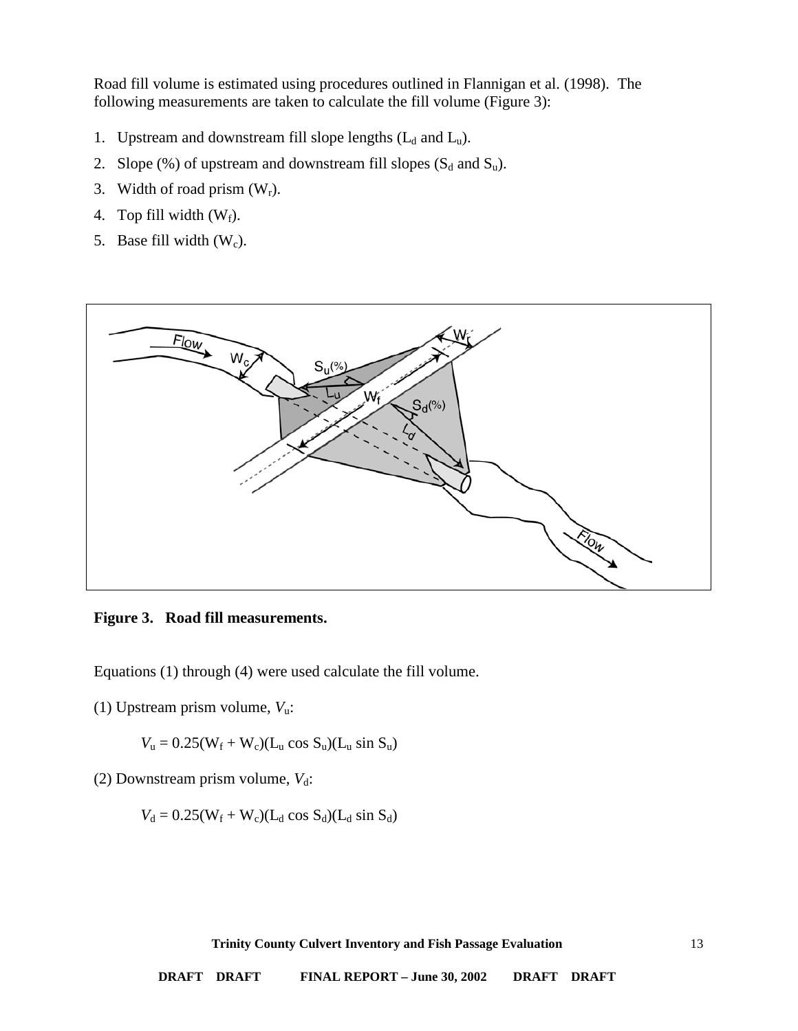Road fill volume is estimated using procedures outlined in Flannigan et al. (1998). The following measurements are taken to calculate the fill volume (Figure 3):

- 1. Upstream and downstream fill slope lengths  $(L_d$  and  $L_u$ ).
- 2. Slope  $(\%)$  of upstream and downstream fill slopes  $(S_d$  and  $S_u$ ).
- 3. Width of road prism  $(W_r)$ .
- 4. Top fill width  $(W_f)$ .
- 5. Base fill width  $(W_c)$ .



**Figure 3. Road fill measurements.**

Equations (1) through (4) were used calculate the fill volume.

(1) Upstream prism volume, *V*u:

$$
V_{u} = 0.25(W_{f} + W_{c})(L_{u} \cos S_{u})(L_{u} \sin S_{u})
$$

(2) Downstream prism volume,  $V_d$ :

$$
V_d = 0.25(W_f + W_c)(L_d \cos S_d)(L_d \sin S_d)
$$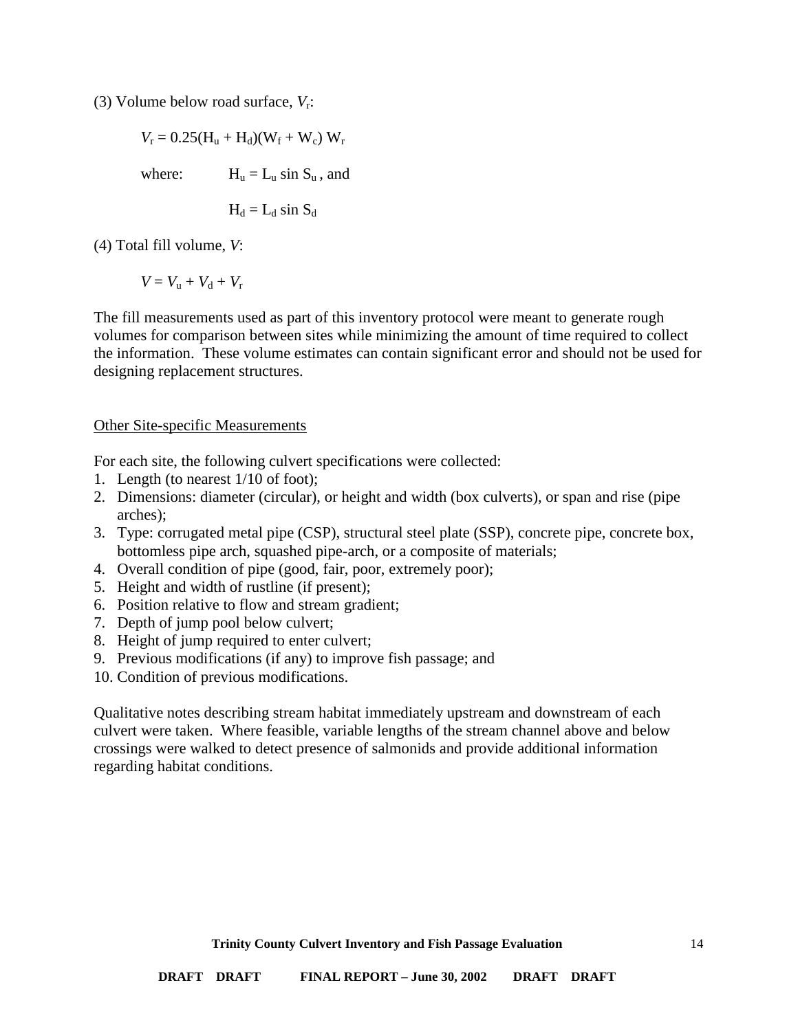(3) Volume below road surface, *V*r:

$$
V_r = 0.25(H_u + H_d)(W_f + W_c) W_r
$$
  
where:  

$$
H_u = L_u \sin S_u, \text{ and}
$$

$$
H_d = L_d \sin S_d
$$

(4) Total fill volume, *V*:

$$
V = V_{\rm u} + V_{\rm d} + V_{\rm r}
$$

The fill measurements used as part of this inventory protocol were meant to generate rough volumes for comparison between sites while minimizing the amount of time required to collect the information. These volume estimates can contain significant error and should not be used for designing replacement structures.

#### <span id="page-13-0"></span>Other Site-specific Measurements

For each site, the following culvert specifications were collected:

- 1. Length (to nearest 1/10 of foot);
- 2. Dimensions: diameter (circular), or height and width (box culverts), or span and rise (pipe arches);
- 3. Type: corrugated metal pipe (CSP), structural steel plate (SSP), concrete pipe, concrete box, bottomless pipe arch, squashed pipe-arch, or a composite of materials;
- 4. Overall condition of pipe (good, fair, poor, extremely poor);
- 5. Height and width of rustline (if present);
- 6. Position relative to flow and stream gradient;
- 7. Depth of jump pool below culvert;
- 8. Height of jump required to enter culvert;
- 9. Previous modifications (if any) to improve fish passage; and
- 10. Condition of previous modifications.

Qualitative notes describing stream habitat immediately upstream and downstream of each culvert were taken. Where feasible, variable lengths of the stream channel above and below crossings were walked to detect presence of salmonids and provide additional information regarding habitat conditions.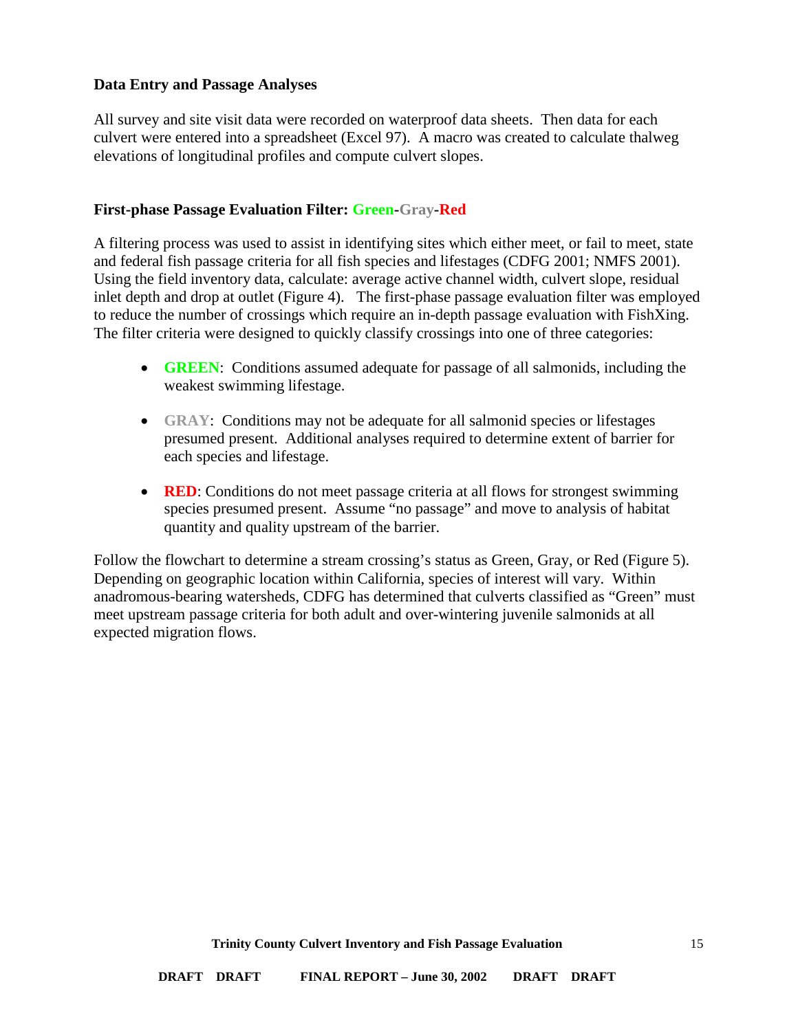### <span id="page-14-0"></span>**Data Entry and Passage Analyses**

All survey and site visit data were recorded on waterproof data sheets. Then data for each culvert were entered into a spreadsheet (Excel 97). A macro was created to calculate thalweg elevations of longitudinal profiles and compute culvert slopes.

#### <span id="page-14-1"></span>**First-phase Passage Evaluation Filter: Green-Gray-Red**

A filtering process was used to assist in identifying sites which either meet, or fail to meet, state and federal fish passage criteria for all fish species and lifestages (CDFG 2001; NMFS 2001). Using the field inventory data, calculate: average active channel width, culvert slope, residual inlet depth and drop at outlet (Figure 4). The first-phase passage evaluation filter was employed to reduce the number of crossings which require an in-depth passage evaluation with FishXing. The filter criteria were designed to quickly classify crossings into one of three categories:

- **GREEN:** Conditions assumed adequate for passage of all salmonids, including the weakest swimming lifestage.
- **GRAY:** Conditions may not be adequate for all salmonid species or lifestages presumed present. Additional analyses required to determine extent of barrier for each species and lifestage.
- **RED**: Conditions do not meet passage criteria at all flows for strongest swimming species presumed present. Assume "no passage" and move to analysis of habitat quantity and quality upstream of the barrier.

Follow the flowchart to determine a stream crossing's status as Green, Gray, or Red (Figure 5). Depending on geographic location within California, species of interest will vary. Within anadromous-bearing watersheds, CDFG has determined that culverts classified as "Green" must meet upstream passage criteria for both adult and over-wintering juvenile salmonids at all expected migration flows.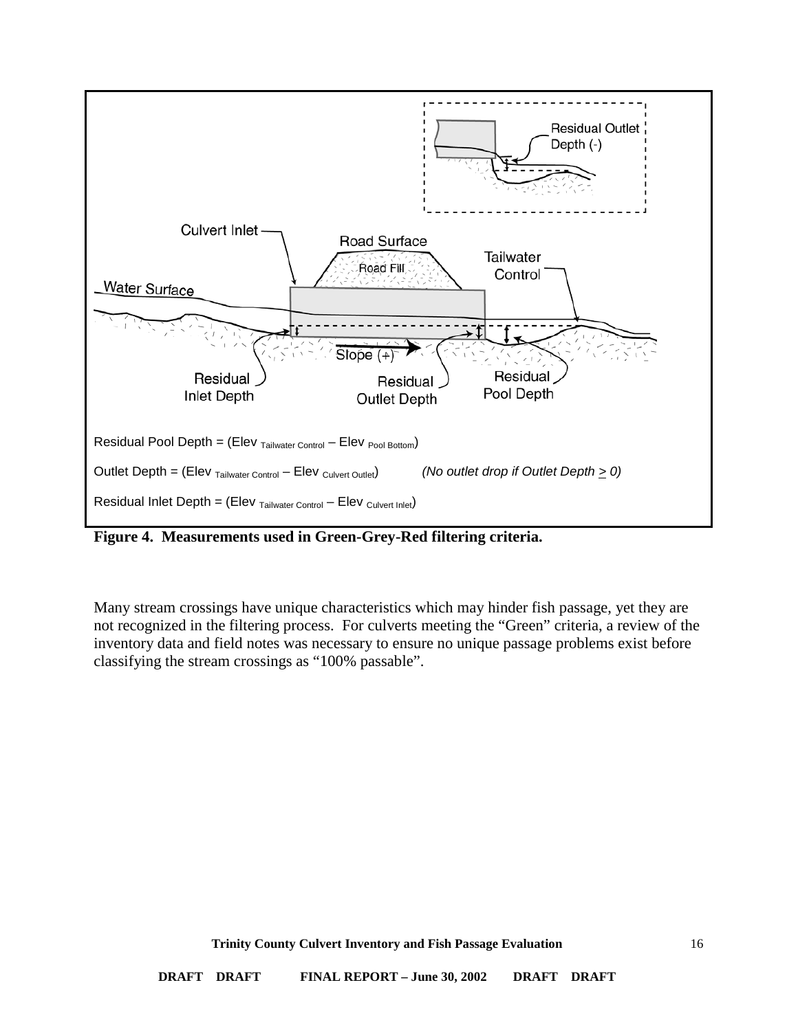

**Figure 4. Measurements used in Green-Grey-Red filtering criteria.** 

Many stream crossings have unique characteristics which may hinder fish passage, yet they are not recognized in the filtering process. For culverts meeting the "Green" criteria, a review of the inventory data and field notes was necessary to ensure no unique passage problems exist before classifying the stream crossings as "100% passable".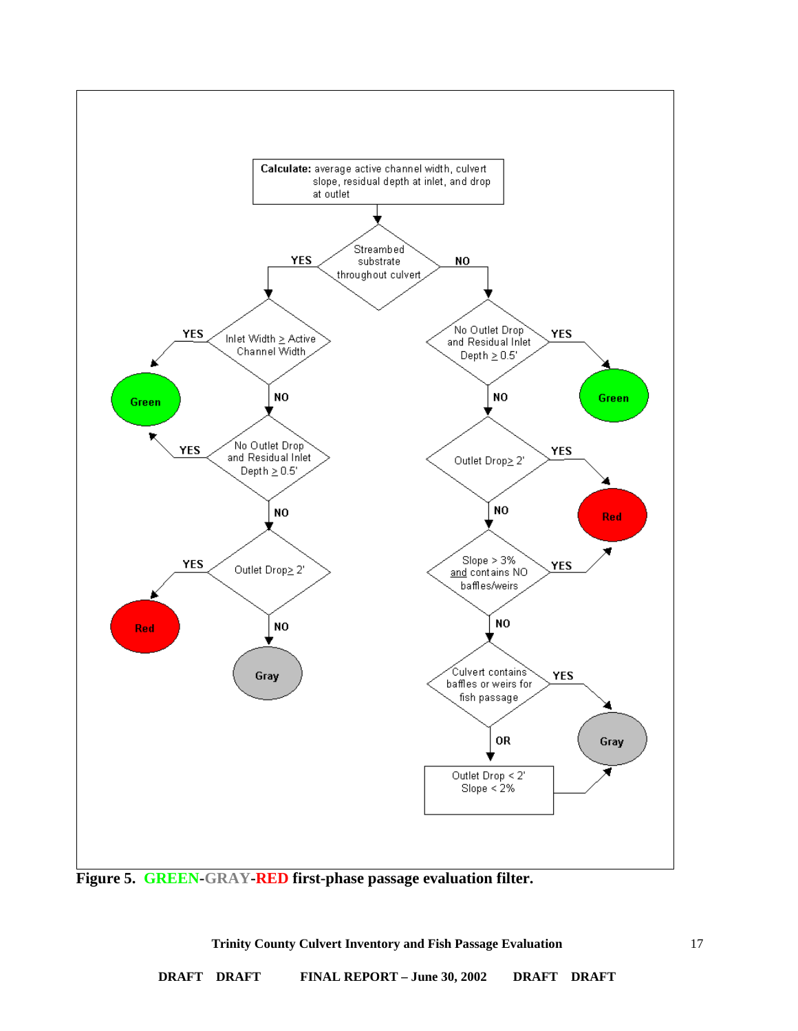

**Trinity County Culvert Inventory and Fish Passage Evaluation**

17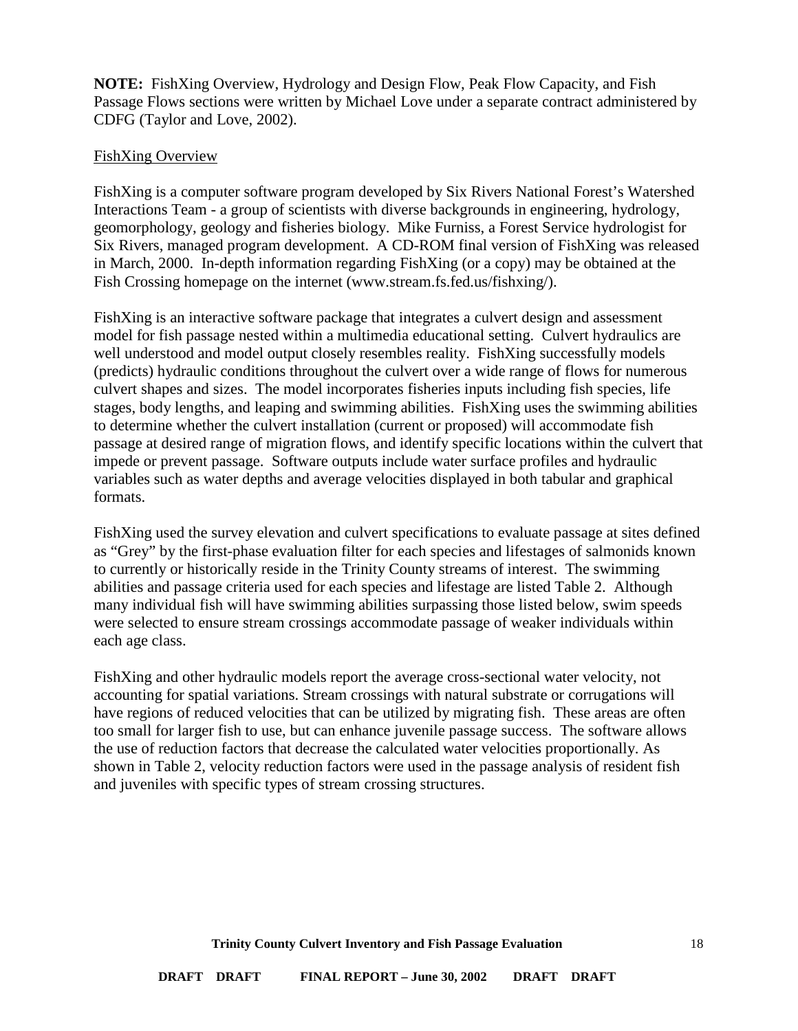**NOTE:** FishXing Overview, Hydrology and Design Flow, Peak Flow Capacity, and Fish Passage Flows sections were written by Michael Love under a separate contract administered by CDFG (Taylor and Love, 2002).

### <span id="page-17-0"></span>FishXing Overview

FishXing is a computer software program developed by Six Rivers National Forest's Watershed Interactions Team - a group of scientists with diverse backgrounds in engineering, hydrology, geomorphology, geology and fisheries biology. Mike Furniss, a Forest Service hydrologist for Six Rivers, managed program development. A CD-ROM final version of FishXing was released in March, 2000. In-depth information regarding FishXing (or a copy) may be obtained at the Fish Crossing homepage on the internet (www.stream.fs.fed.us/fishxing/).

FishXing is an interactive software package that integrates a culvert design and assessment model for fish passage nested within a multimedia educational setting. Culvert hydraulics are well understood and model output closely resembles reality. FishXing successfully models (predicts) hydraulic conditions throughout the culvert over a wide range of flows for numerous culvert shapes and sizes. The model incorporates fisheries inputs including fish species, life stages, body lengths, and leaping and swimming abilities. FishXing uses the swimming abilities to determine whether the culvert installation (current or proposed) will accommodate fish passage at desired range of migration flows, and identify specific locations within the culvert that impede or prevent passage. Software outputs include water surface profiles and hydraulic variables such as water depths and average velocities displayed in both tabular and graphical formats.

FishXing used the survey elevation and culvert specifications to evaluate passage at sites defined as "Grey" by the first-phase evaluation filter for each species and lifestages of salmonids known to currently or historically reside in the Trinity County streams of interest. The swimming abilities and passage criteria used for each species and lifestage are listed Table 2. Although many individual fish will have swimming abilities surpassing those listed below, swim speeds were selected to ensure stream crossings accommodate passage of weaker individuals within each age class.

FishXing and other hydraulic models report the average cross-sectional water velocity, not accounting for spatial variations. Stream crossings with natural substrate or corrugations will have regions of reduced velocities that can be utilized by migrating fish. These areas are often too small for larger fish to use, but can enhance juvenile passage success. The software allows the use of reduction factors that decrease the calculated water velocities proportionally. As shown in Table 2, velocity reduction factors were used in the passage analysis of resident fish and juveniles with specific types of stream crossing structures.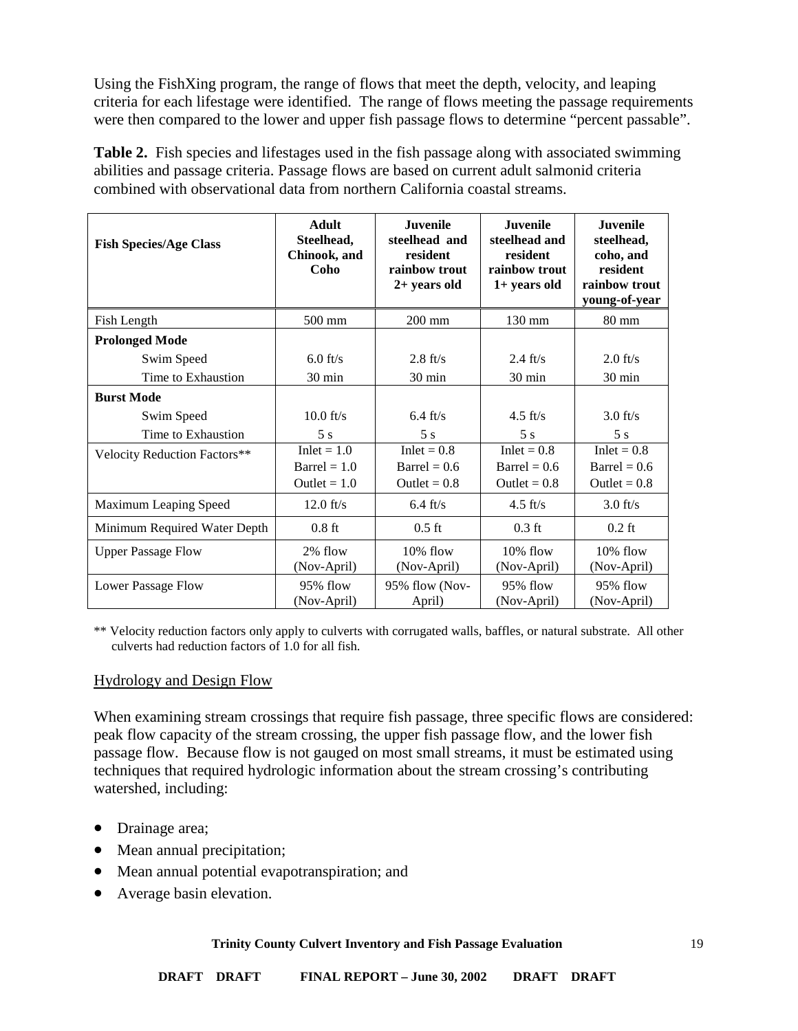Using the FishXing program, the range of flows that meet the depth, velocity, and leaping criteria for each lifestage were identified. The range of flows meeting the passage requirements were then compared to the lower and upper fish passage flows to determine "percent passable".

**Table 2.** Fish species and lifestages used in the fish passage along with associated swimming abilities and passage criteria. Passage flows are based on current adult salmonid criteria combined with observational data from northern California coastal streams.

| <b>Fish Species/Age Class</b>       | <b>Adult</b><br>Steelhead,<br>Chinook, and<br>Coho       | <b>Juvenile</b><br>steelhead and<br>resident<br>rainbow trout<br>$2+$ years old | <b>Juvenile</b><br>steelhead and<br>resident<br>rainbow trout<br>$1+$ years old | <b>Juvenile</b><br>steelhead,<br>coho, and<br>resident<br>rainbow trout<br>young-of-year |
|-------------------------------------|----------------------------------------------------------|---------------------------------------------------------------------------------|---------------------------------------------------------------------------------|------------------------------------------------------------------------------------------|
| Fish Length                         | 500 mm                                                   | $200$ mm                                                                        | 130 mm                                                                          | $80 \text{ mm}$                                                                          |
| <b>Prolonged Mode</b>               |                                                          |                                                                                 |                                                                                 |                                                                                          |
| Swim Speed                          | $6.0$ ft/s                                               | $2.8 \text{ ft/s}$                                                              | $2.4 \text{ ft/s}$                                                              | $2.0$ ft/s                                                                               |
| Time to Exhaustion                  | 30 min                                                   | 30 min                                                                          | $30 \text{ min}$                                                                | $30 \text{ min}$                                                                         |
| <b>Burst Mode</b>                   |                                                          |                                                                                 |                                                                                 |                                                                                          |
| Swim Speed                          | $10.0$ ft/s                                              | $6.4 \text{ ft/s}$                                                              | $4.5$ ft/s                                                                      | $3.0$ ft/s                                                                               |
| Time to Exhaustion                  | 5s                                                       | 5s                                                                              | 5s                                                                              | 5s                                                                                       |
| <b>Velocity Reduction Factors**</b> | Inlet $= 1.0$<br>$\text{Barrel} = 1.0$<br>Outlet = $1.0$ | $Inlet = 0.8$<br>Barrel = $0.6$<br>Outlet = $0.8$                               | $Inlet = 0.8$<br>Barrel = $0.6$<br>Outlet = $0.8$                               | $Inlet = 0.8$<br>$\text{Barrel} = 0.6$<br>Outlet = $0.8$                                 |
| Maximum Leaping Speed               | $12.0$ ft/s                                              | $6.4 \text{ ft/s}$                                                              | $4.5 \text{ ft/s}$                                                              | $3.0$ ft/s                                                                               |
| Minimum Required Water Depth        | $0.8$ ft                                                 | $0.5$ ft                                                                        | $0.3$ ft                                                                        | $0.2$ ft                                                                                 |
| <b>Upper Passage Flow</b>           | 2% flow<br>(Nov-April)                                   | 10% flow<br>(Nov-April)                                                         | 10% flow<br>(Nov-April)                                                         | 10% flow<br>(Nov-April)                                                                  |
| Lower Passage Flow                  | 95% flow<br>(Nov-April)                                  | 95% flow (Nov-<br>April)                                                        | $95%$ flow<br>(Nov-April)                                                       | 95% flow<br>(Nov-April)                                                                  |

\*\* Velocity reduction factors only apply to culverts with corrugated walls, baffles, or natural substrate. All other culverts had reduction factors of 1.0 for all fish.

### <span id="page-18-0"></span>Hydrology and Design Flow

When examining stream crossings that require fish passage, three specific flows are considered: peak flow capacity of the stream crossing, the upper fish passage flow, and the lower fish passage flow. Because flow is not gauged on most small streams, it must be estimated using techniques that required hydrologic information about the stream crossing's contributing watershed, including:

- Drainage area;
- Mean annual precipitation;
- Mean annual potential evapotranspiration; and
- Average basin elevation.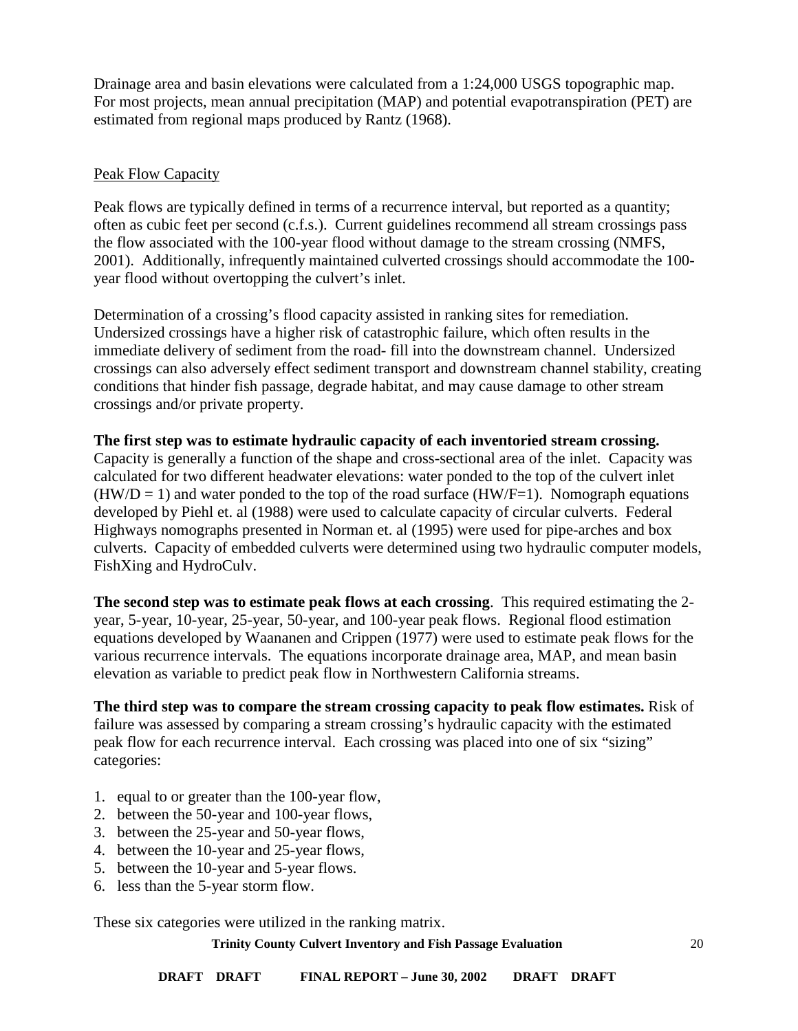Drainage area and basin elevations were calculated from a 1:24,000 USGS topographic map. For most projects, mean annual precipitation (MAP) and potential evapotranspiration (PET) are estimated from regional maps produced by Rantz (1968).

### <span id="page-19-0"></span>Peak Flow Capacity

Peak flows are typically defined in terms of a recurrence interval, but reported as a quantity; often as cubic feet per second (c.f.s.). Current guidelines recommend all stream crossings pass the flow associated with the 100-year flood without damage to the stream crossing (NMFS, 2001). Additionally, infrequently maintained culverted crossings should accommodate the 100 year flood without overtopping the culvert's inlet.

Determination of a crossing's flood capacity assisted in ranking sites for remediation. Undersized crossings have a higher risk of catastrophic failure, which often results in the immediate delivery of sediment from the road- fill into the downstream channel. Undersized crossings can also adversely effect sediment transport and downstream channel stability, creating conditions that hinder fish passage, degrade habitat, and may cause damage to other stream crossings and/or private property.

## **The first step was to estimate hydraulic capacity of each inventoried stream crossing.**

Capacity is generally a function of the shape and cross-sectional area of the inlet. Capacity was calculated for two different headwater elevations: water ponded to the top of the culvert inlet  $(HW/D = 1)$  and water ponded to the top of the road surface  $(HW/F=1)$ . Nomograph equations developed by Piehl et. al (1988) were used to calculate capacity of circular culverts. Federal Highways nomographs presented in Norman et. al (1995) were used for pipe-arches and box culverts. Capacity of embedded culverts were determined using two hydraulic computer models, FishXing and HydroCulv.

**The second step was to estimate peak flows at each crossing**. This required estimating the 2 year, 5-year, 10-year, 25-year, 50-year, and 100-year peak flows. Regional flood estimation equations developed by Waananen and Crippen (1977) were used to estimate peak flows for the various recurrence intervals. The equations incorporate drainage area, MAP, and mean basin elevation as variable to predict peak flow in Northwestern California streams.

**The third step was to compare the stream crossing capacity to peak flow estimates.** Risk of failure was assessed by comparing a stream crossing's hydraulic capacity with the estimated peak flow for each recurrence interval. Each crossing was placed into one of six "sizing" categories:

- 1. equal to or greater than the 100-year flow,
- 2. between the 50-year and 100-year flows,
- 3. between the 25-year and 50-year flows,
- 4. between the 10-year and 25-year flows,
- 5. between the 10-year and 5-year flows.
- 6. less than the 5-year storm flow.

These six categories were utilized in the ranking matrix.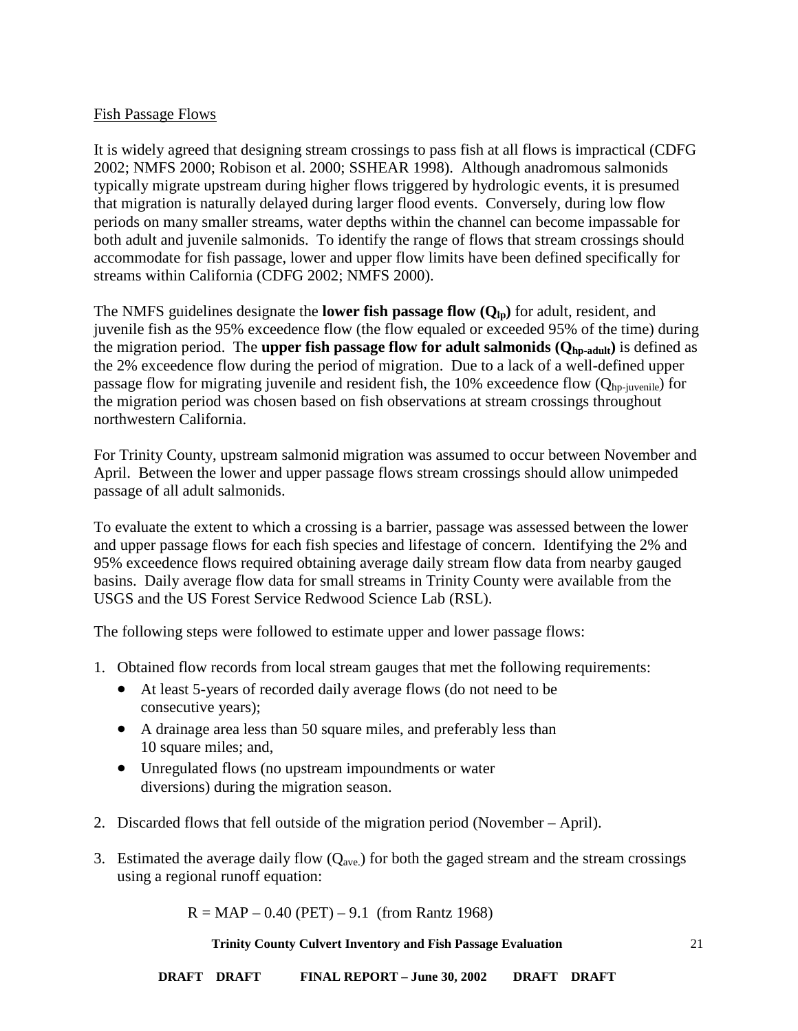### <span id="page-20-0"></span>Fish Passage Flows

It is widely agreed that designing stream crossings to pass fish at all flows is impractical (CDFG 2002; NMFS 2000; Robison et al. 2000; SSHEAR 1998). Although anadromous salmonids typically migrate upstream during higher flows triggered by hydrologic events, it is presumed that migration is naturally delayed during larger flood events. Conversely, during low flow periods on many smaller streams, water depths within the channel can become impassable for both adult and juvenile salmonids. To identify the range of flows that stream crossings should accommodate for fish passage, lower and upper flow limits have been defined specifically for streams within California (CDFG 2002; NMFS 2000).

The NMFS guidelines designate the **lower fish passage flow**  $(Q_{lp})$  for adult, resident, and juvenile fish as the 95% exceedence flow (the flow equaled or exceeded 95% of the time) during the migration period. The **upper fish passage flow for adult salmonids (** $Q_{\text{ho-addit}}$ **)** is defined as the 2% exceedence flow during the period of migration. Due to a lack of a well-defined upper passage flow for migrating juvenile and resident fish, the 10% exceedence flow  $(Q_{hp\text{-}juvenile})$  for the migration period was chosen based on fish observations at stream crossings throughout northwestern California.

For Trinity County, upstream salmonid migration was assumed to occur between November and April. Between the lower and upper passage flows stream crossings should allow unimpeded passage of all adult salmonids.

To evaluate the extent to which a crossing is a barrier, passage was assessed between the lower and upper passage flows for each fish species and lifestage of concern. Identifying the 2% and 95% exceedence flows required obtaining average daily stream flow data from nearby gauged basins. Daily average flow data for small streams in Trinity County were available from the USGS and the US Forest Service Redwood Science Lab (RSL).

The following steps were followed to estimate upper and lower passage flows:

- 1. Obtained flow records from local stream gauges that met the following requirements:
	- At least 5-years of recorded daily average flows (do not need to be consecutive years);
	- A drainage area less than 50 square miles, and preferably less than 10 square miles; and,
	- Unregulated flows (no upstream impoundments or water diversions) during the migration season.
- 2. Discarded flows that fell outside of the migration period (November April).
- 3. Estimated the average daily flow  $(Q_{ave})$  for both the gaged stream and the stream crossings using a regional runoff equation:

 $R = MAP - 0.40$  (PET) – 9.1 (from Rantz 1968)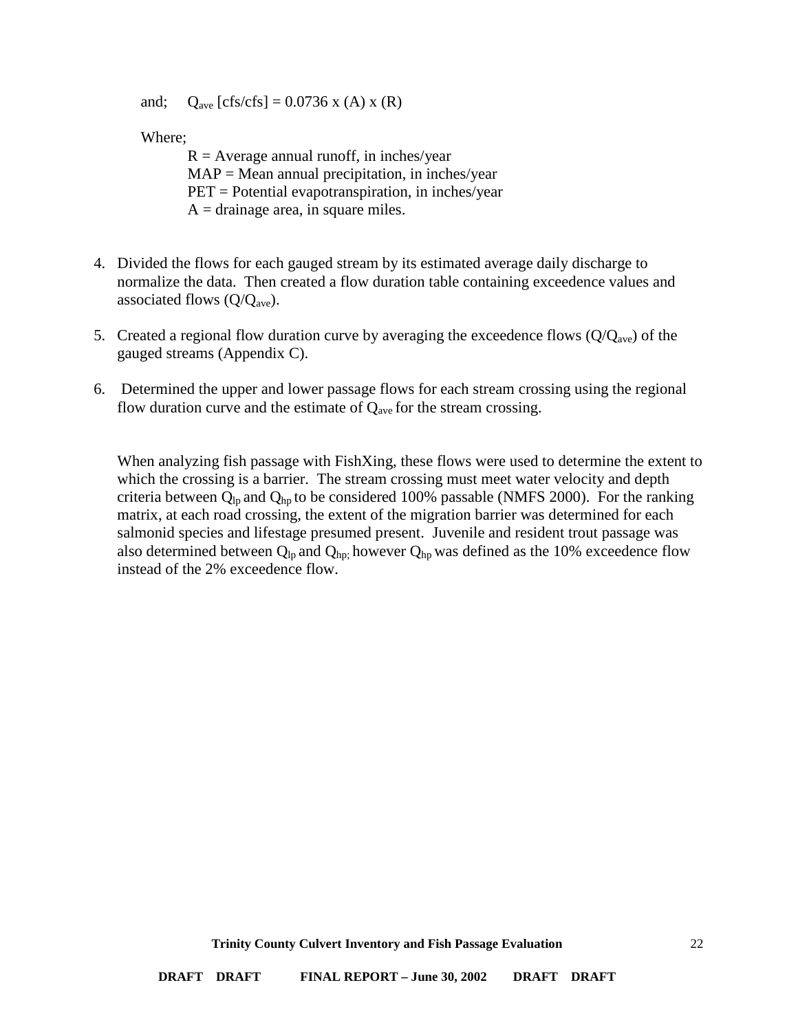and;  $Q_{\text{ave}}$  [cfs/cfs] = 0.0736 x (A) x (R)

Where;

 $R =$  Average annual runoff, in inches/year  $MAP = Mean$  annual precipitation, in inches/year PET = Potential evapotranspiration, in inches/year  $A = \text{drainage area}, \text{ in square miles.}$ 

- 4. Divided the flows for each gauged stream by its estimated average daily discharge to normalize the data. Then created a flow duration table containing exceedence values and associated flows  $(Q/Q<sub>ave</sub>)$ .
- 5. Created a regional flow duration curve by averaging the exceedence flows  $(Q/Q<sub>ave</sub>)$  of the gauged streams (Appendix C).
- 6. Determined the upper and lower passage flows for each stream crossing using the regional flow duration curve and the estimate of  $Q_{ave}$  for the stream crossing.

When analyzing fish passage with FishXing, these flows were used to determine the extent to which the crossing is a barrier. The stream crossing must meet water velocity and depth criteria between  $Q_{lp}$  and  $Q_{hp}$  to be considered 100% passable (NMFS 2000). For the ranking matrix, at each road crossing, the extent of the migration barrier was determined for each salmonid species and lifestage presumed present. Juvenile and resident trout passage was also determined between  $Q_{lp}$  and  $Q_{hp}$ ; however  $Q_{hp}$  was defined as the 10% exceedence flow instead of the 2% exceedence flow.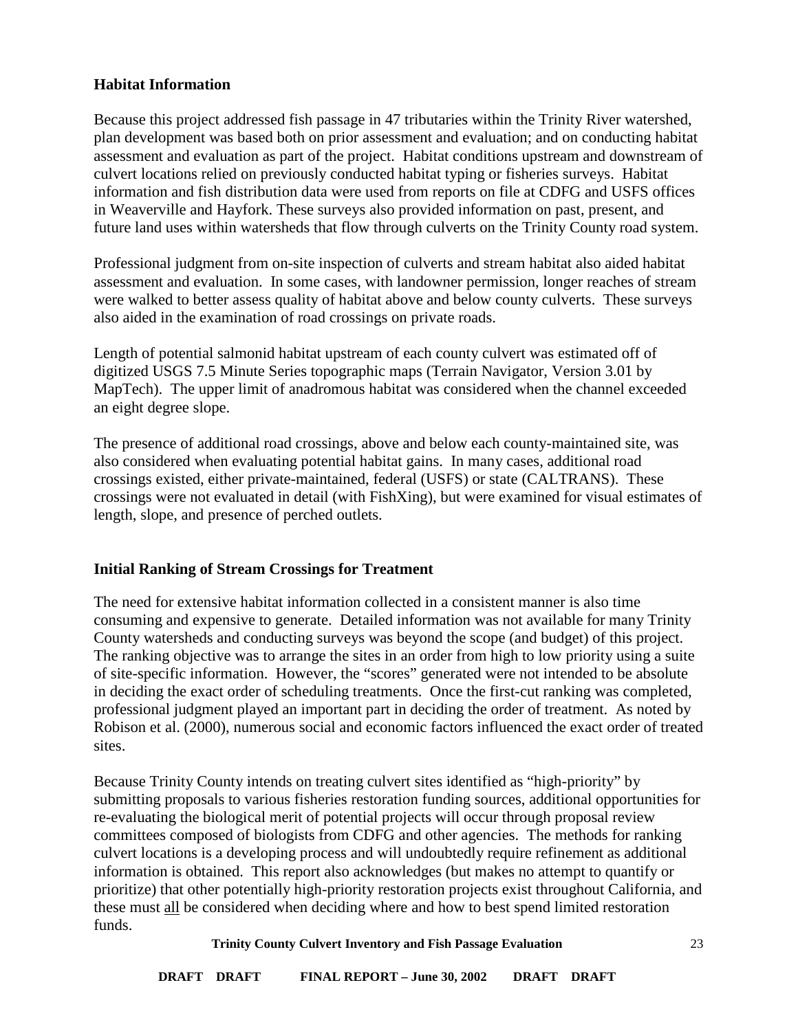### <span id="page-22-0"></span>**Habitat Information**

Because this project addressed fish passage in 47 tributaries within the Trinity River watershed, plan development was based both on prior assessment and evaluation; and on conducting habitat assessment and evaluation as part of the project. Habitat conditions upstream and downstream of culvert locations relied on previously conducted habitat typing or fisheries surveys. Habitat information and fish distribution data were used from reports on file at CDFG and USFS offices in Weaverville and Hayfork. These surveys also provided information on past, present, and future land uses within watersheds that flow through culverts on the Trinity County road system.

Professional judgment from on-site inspection of culverts and stream habitat also aided habitat assessment and evaluation. In some cases, with landowner permission, longer reaches of stream were walked to better assess quality of habitat above and below county culverts. These surveys also aided in the examination of road crossings on private roads.

Length of potential salmonid habitat upstream of each county culvert was estimated off of digitized USGS 7.5 Minute Series topographic maps (Terrain Navigator, Version 3.01 by MapTech). The upper limit of anadromous habitat was considered when the channel exceeded an eight degree slope.

The presence of additional road crossings, above and below each county-maintained site, was also considered when evaluating potential habitat gains. In many cases, additional road crossings existed, either private-maintained, federal (USFS) or state (CALTRANS). These crossings were not evaluated in detail (with FishXing), but were examined for visual estimates of length, slope, and presence of perched outlets.

## <span id="page-22-1"></span>**Initial Ranking of Stream Crossings for Treatment**

The need for extensive habitat information collected in a consistent manner is also time consuming and expensive to generate. Detailed information was not available for many Trinity County watersheds and conducting surveys was beyond the scope (and budget) of this project. The ranking objective was to arrange the sites in an order from high to low priority using a suite of site-specific information. However, the "scores" generated were not intended to be absolute in deciding the exact order of scheduling treatments. Once the first-cut ranking was completed, professional judgment played an important part in deciding the order of treatment. As noted by Robison et al. (2000), numerous social and economic factors influenced the exact order of treated sites.

Because Trinity County intends on treating culvert sites identified as "high-priority" by submitting proposals to various fisheries restoration funding sources, additional opportunities for re-evaluating the biological merit of potential projects will occur through proposal review committees composed of biologists from CDFG and other agencies. The methods for ranking culvert locations is a developing process and will undoubtedly require refinement as additional information is obtained. This report also acknowledges (but makes no attempt to quantify or prioritize) that other potentially high-priority restoration projects exist throughout California, and these must all be considered when deciding where and how to best spend limited restoration funds.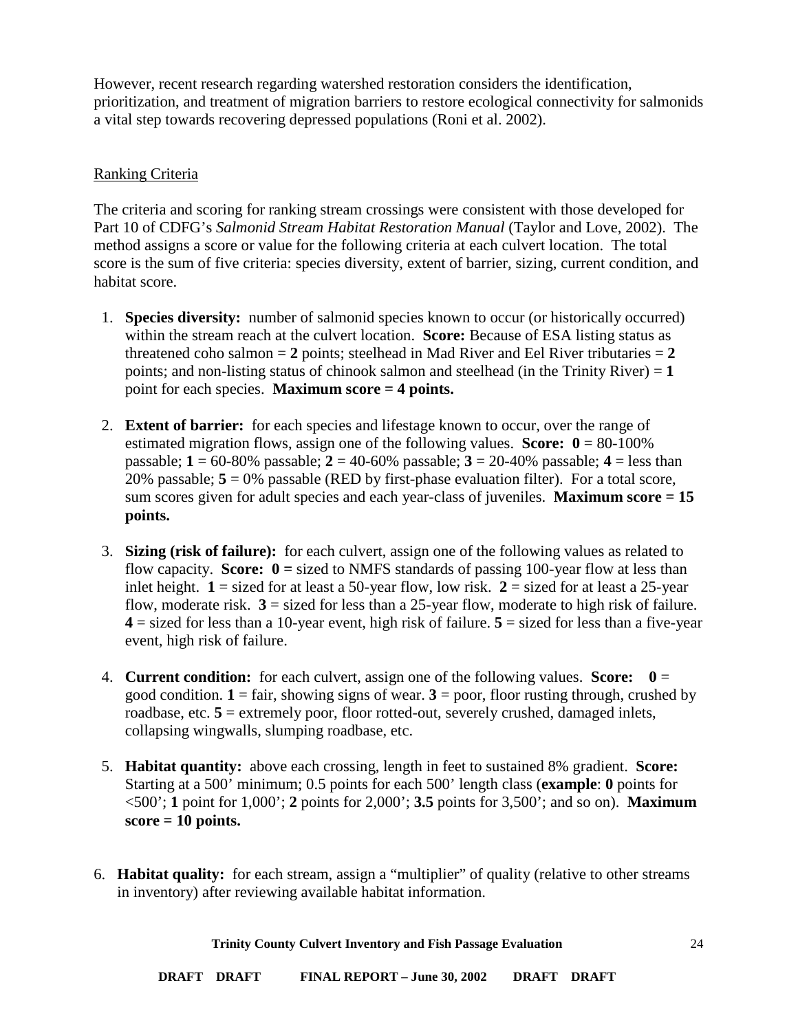However, recent research regarding watershed restoration considers the identification, prioritization, and treatment of migration barriers to restore ecological connectivity for salmonids a vital step towards recovering depressed populations (Roni et al. 2002).

### <span id="page-23-0"></span>Ranking Criteria

The criteria and scoring for ranking stream crossings were consistent with those developed for Part 10 of CDFG's *Salmonid Stream Habitat Restoration Manual* (Taylor and Love, 2002). The method assigns a score or value for the following criteria at each culvert location. The total score is the sum of five criteria: species diversity, extent of barrier, sizing, current condition, and habitat score.

- 1. **Species diversity:** number of salmonid species known to occur (or historically occurred) within the stream reach at the culvert location. **Score:** Because of ESA listing status as threatened coho salmon  $= 2$  points; steelhead in Mad River and Eel River tributaries  $= 2$ points; and non-listing status of chinook salmon and steelhead (in the Trinity River) = **1**  point for each species. **Maximum score = 4 points.**
- 2. **Extent of barrier:** for each species and lifestage known to occur, over the range of estimated migration flows, assign one of the following values. **Score:**  $0 = 80-100\%$ passable; **1** = 60-80% passable; **2** = 40-60% passable; **3** = 20-40% passable; **4** = less than 20% passable;  $5 = 0$ % passable (RED by first-phase evaluation filter). For a total score, sum scores given for adult species and each year-class of juveniles. **Maximum score = 15 points.**
- 3. **Sizing (risk of failure):** for each culvert, assign one of the following values as related to flow capacity. **Score: 0 =** sized to NMFS standards of passing 100-year flow at less than inlet height.  $1 =$  sized for at least a 50-year flow, low risk.  $2 =$  sized for at least a 25-year flow, moderate risk.  $3 =$  sized for less than a 25-year flow, moderate to high risk of failure.  $4 =$  sized for less than a 10-year event, high risk of failure.  $5 =$  sized for less than a five-year event, high risk of failure.
- 4. **Current condition:** for each culvert, assign one of the following values. **Score: 0** = good condition.  $1 = \text{fair}$ , showing signs of wear.  $3 = \text{poor}$ , floor rusting through, crushed by roadbase, etc. **5** = extremely poor, floor rotted-out, severely crushed, damaged inlets, collapsing wingwalls, slumping roadbase, etc.
- 5. **Habitat quantity:** above each crossing, length in feet to sustained 8% gradient. **Score:**  Starting at a 500' minimum; 0.5 points for each 500' length class (**example**: **0** points for <500'; **1** point for 1,000'; **2** points for 2,000'; **3.5** points for 3,500'; and so on). **Maximum score = 10 points.**
- 6. **Habitat quality:** for each stream, assign a "multiplier" of quality (relative to other streams in inventory) after reviewing available habitat information.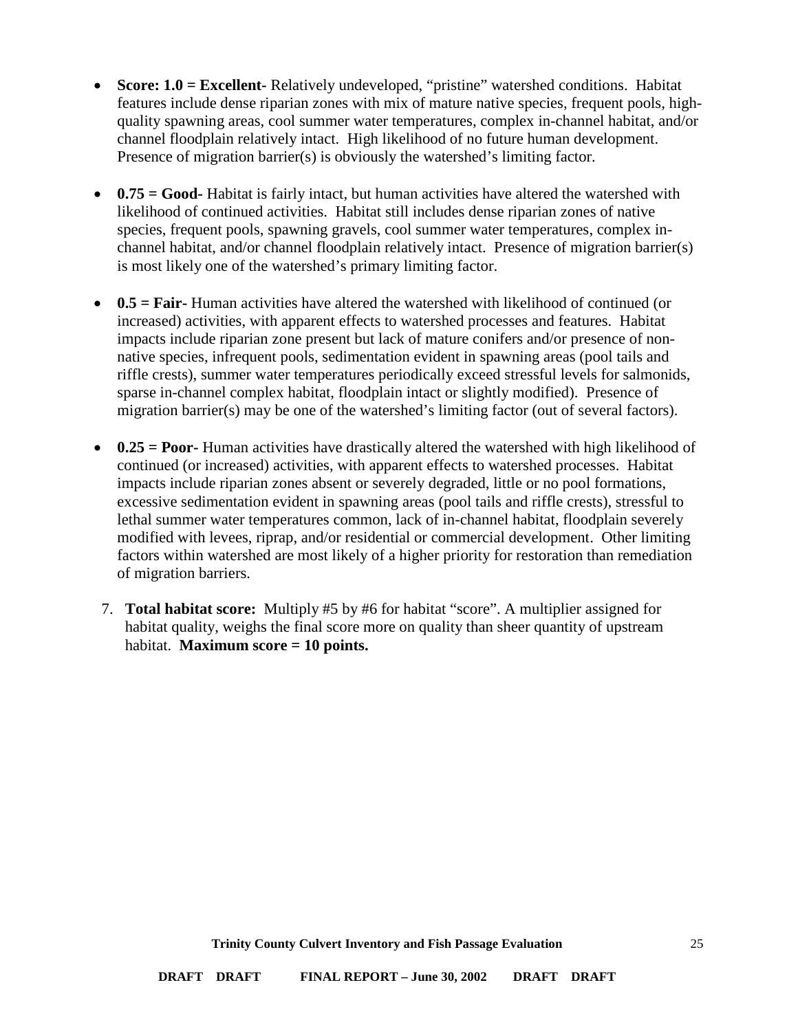- **Score: 1.0 = Excellent-** Relatively undeveloped, "pristine" watershed conditions. Habitat features include dense riparian zones with mix of mature native species, frequent pools, highquality spawning areas, cool summer water temperatures, complex in-channel habitat, and/or channel floodplain relatively intact. High likelihood of no future human development. Presence of migration barrier(s) is obviously the watershed's limiting factor.
- **0.75 = Good-** Habitat is fairly intact, but human activities have altered the watershed with likelihood of continued activities. Habitat still includes dense riparian zones of native species, frequent pools, spawning gravels, cool summer water temperatures, complex inchannel habitat, and/or channel floodplain relatively intact. Presence of migration barrier(s) is most likely one of the watershed's primary limiting factor.
- **0.5 = Fair-** Human activities have altered the watershed with likelihood of continued (or increased) activities, with apparent effects to watershed processes and features. Habitat impacts include riparian zone present but lack of mature conifers and/or presence of nonnative species, infrequent pools, sedimentation evident in spawning areas (pool tails and riffle crests), summer water temperatures periodically exceed stressful levels for salmonids, sparse in-channel complex habitat, floodplain intact or slightly modified). Presence of migration barrier(s) may be one of the watershed's limiting factor (out of several factors).
- **0.25 = Poor-** Human activities have drastically altered the watershed with high likelihood of continued (or increased) activities, with apparent effects to watershed processes. Habitat impacts include riparian zones absent or severely degraded, little or no pool formations, excessive sedimentation evident in spawning areas (pool tails and riffle crests), stressful to lethal summer water temperatures common, lack of in-channel habitat, floodplain severely modified with levees, riprap, and/or residential or commercial development. Other limiting factors within watershed are most likely of a higher priority for restoration than remediation of migration barriers.
- 7. **Total habitat score:** Multiply #5 by #6 for habitat "score". A multiplier assigned for habitat quality, weighs the final score more on quality than sheer quantity of upstream habitat. **Maximum score = 10 points.**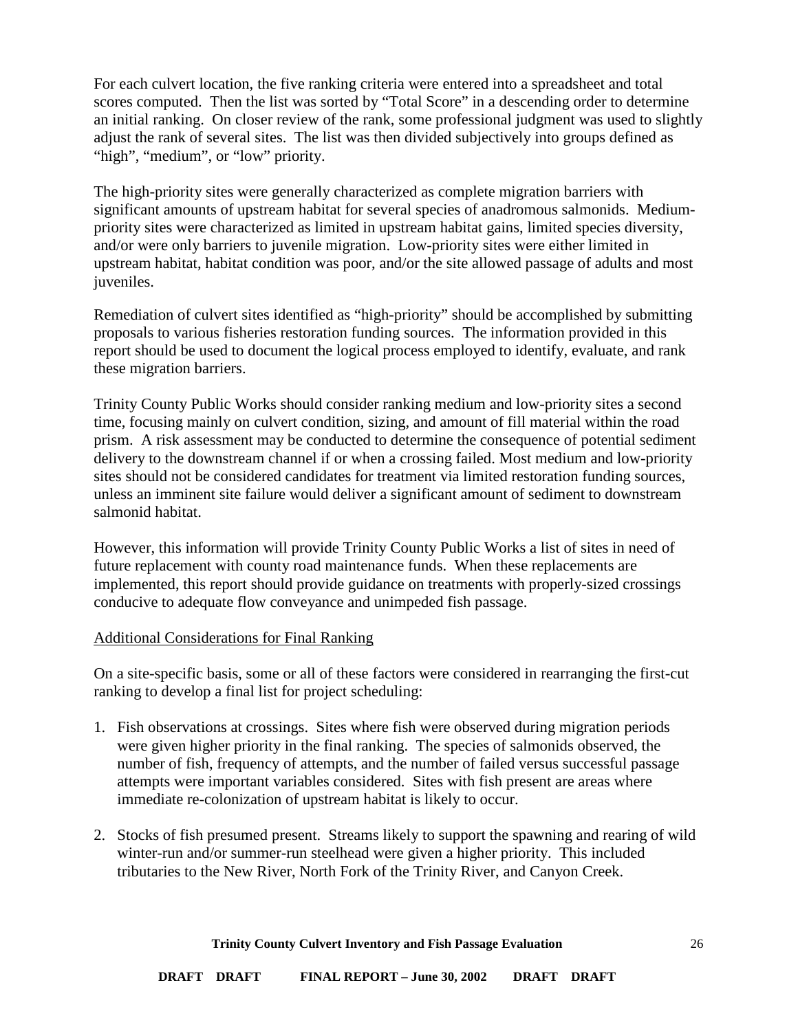For each culvert location, the five ranking criteria were entered into a spreadsheet and total scores computed. Then the list was sorted by "Total Score" in a descending order to determine an initial ranking. On closer review of the rank, some professional judgment was used to slightly adjust the rank of several sites. The list was then divided subjectively into groups defined as "high", "medium", or "low" priority.

The high-priority sites were generally characterized as complete migration barriers with significant amounts of upstream habitat for several species of anadromous salmonids. Mediumpriority sites were characterized as limited in upstream habitat gains, limited species diversity, and/or were only barriers to juvenile migration. Low-priority sites were either limited in upstream habitat, habitat condition was poor, and/or the site allowed passage of adults and most juveniles.

Remediation of culvert sites identified as "high-priority" should be accomplished by submitting proposals to various fisheries restoration funding sources. The information provided in this report should be used to document the logical process employed to identify, evaluate, and rank these migration barriers.

Trinity County Public Works should consider ranking medium and low-priority sites a second time, focusing mainly on culvert condition, sizing, and amount of fill material within the road prism. A risk assessment may be conducted to determine the consequence of potential sediment delivery to the downstream channel if or when a crossing failed. Most medium and low-priority sites should not be considered candidates for treatment via limited restoration funding sources, unless an imminent site failure would deliver a significant amount of sediment to downstream salmonid habitat.

However, this information will provide Trinity County Public Works a list of sites in need of future replacement with county road maintenance funds. When these replacements are implemented, this report should provide guidance on treatments with properly-sized crossings conducive to adequate flow conveyance and unimpeded fish passage.

### <span id="page-25-0"></span>Additional Considerations for Final Ranking

On a site-specific basis, some or all of these factors were considered in rearranging the first-cut ranking to develop a final list for project scheduling:

- 1. Fish observations at crossings. Sites where fish were observed during migration periods were given higher priority in the final ranking. The species of salmonids observed, the number of fish, frequency of attempts, and the number of failed versus successful passage attempts were important variables considered. Sites with fish present are areas where immediate re-colonization of upstream habitat is likely to occur.
- 2. Stocks of fish presumed present. Streams likely to support the spawning and rearing of wild winter-run and/or summer-run steelhead were given a higher priority. This included tributaries to the New River, North Fork of the Trinity River, and Canyon Creek.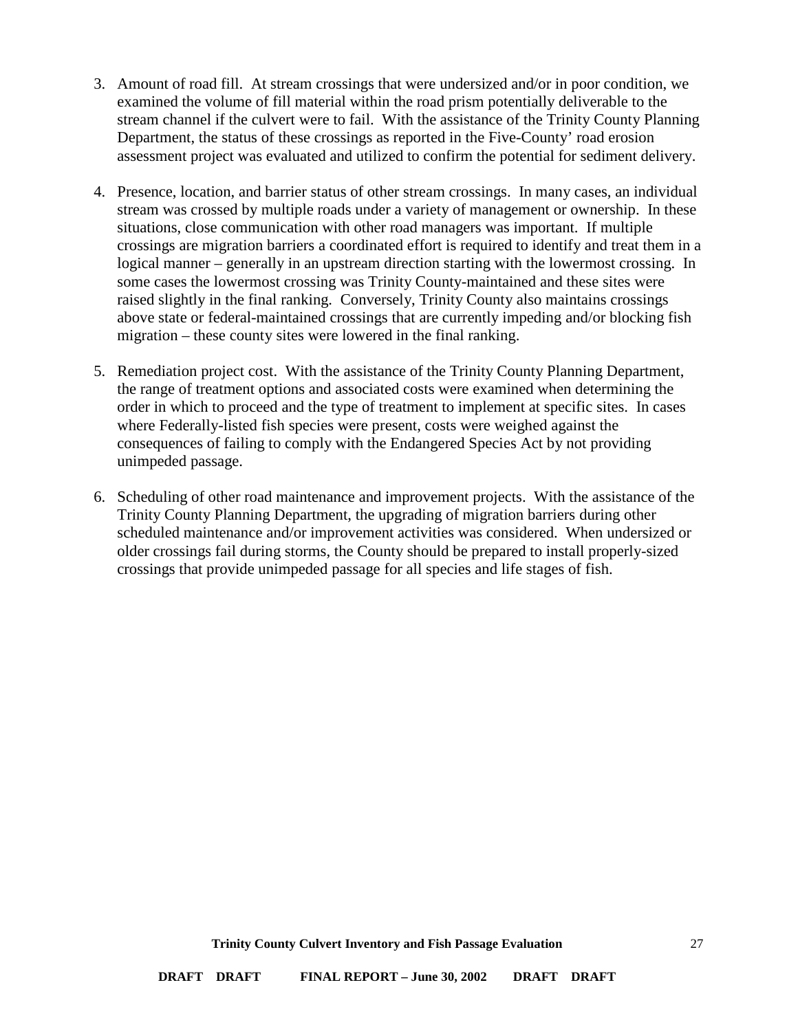- 3. Amount of road fill. At stream crossings that were undersized and/or in poor condition, we examined the volume of fill material within the road prism potentially deliverable to the stream channel if the culvert were to fail. With the assistance of the Trinity County Planning Department, the status of these crossings as reported in the Five-County' road erosion assessment project was evaluated and utilized to confirm the potential for sediment delivery.
- 4. Presence, location, and barrier status of other stream crossings. In many cases, an individual stream was crossed by multiple roads under a variety of management or ownership. In these situations, close communication with other road managers was important. If multiple crossings are migration barriers a coordinated effort is required to identify and treat them in a logical manner – generally in an upstream direction starting with the lowermost crossing. In some cases the lowermost crossing was Trinity County-maintained and these sites were raised slightly in the final ranking. Conversely, Trinity County also maintains crossings above state or federal-maintained crossings that are currently impeding and/or blocking fish migration – these county sites were lowered in the final ranking.
- 5. Remediation project cost. With the assistance of the Trinity County Planning Department, the range of treatment options and associated costs were examined when determining the order in which to proceed and the type of treatment to implement at specific sites. In cases where Federally-listed fish species were present, costs were weighed against the consequences of failing to comply with the Endangered Species Act by not providing unimpeded passage.
- 6. Scheduling of other road maintenance and improvement projects. With the assistance of the Trinity County Planning Department, the upgrading of migration barriers during other scheduled maintenance and/or improvement activities was considered. When undersized or older crossings fail during storms, the County should be prepared to install properly-sized crossings that provide unimpeded passage for all species and life stages of fish.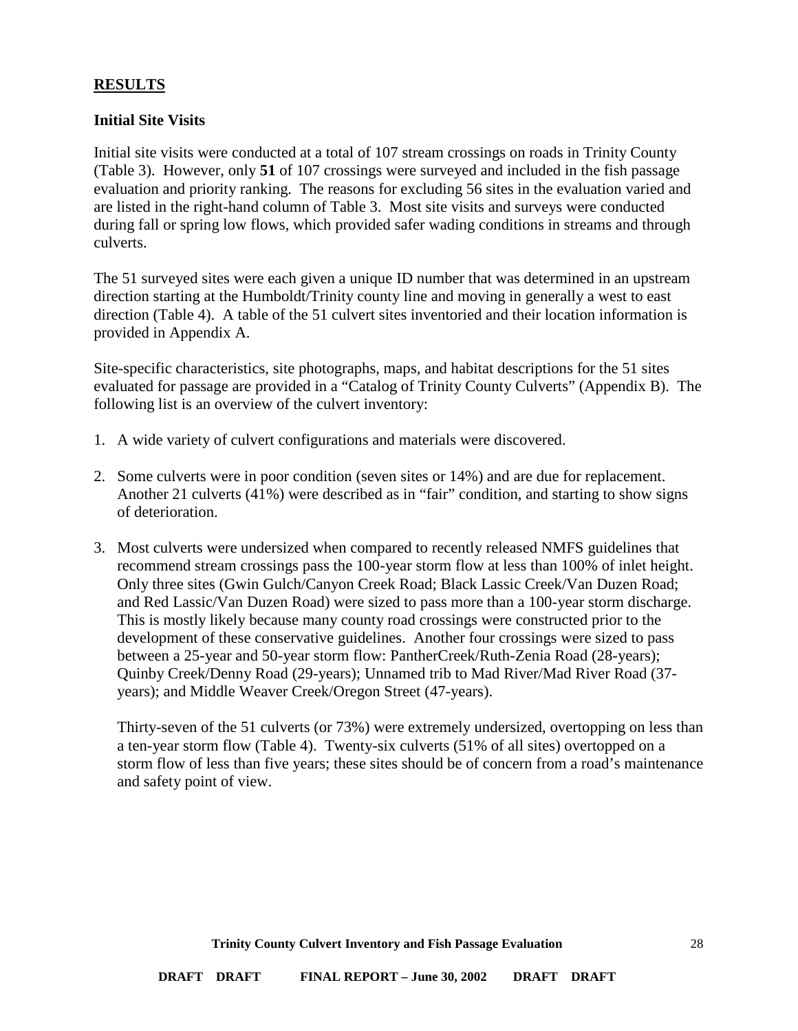### <span id="page-27-0"></span>**RESULTS**

#### <span id="page-27-1"></span>**Initial Site Visits**

Initial site visits were conducted at a total of 107 stream crossings on roads in Trinity County (Table 3). However, only **51** of 107 crossings were surveyed and included in the fish passage evaluation and priority ranking. The reasons for excluding 56 sites in the evaluation varied and are listed in the right-hand column of Table 3. Most site visits and surveys were conducted during fall or spring low flows, which provided safer wading conditions in streams and through culverts.

The 51 surveyed sites were each given a unique ID number that was determined in an upstream direction starting at the Humboldt/Trinity county line and moving in generally a west to east direction (Table 4). A table of the 51 culvert sites inventoried and their location information is provided in Appendix A.

Site-specific characteristics, site photographs, maps, and habitat descriptions for the 51 sites evaluated for passage are provided in a "Catalog of Trinity County Culverts" (Appendix B). The following list is an overview of the culvert inventory:

- 1. A wide variety of culvert configurations and materials were discovered.
- 2. Some culverts were in poor condition (seven sites or 14%) and are due for replacement. Another 21 culverts (41%) were described as in "fair" condition, and starting to show signs of deterioration.
- 3. Most culverts were undersized when compared to recently released NMFS guidelines that recommend stream crossings pass the 100-year storm flow at less than 100% of inlet height. Only three sites (Gwin Gulch/Canyon Creek Road; Black Lassic Creek/Van Duzen Road; and Red Lassic/Van Duzen Road) were sized to pass more than a 100-year storm discharge. This is mostly likely because many county road crossings were constructed prior to the development of these conservative guidelines. Another four crossings were sized to pass between a 25-year and 50-year storm flow: PantherCreek/Ruth-Zenia Road (28-years); Quinby Creek/Denny Road (29-years); Unnamed trib to Mad River/Mad River Road (37 years); and Middle Weaver Creek/Oregon Street (47-years).

Thirty-seven of the 51 culverts (or 73%) were extremely undersized, overtopping on less than a ten-year storm flow (Table 4). Twenty-six culverts (51% of all sites) overtopped on a storm flow of less than five years; these sites should be of concern from a road's maintenance and safety point of view.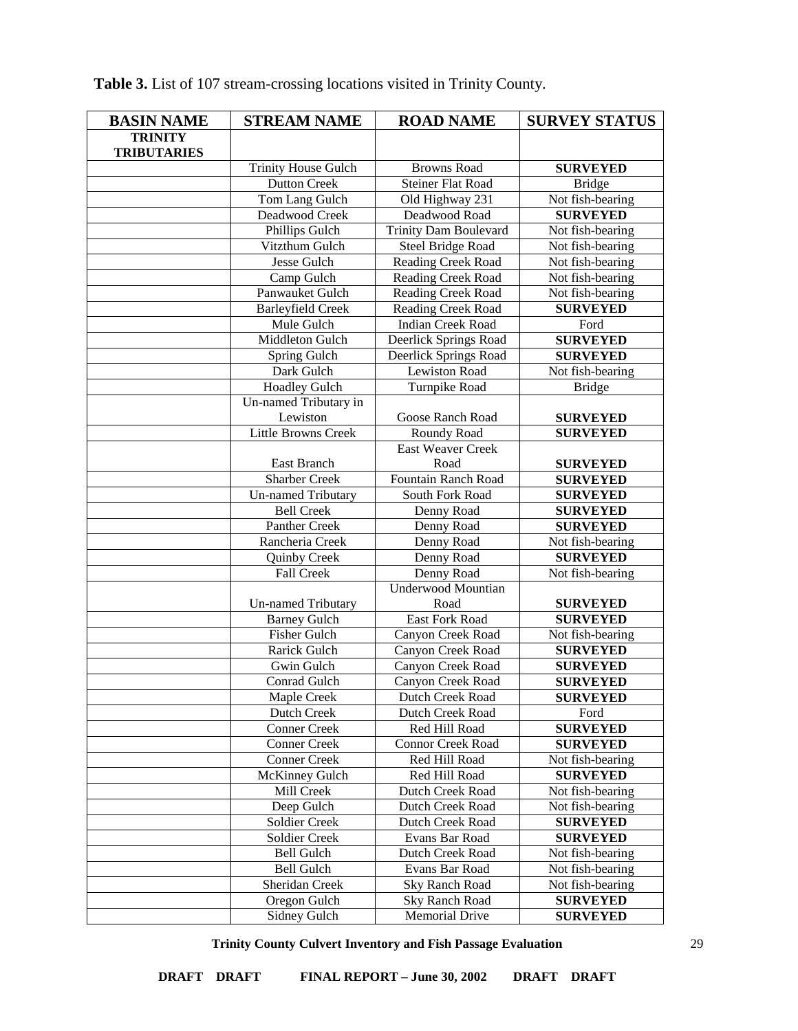| <b>BASIN NAME</b>  | <b>STREAM NAME</b>                  | <b>ROAD NAME</b>                        | <b>SURVEY STATUS</b>               |
|--------------------|-------------------------------------|-----------------------------------------|------------------------------------|
| <b>TRINITY</b>     |                                     |                                         |                                    |
| <b>TRIBUTARIES</b> |                                     |                                         |                                    |
|                    | <b>Trinity House Gulch</b>          | <b>Browns Road</b>                      | <b>SURVEYED</b>                    |
|                    | <b>Dutton Creek</b>                 | <b>Steiner Flat Road</b>                | <b>Bridge</b>                      |
|                    | Tom Lang Gulch                      | Old Highway 231                         | Not fish-bearing                   |
|                    | Deadwood Creek                      | Deadwood Road                           | <b>SURVEYED</b>                    |
|                    | Phillips Gulch                      | <b>Trinity Dam Boulevard</b>            | Not fish-bearing                   |
|                    | Vitzthum Gulch                      | Steel Bridge Road                       | Not fish-bearing                   |
|                    | <b>Jesse Gulch</b>                  | <b>Reading Creek Road</b>               | Not fish-bearing                   |
|                    | Camp Gulch                          | <b>Reading Creek Road</b>               | Not fish-bearing                   |
|                    | Panwauket Gulch                     | Reading Creek Road                      | Not fish-bearing                   |
|                    | <b>Barleyfield Creek</b>            | Reading Creek Road                      | <b>SURVEYED</b>                    |
|                    | Mule Gulch                          | <b>Indian Creek Road</b>                | Ford                               |
|                    | Middleton Gulch                     | Deerlick Springs Road                   | <b>SURVEYED</b>                    |
|                    | Spring Gulch                        | Deerlick Springs Road                   | <b>SURVEYED</b>                    |
|                    | Dark Gulch                          | Lewiston Road                           | Not fish-bearing                   |
|                    | <b>Hoadley Gulch</b>                | <b>Turnpike Road</b>                    | <b>Bridge</b>                      |
|                    | Un-named Tributary in               |                                         |                                    |
|                    | Lewiston                            | Goose Ranch Road                        | <b>SURVEYED</b>                    |
|                    | <b>Little Browns Creek</b>          | Roundy Road                             | <b>SURVEYED</b>                    |
|                    |                                     | <b>East Weaver Creek</b>                |                                    |
|                    | East Branch                         | Road                                    | <b>SURVEYED</b>                    |
|                    | <b>Sharber Creek</b>                | Fountain Ranch Road                     | <b>SURVEYED</b>                    |
|                    | <b>Un-named Tributary</b>           | South Fork Road                         | <b>SURVEYED</b>                    |
|                    | <b>Bell Creek</b>                   | Denny Road                              | <b>SURVEYED</b>                    |
|                    | Panther Creek                       | Denny Road                              | <b>SURVEYED</b>                    |
|                    | Rancheria Creek                     | Denny Road                              | Not fish-bearing                   |
|                    | Quinby Creek                        | Denny Road                              | <b>SURVEYED</b>                    |
|                    | Fall Creek                          | Denny Road                              | Not fish-bearing                   |
|                    |                                     | <b>Underwood Mountian</b>               |                                    |
|                    | <b>Un-named Tributary</b>           | Road                                    | <b>SURVEYED</b>                    |
|                    | <b>Barney Gulch</b>                 | East Fork Road                          | <b>SURVEYED</b>                    |
|                    | Fisher Gulch                        | Canyon Creek Road                       | Not fish-bearing                   |
|                    | Rarick Gulch                        | Canyon Creek Road                       | <b>SURVEYED</b>                    |
|                    | Gwin Gulch                          | Canyon Creek Road                       | <b>SURVEYED</b>                    |
|                    | Conrad Gulch                        | Canyon Creek Road                       | <b>SURVEYED</b>                    |
|                    | Maple Creek                         | Dutch Creek Road                        | <b>SURVEYED</b>                    |
|                    | Dutch Creek                         | Dutch Creek Road                        | Ford                               |
|                    | <b>Conner Creek</b>                 | Red Hill Road                           | <b>SURVEYED</b>                    |
|                    | <b>Conner Creek</b>                 | <b>Connor Creek Road</b>                | <b>SURVEYED</b>                    |
|                    | <b>Conner Creek</b>                 | Red Hill Road                           | Not fish-bearing                   |
|                    | McKinney Gulch                      | Red Hill Road                           | <b>SURVEYED</b>                    |
|                    | Mill Creek                          | Dutch Creek Road                        | Not fish-bearing                   |
|                    | Deep Gulch                          | Dutch Creek Road                        | Not fish-bearing                   |
|                    | Soldier Creek                       | Dutch Creek Road                        | <b>SURVEYED</b>                    |
|                    | <b>Soldier Creek</b>                | Evans Bar Road                          | <b>SURVEYED</b>                    |
|                    | <b>Bell Gulch</b>                   | Dutch Creek Road                        | Not fish-bearing                   |
|                    | <b>Bell Gulch</b><br>Sheridan Creek | Evans Bar Road                          | Not fish-bearing                   |
|                    | Oregon Gulch                        | <b>Sky Ranch Road</b><br>Sky Ranch Road | Not fish-bearing                   |
|                    | Sidney Gulch                        | <b>Memorial Drive</b>                   | <b>SURVEYED</b><br><b>SURVEYED</b> |
|                    |                                     |                                         |                                    |

**Table 3.** List of 107 stream-crossing locations visited in Trinity County.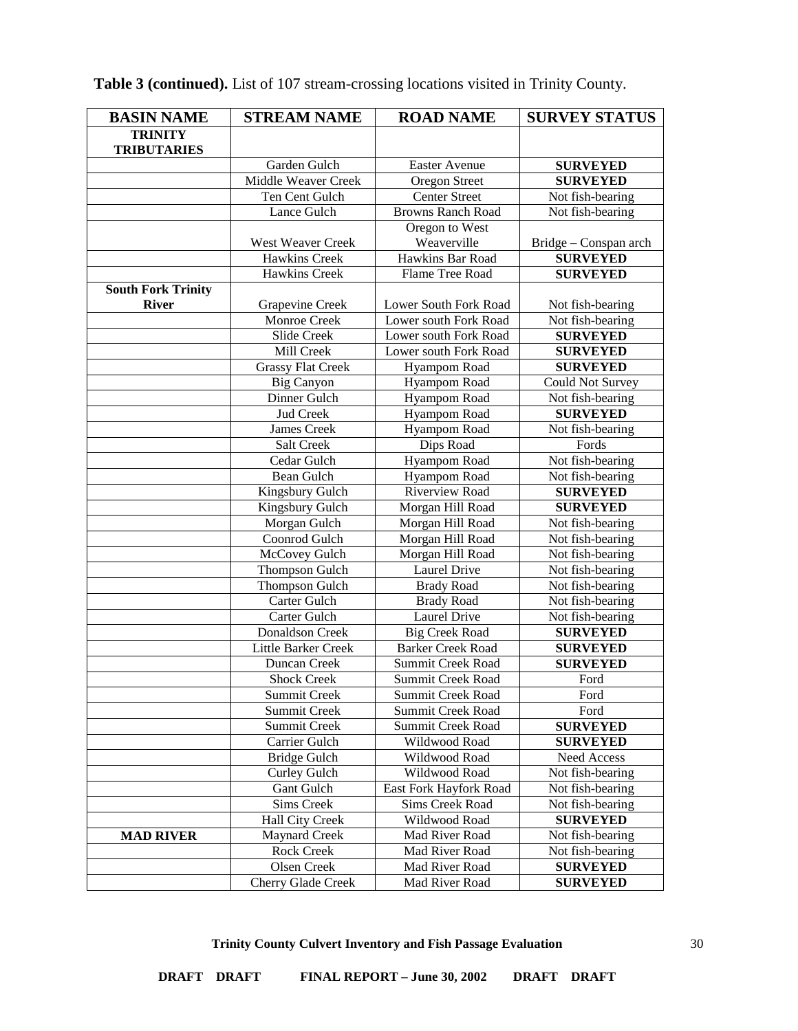| <b>BASIN NAME</b>         | <b>STREAM NAME</b>         | <b>ROAD NAME</b>         | <b>SURVEY STATUS</b>  |
|---------------------------|----------------------------|--------------------------|-----------------------|
| <b>TRINITY</b>            |                            |                          |                       |
| <b>TRIBUTARIES</b>        |                            |                          |                       |
|                           | Garden Gulch               | <b>Easter Avenue</b>     | <b>SURVEYED</b>       |
|                           | <b>Middle Weaver Creek</b> | Oregon Street            | <b>SURVEYED</b>       |
|                           | Ten Cent Gulch             | <b>Center Street</b>     | Not fish-bearing      |
|                           | Lance Gulch                | <b>Browns Ranch Road</b> | Not fish-bearing      |
|                           |                            | Oregon to West           |                       |
|                           | West Weaver Creek          | Weaverville              | Bridge – Conspan arch |
|                           | Hawkins Creek              | Hawkins Bar Road         | <b>SURVEYED</b>       |
|                           | Hawkins Creek              | Flame Tree Road          | <b>SURVEYED</b>       |
| <b>South Fork Trinity</b> |                            |                          |                       |
| <b>River</b>              | Grapevine Creek            | Lower South Fork Road    | Not fish-bearing      |
|                           | Monroe Creek               | Lower south Fork Road    | Not fish-bearing      |
|                           | Slide Creek                | Lower south Fork Road    | <b>SURVEYED</b>       |
|                           | Mill Creek                 | Lower south Fork Road    | <b>SURVEYED</b>       |
|                           | <b>Grassy Flat Creek</b>   | Hyampom Road             | <b>SURVEYED</b>       |
|                           | <b>Big Canyon</b>          | Hyampom Road             | Could Not Survey      |
|                           | Dinner Gulch               | Hyampom Road             | Not fish-bearing      |
|                           | Jud Creek                  | Hyampom Road             | <b>SURVEYED</b>       |
|                           | James Creek                | Hyampom Road             | Not fish-bearing      |
|                           | Salt Creek                 | Dips Road                | Fords                 |
|                           | Cedar Gulch                | Hyampom Road             | Not fish-bearing      |
|                           | <b>Bean Gulch</b>          | Hyampom Road             | Not fish-bearing      |
|                           | Kingsbury Gulch            | Riverview Road           | <b>SURVEYED</b>       |
|                           | Kingsbury Gulch            | Morgan Hill Road         | <b>SURVEYED</b>       |
|                           | Morgan Gulch               | Morgan Hill Road         | Not fish-bearing      |
|                           | Coonrod Gulch              | Morgan Hill Road         | Not fish-bearing      |
|                           | McCovey Gulch              | Morgan Hill Road         | Not fish-bearing      |
|                           | <b>Thompson Gulch</b>      | Laurel Drive             | Not fish-bearing      |
|                           | Thompson Gulch             | <b>Brady Road</b>        | Not fish-bearing      |
|                           | Carter Gulch               | <b>Brady Road</b>        | Not fish-bearing      |
|                           | Carter Gulch               | Laurel Drive             | Not fish-bearing      |
|                           | Donaldson Creek            | <b>Big Creek Road</b>    | <b>SURVEYED</b>       |
|                           | Little Barker Creek        | <b>Barker Creek Road</b> | <b>SURVEYED</b>       |
|                           | Duncan Creek               | Summit Creek Road        | <b>SURVEYED</b>       |
|                           | <b>Shock Creek</b>         | Summit Creek Road        | Ford                  |
|                           | Summit Creek               | Summit Creek Road        | Ford                  |
|                           | Summit Creek               | Summit Creek Road        | Ford                  |
|                           | Summit Creek               | Summit Creek Road        | <b>SURVEYED</b>       |
|                           | Carrier Gulch              | Wildwood Road            | <b>SURVEYED</b>       |
|                           | <b>Bridge Gulch</b>        | Wildwood Road            | Need Access           |
|                           | Curley Gulch               | Wildwood Road            | Not fish-bearing      |
|                           | Gant Gulch                 | East Fork Hayfork Road   | Not fish-bearing      |
|                           | Sims Creek                 | Sims Creek Road          | Not fish-bearing      |
|                           | Hall City Creek            | Wildwood Road            | <b>SURVEYED</b>       |
| <b>MAD RIVER</b>          | <b>Maynard Creek</b>       | Mad River Road           | Not fish-bearing      |
|                           | Rock Creek                 | Mad River Road           | Not fish-bearing      |
|                           | Olsen Creek                | Mad River Road           | <b>SURVEYED</b>       |
|                           | Cherry Glade Creek         | Mad River Road           | <b>SURVEYED</b>       |

**Table 3 (continued).** List of 107 stream-crossing locations visited in Trinity County.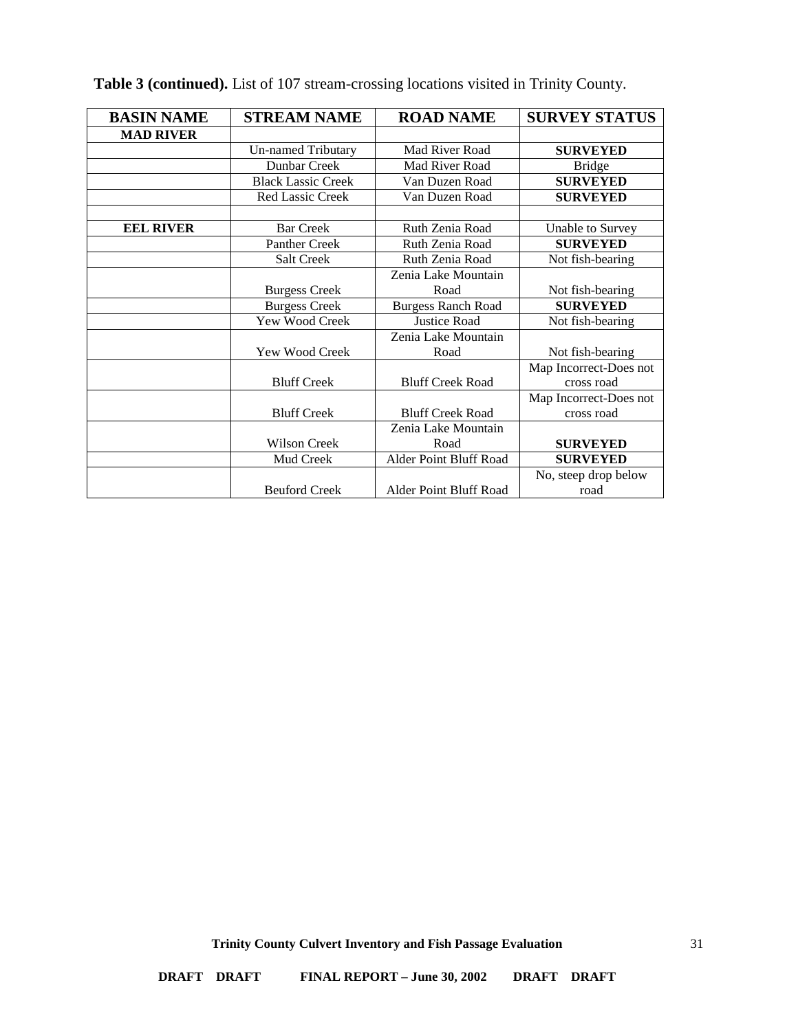| <b>BASIN NAME</b> | <b>STREAM NAME</b>        | <b>ROAD NAME</b>          | <b>SURVEY STATUS</b>   |
|-------------------|---------------------------|---------------------------|------------------------|
| <b>MAD RIVER</b>  |                           |                           |                        |
|                   | <b>Un-named Tributary</b> | Mad River Road            | <b>SURVEYED</b>        |
|                   | Dunbar Creek              | Mad River Road            | <b>Bridge</b>          |
|                   | <b>Black Lassic Creek</b> | Van Duzen Road            | <b>SURVEYED</b>        |
|                   | Red Lassic Creek          | Van Duzen Road            | <b>SURVEYED</b>        |
|                   |                           |                           |                        |
| <b>EEL RIVER</b>  | <b>Bar Creek</b>          | Ruth Zenia Road           | Unable to Survey       |
|                   | Panther Creek             | Ruth Zenia Road           | <b>SURVEYED</b>        |
|                   | Salt Creek                | Ruth Zenia Road           | Not fish-bearing       |
|                   |                           | Zenia Lake Mountain       |                        |
|                   | <b>Burgess Creek</b>      | Road                      | Not fish-bearing       |
|                   | <b>Burgess Creek</b>      | <b>Burgess Ranch Road</b> | <b>SURVEYED</b>        |
|                   | Yew Wood Creek            | <b>Justice Road</b>       | Not fish-bearing       |
|                   |                           | Zenia Lake Mountain       |                        |
|                   | Yew Wood Creek            | Road                      | Not fish-bearing       |
|                   |                           |                           | Map Incorrect-Does not |
|                   | <b>Bluff Creek</b>        | <b>Bluff Creek Road</b>   | cross road             |
|                   |                           |                           | Map Incorrect-Does not |
|                   | <b>Bluff Creek</b>        | <b>Bluff Creek Road</b>   | cross road             |
|                   |                           | Zenia Lake Mountain       |                        |
|                   | Wilson Creek              | Road                      | <b>SURVEYED</b>        |
|                   | Mud Creek                 | Alder Point Bluff Road    | <b>SURVEYED</b>        |
|                   |                           |                           | No, steep drop below   |
|                   | <b>Beuford Creek</b>      | Alder Point Bluff Road    | road                   |

# **Table 3 (continued).** List of 107 stream-crossing locations visited in Trinity County.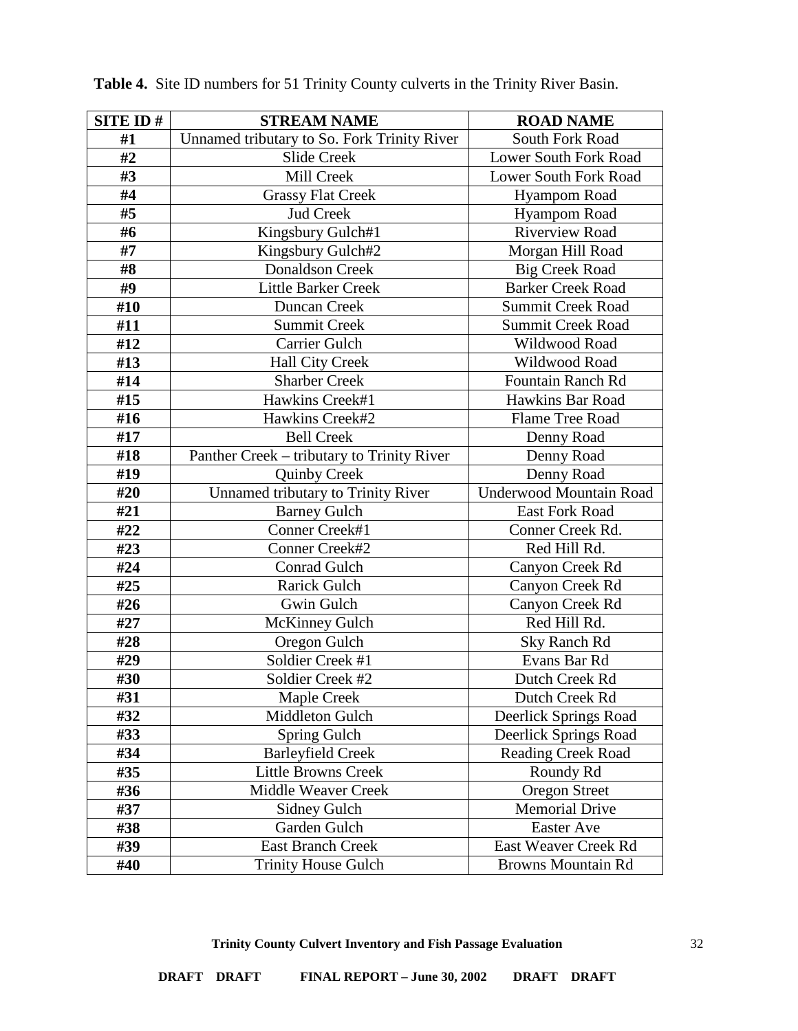| <b>SITE ID#</b> | <b>STREAM NAME</b>                          | <b>ROAD NAME</b>               |
|-----------------|---------------------------------------------|--------------------------------|
| #1              | Unnamed tributary to So. Fork Trinity River | South Fork Road                |
| #2              | <b>Slide Creek</b>                          | <b>Lower South Fork Road</b>   |
| #3              | Mill Creek                                  | Lower South Fork Road          |
| #4              | <b>Grassy Flat Creek</b>                    | <b>Hyampom Road</b>            |
| #5              | <b>Jud Creek</b>                            | <b>Hyampom Road</b>            |
| #6              | Kingsbury Gulch#1                           | <b>Riverview Road</b>          |
| #7              | Kingsbury Gulch#2                           | Morgan Hill Road               |
| #8              | <b>Donaldson Creek</b>                      | <b>Big Creek Road</b>          |
| #9              | <b>Little Barker Creek</b>                  | <b>Barker Creek Road</b>       |
| #10             | Duncan Creek                                | <b>Summit Creek Road</b>       |
| #11             | <b>Summit Creek</b>                         | <b>Summit Creek Road</b>       |
| #12             | Carrier Gulch                               | Wildwood Road                  |
| #13             | <b>Hall City Creek</b>                      | Wildwood Road                  |
| #14             | <b>Sharber Creek</b>                        | <b>Fountain Ranch Rd</b>       |
| #15             | Hawkins Creek#1                             | Hawkins Bar Road               |
| #16             | Hawkins Creek#2                             | Flame Tree Road                |
| #17             | <b>Bell Creek</b>                           | Denny Road                     |
| #18             | Panther Creek - tributary to Trinity River  | Denny Road                     |
| #19             | <b>Quinby Creek</b>                         | Denny Road                     |
| #20             | Unnamed tributary to Trinity River          | <b>Underwood Mountain Road</b> |
| #21             | <b>Barney Gulch</b>                         | <b>East Fork Road</b>          |
| #22             | Conner Creek#1                              | Conner Creek Rd.               |
| #23             | Conner Creek#2                              | Red Hill Rd.                   |
| #24             | <b>Conrad Gulch</b>                         | Canyon Creek Rd                |
| #25             | <b>Rarick Gulch</b>                         | Canyon Creek Rd                |
| #26             | Gwin Gulch                                  | Canyon Creek Rd                |
| #27             | <b>McKinney Gulch</b>                       | Red Hill Rd.                   |
| #28             | Oregon Gulch                                | <b>Sky Ranch Rd</b>            |
| #29             | Soldier Creek #1                            | Evans Bar Rd                   |
| #30             | Soldier Creek #2                            | Dutch Creek Rd                 |
| #31             | Maple Creek                                 | Dutch Creek Rd                 |
| #32             | Middleton Gulch                             | Deerlick Springs Road          |
| #33             | Spring Gulch                                | Deerlick Springs Road          |
| #34             | <b>Barleyfield Creek</b>                    | <b>Reading Creek Road</b>      |
| #35             | <b>Little Browns Creek</b>                  | Roundy Rd                      |
| #36             | Middle Weaver Creek                         | <b>Oregon Street</b>           |
| #37             | Sidney Gulch                                | <b>Memorial Drive</b>          |
| #38             | Garden Gulch                                | <b>Easter Ave</b>              |
| #39             | <b>East Branch Creek</b>                    | East Weaver Creek Rd           |
| #40             | <b>Trinity House Gulch</b>                  | <b>Browns Mountain Rd</b>      |

**Table 4.** Site ID numbers for 51 Trinity County culverts in the Trinity River Basin.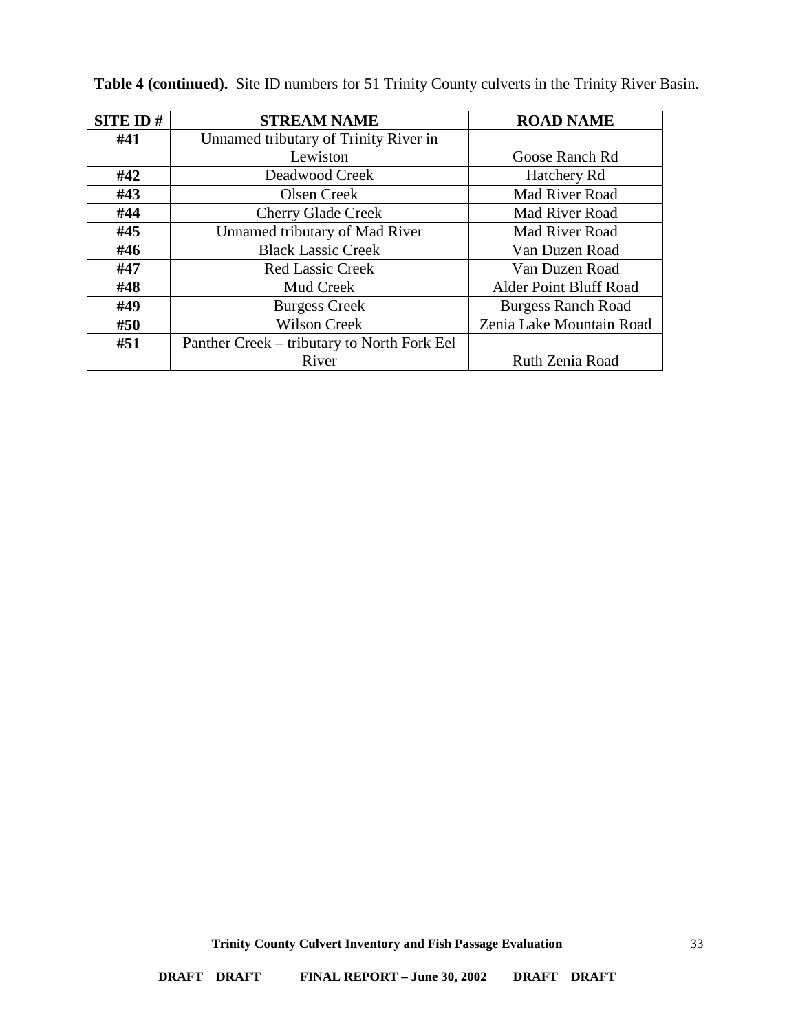| <b>SITE ID#</b> | <b>STREAM NAME</b>                          | <b>ROAD NAME</b>          |
|-----------------|---------------------------------------------|---------------------------|
| #41             | Unnamed tributary of Trinity River in       |                           |
|                 | Lewiston                                    | Goose Ranch Rd            |
| #42             | Deadwood Creek                              | Hatchery Rd               |
| #43             | Olsen Creek                                 | Mad River Road            |
| #44             | <b>Cherry Glade Creek</b>                   | Mad River Road            |
| #45             | Unnamed tributary of Mad River              | Mad River Road            |
| #46             | <b>Black Lassic Creek</b>                   | Van Duzen Road            |
| #47             | <b>Red Lassic Creek</b>                     | Van Duzen Road            |
| #48             | Mud Creek                                   | Alder Point Bluff Road    |
| #49             | <b>Burgess Creek</b>                        | <b>Burgess Ranch Road</b> |
| #50             | <b>Wilson Creek</b>                         | Zenia Lake Mountain Road  |
| #51             | Panther Creek – tributary to North Fork Eel |                           |
|                 | River                                       | Ruth Zenia Road           |

**Table 4 (continued).** Site ID numbers for 51 Trinity County culverts in the Trinity River Basin.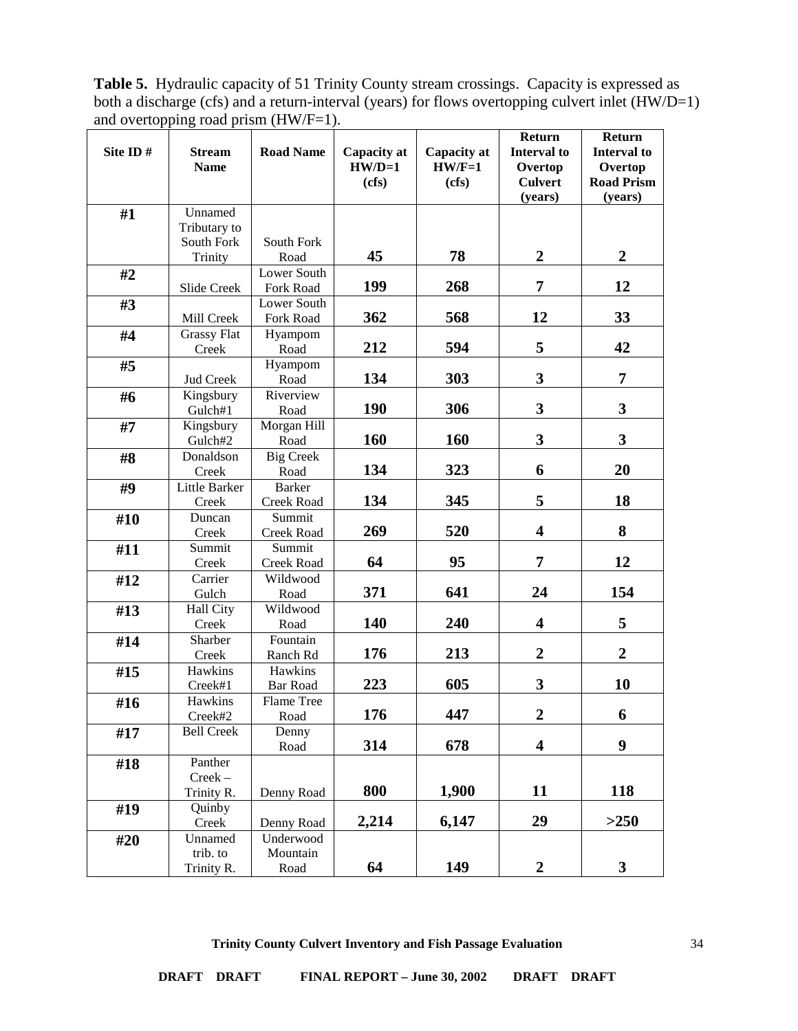**Table 5.** Hydraulic capacity of 51 Trinity County stream crossings. Capacity is expressed as both a discharge (cfs) and a return-interval (years) for flows overtopping culvert inlet (HW/D=1) and overtopping road prism (HW/F=1).

| Site ID# |                              |                             |                         |                         | Return<br><b>Interval to</b> | Return                  |
|----------|------------------------------|-----------------------------|-------------------------|-------------------------|------------------------------|-------------------------|
|          | <b>Stream</b><br><b>Name</b> | <b>Road Name</b>            | Capacity at<br>$HW/D=1$ | Capacity at<br>$HW/F=1$ | Overtop                      | Interval to<br>Overtop  |
|          |                              |                             | (cfs)                   | (cfs)                   | <b>Culvert</b>               | <b>Road Prism</b>       |
|          |                              |                             |                         |                         | (years)                      | (years)                 |
| #1       | Unnamed                      |                             |                         |                         |                              |                         |
|          | Tributary to                 |                             |                         |                         |                              |                         |
|          | South Fork                   | South Fork                  |                         |                         |                              |                         |
|          | Trinity                      | Road                        | 45                      | 78                      | $\boldsymbol{2}$             | $\boldsymbol{2}$        |
| #2       |                              | Lower South                 |                         |                         |                              |                         |
|          | Slide Creek                  | Fork Road                   | 199                     | 268                     | 7                            | 12                      |
| #3       |                              | Lower South                 |                         |                         |                              |                         |
|          | Mill Creek                   | Fork Road                   | 362                     | 568                     | 12                           | 33                      |
| #4       | <b>Grassy Flat</b>           | Hyampom                     |                         |                         |                              |                         |
|          | Creek                        | Road                        | 212                     | 594                     | 5                            | 42                      |
| #5       |                              | Hyampom                     |                         |                         |                              |                         |
|          | Jud Creek                    | Road                        | 134                     | 303                     | 3                            | 7                       |
| #6       | Kingsbury                    | Riverview                   |                         |                         |                              |                         |
|          | Gulch#1                      | Road                        | 190                     | 306                     | 3                            | $\overline{\mathbf{3}}$ |
| #7       | Kingsbury                    | Morgan Hill                 | 160                     | 160                     | 3                            | 3                       |
|          | Gulch#2                      | Road                        |                         |                         |                              |                         |
| #8       | Donaldson                    | <b>Big Creek</b>            | 134                     | 323                     | 6                            | 20                      |
|          | Creek                        | Road                        |                         |                         |                              |                         |
| #9       | Little Barker<br>Creek       | <b>Barker</b><br>Creek Road | 134                     | 345                     | 5                            | 18                      |
|          | Duncan                       | Summit                      |                         |                         |                              |                         |
| #10      | Creek                        | Creek Road                  | 269                     | 520                     | $\overline{\mathbf{4}}$      | 8                       |
| #11      | Summit                       | Summit                      |                         |                         |                              |                         |
|          | Creek                        | <b>Creek Road</b>           | 64                      | 95                      | 7                            | 12                      |
| #12      | Carrier                      | Wildwood                    |                         |                         |                              |                         |
|          | Gulch                        | Road                        | 371                     | 641                     | 24                           | 154                     |
| #13      | Hall City                    | Wildwood                    |                         |                         |                              |                         |
|          | Creek                        | Road                        | 140                     | 240                     | $\overline{\mathbf{4}}$      | 5                       |
| #14      | Sharber                      | Fountain                    |                         |                         |                              |                         |
|          | Creek                        | Ranch Rd                    | 176                     | 213                     | $\overline{2}$               | $\overline{2}$          |
| #15      | Hawkins                      | Hawkins                     |                         |                         |                              |                         |
|          | Creek#1                      | <b>Bar Road</b>             | 223                     | 605                     | 3                            | 10                      |
| #16      | Hawkins                      | Flame Tree                  |                         |                         |                              |                         |
|          | Creek#2                      | Road                        | 176                     | 447                     | $\boldsymbol{2}$             | 6                       |
| #17      | <b>Bell Creek</b>            | Denny                       |                         |                         |                              |                         |
|          |                              | Road                        | 314                     | 678                     | $\overline{\mathbf{4}}$      | $\boldsymbol{9}$        |
| #18      | Panther                      |                             |                         |                         |                              |                         |
|          | $Creek -$                    |                             |                         |                         |                              |                         |
|          | Trinity R.                   | Denny Road                  | 800                     | 1,900                   | 11                           | 118                     |
| #19      | Quinby                       |                             |                         |                         |                              |                         |
|          | Creek                        | Denny Road                  | 2,214                   | 6,147                   | 29                           | >250                    |
| #20      | Unnamed                      | Underwood                   |                         |                         |                              |                         |
|          | trib. to                     | Mountain                    | 64                      | 149                     | $\mathbf{2}$                 |                         |
|          | Trinity R.                   | Road                        |                         |                         |                              | 3 <sup>1</sup>          |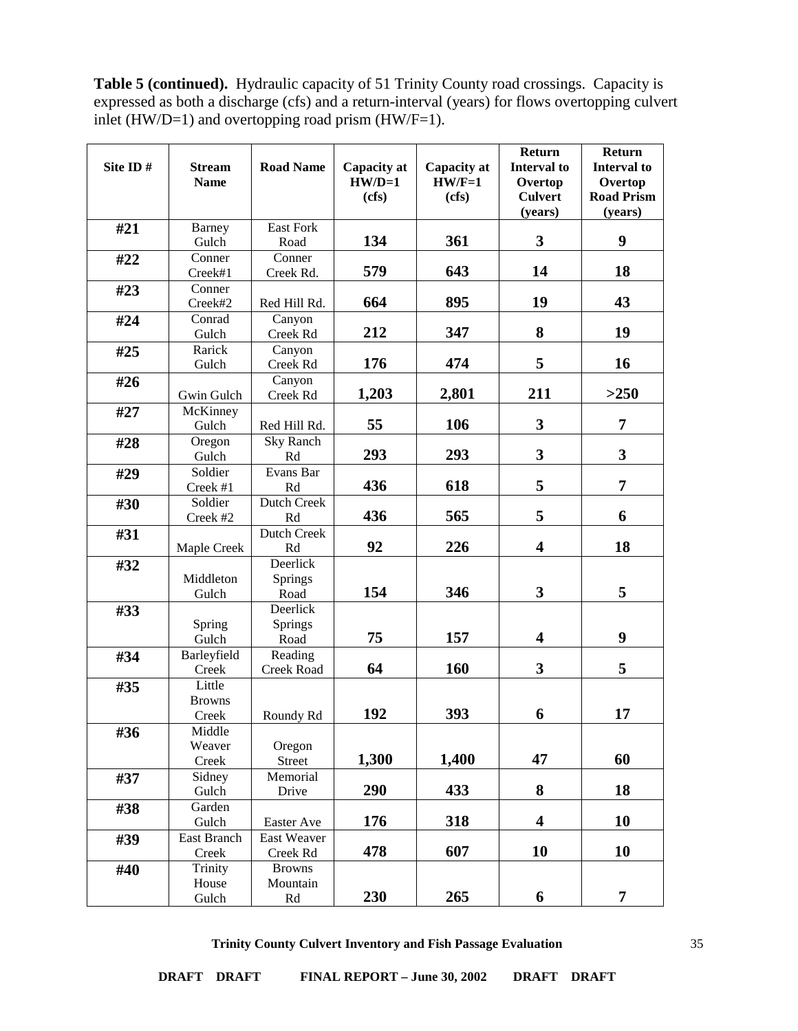**Table 5 (continued).** Hydraulic capacity of 51 Trinity County road crossings. Capacity is expressed as both a discharge (cfs) and a return-interval (years) for flows overtopping culvert inlet (HW/D=1) and overtopping road prism (HW/F=1).

| Site ID# | <b>Stream</b>      | <b>Road Name</b>         | Capacity at | Capacity at | Return<br><b>Interval</b> to | Return<br><b>Interval to</b> |
|----------|--------------------|--------------------------|-------------|-------------|------------------------------|------------------------------|
|          | <b>Name</b>        |                          | $HW/D=1$    | $HW/F=1$    | Overtop                      | Overtop                      |
|          |                    |                          | (cfs)       | (cfs)       | <b>Culvert</b>               | <b>Road Prism</b>            |
|          |                    |                          |             |             | (vears)                      | (vears)                      |
| #21      | Barney<br>Gulch    | <b>East Fork</b><br>Road | 134         | 361         | 3                            | 9                            |
| #22      | Conner             | Conner                   |             |             |                              |                              |
|          | Creek#1            | Creek Rd.                | 579         | 643         | 14                           | 18                           |
| #23      | Conner             |                          |             |             |                              |                              |
|          | Creek#2            | Red Hill Rd.             | 664         | 895         | 19                           | 43                           |
| #24      | Conrad             | Canyon                   |             |             |                              |                              |
|          | Gulch              | Creek Rd                 | 212         | 347         | 8                            | 19                           |
| #25      | Rarick             | Canyon                   |             |             |                              |                              |
|          | Gulch              | Creek Rd                 | 176         | 474         | 5                            | 16                           |
| #26      |                    | Canyon                   |             |             |                              |                              |
|          | Gwin Gulch         | Creek Rd                 | 1,203       | 2,801       | 211                          | >250                         |
| #27      | McKinney<br>Gulch  | Red Hill Rd.             | 55          | 106         | 3                            | 7                            |
| #28      | Oregon             | Sky Ranch                |             |             |                              |                              |
|          | Gulch              | Rd                       | 293         | 293         | 3                            | 3                            |
| #29      | Soldier            | Evans Bar                |             |             |                              |                              |
|          | Creek #1           | Rd                       | 436         | 618         | 5                            | 7                            |
| #30      | Soldier            | Dutch Creek              |             |             |                              |                              |
|          | Creek #2           | Rd                       | 436         | 565         | 5                            | 6                            |
| #31      |                    | Dutch Creek              |             |             |                              |                              |
|          | Maple Creek        | Rd                       | 92          | 226         | 4                            | 18                           |
| #32      |                    | Deerlick                 |             |             |                              |                              |
|          | Middleton<br>Gulch | <b>Springs</b><br>Road   | 154         | 346         | 3                            | 5                            |
| #33      |                    | Deerlick                 |             |             |                              |                              |
|          | Spring             | <b>Springs</b>           |             |             |                              |                              |
|          | Gulch              | Road                     | 75          | 157         | $\overline{\mathbf{4}}$      | 9                            |
| #34      | Barleyfield        | Reading                  |             |             |                              |                              |
|          | Creek              | Creek Road               | 64          | 160         | 3                            | 5                            |
| #35      | Little             |                          |             |             |                              |                              |
|          | <b>Browns</b>      |                          |             |             |                              |                              |
|          | Creek              | Roundy Rd                | 192         | 393         | 6                            | 17                           |
| #36      | Middle             |                          |             |             |                              |                              |
|          | Weaver             | Oregon                   |             |             |                              |                              |
|          | Creek              | Street                   | 1,300       | 1,400       | 47                           | 60                           |
| #37      | Sidney             | Memorial                 |             |             |                              |                              |
|          | Gulch              | Drive                    | 290         | 433         | 8                            | 18                           |
| #38      | Garden<br>Gulch    | Easter Ave               | 176         | 318         | $\overline{\mathbf{4}}$      | 10                           |
|          | <b>East Branch</b> | East Weaver              |             |             |                              |                              |
| #39      | Creek              | Creek Rd                 | 478         | 607         | 10                           | 10                           |
| #40      | Trinity            | <b>Browns</b>            |             |             |                              |                              |
|          | House              | Mountain                 |             |             |                              |                              |
|          | Gulch              | Rd                       | 230         | 265         | 6                            | 7                            |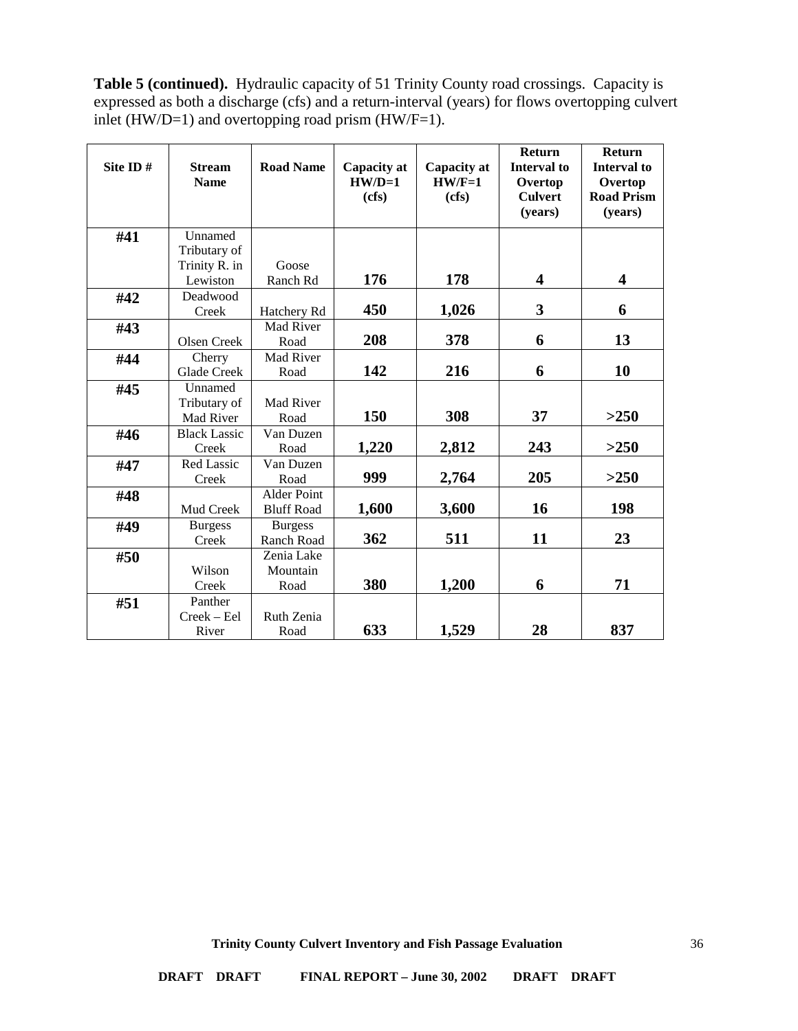**Table 5 (continued).** Hydraulic capacity of 51 Trinity County road crossings. Capacity is expressed as both a discharge (cfs) and a return-interval (years) for flows overtopping culvert inlet (HW/D=1) and overtopping road prism (HW/F=1).

| Site ID# | <b>Stream</b><br><b>Name</b> | <b>Road Name</b>   | Capacity at<br>$HW/D=1$<br>(cfs) | Capacity at<br>$HW/F=1$<br>(cfs) | <b>Return</b><br><b>Interval</b> to<br>Overtop<br><b>Culvert</b><br>(years) | <b>Return</b><br><b>Interval to</b><br>Overtop<br><b>Road Prism</b><br>(years) |
|----------|------------------------------|--------------------|----------------------------------|----------------------------------|-----------------------------------------------------------------------------|--------------------------------------------------------------------------------|
|          |                              |                    |                                  |                                  |                                                                             |                                                                                |
| #41      | Unnamed                      |                    |                                  |                                  |                                                                             |                                                                                |
|          | Tributary of                 |                    |                                  |                                  |                                                                             |                                                                                |
|          | Trinity R. in                | Goose              | 176                              | 178                              | $\overline{\mathbf{4}}$                                                     | 4                                                                              |
|          | Lewiston                     | Ranch Rd           |                                  |                                  |                                                                             |                                                                                |
| #42      | Deadwood                     |                    |                                  |                                  |                                                                             |                                                                                |
|          | Creek                        | Hatchery Rd        | 450                              | 1,026                            | 3                                                                           | 6                                                                              |
| #43      |                              | Mad River          |                                  |                                  |                                                                             |                                                                                |
|          | Olsen Creek                  | Road               | 208                              | 378                              | 6                                                                           | 13                                                                             |
| #44      | Cherry                       | Mad River          |                                  |                                  |                                                                             |                                                                                |
|          | Glade Creek                  | Road               | 142                              | 216                              | 6                                                                           | 10                                                                             |
| #45      | Unnamed                      |                    |                                  |                                  |                                                                             |                                                                                |
|          | Tributary of                 | Mad River          |                                  |                                  |                                                                             |                                                                                |
|          | Mad River                    | Road               | 150                              | 308                              | 37                                                                          | >250                                                                           |
| #46      | <b>Black Lassic</b>          | Van Duzen          |                                  |                                  |                                                                             |                                                                                |
|          | Creek                        | Road               | 1,220                            | 2,812                            | 243                                                                         | >250                                                                           |
| #47      | Red Lassic                   | Van Duzen          |                                  |                                  |                                                                             |                                                                                |
|          | Creek                        | Road               | 999                              | 2,764                            | 205                                                                         | >250                                                                           |
| #48      |                              | <b>Alder Point</b> |                                  |                                  |                                                                             |                                                                                |
|          | Mud Creek                    | <b>Bluff Road</b>  | 1,600                            | 3,600                            | 16                                                                          | 198                                                                            |
| #49      | <b>Burgess</b>               | <b>Burgess</b>     |                                  |                                  |                                                                             |                                                                                |
|          | Creek                        | Ranch Road         | 362                              | 511                              | 11                                                                          | 23                                                                             |
| #50      |                              | Zenia Lake         |                                  |                                  |                                                                             |                                                                                |
|          | Wilson                       | Mountain           |                                  |                                  |                                                                             |                                                                                |
|          | Creek                        | Road               | 380                              | 1,200                            | 6                                                                           | 71                                                                             |
| #51      | Panther                      |                    |                                  |                                  |                                                                             |                                                                                |
|          | Creek - Eel                  | Ruth Zenia         |                                  |                                  |                                                                             |                                                                                |
|          | River                        | Road               | 633                              | 1,529                            | 28                                                                          | 837                                                                            |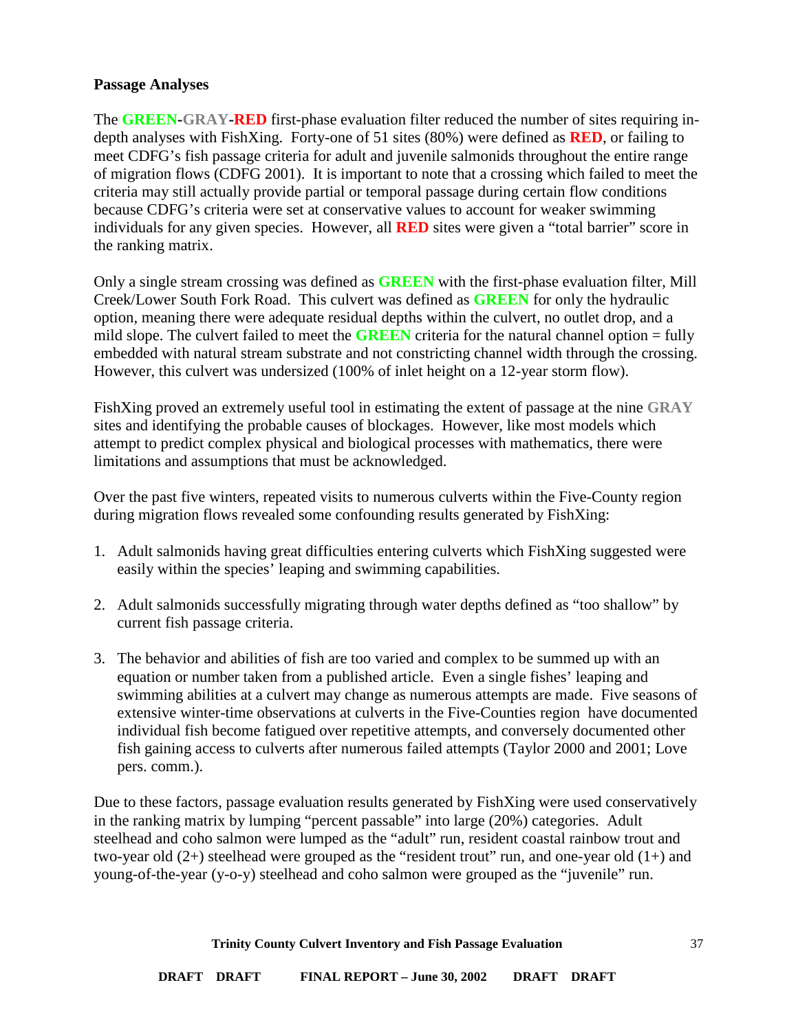### **Passage Analyses**

The **GREEN-GRAY-RED** first-phase evaluation filter reduced the number of sites requiring indepth analyses with FishXing. Forty-one of 51 sites (80%) were defined as **RED**, or failing to meet CDFG's fish passage criteria for adult and juvenile salmonids throughout the entire range of migration flows (CDFG 2001). It is important to note that a crossing which failed to meet the criteria may still actually provide partial or temporal passage during certain flow conditions because CDFG's criteria were set at conservative values to account for weaker swimming individuals for any given species. However, all **RED** sites were given a "total barrier" score in the ranking matrix.

Only a single stream crossing was defined as **GREEN** with the first-phase evaluation filter, Mill Creek/Lower South Fork Road. This culvert was defined as **GREEN** for only the hydraulic option, meaning there were adequate residual depths within the culvert, no outlet drop, and a mild slope. The culvert failed to meet the **GREEN** criteria for the natural channel option = fully embedded with natural stream substrate and not constricting channel width through the crossing. However, this culvert was undersized (100% of inlet height on a 12-year storm flow).

FishXing proved an extremely useful tool in estimating the extent of passage at the nine **GRAY** sites and identifying the probable causes of blockages. However, like most models which attempt to predict complex physical and biological processes with mathematics, there were limitations and assumptions that must be acknowledged.

Over the past five winters, repeated visits to numerous culverts within the Five-County region during migration flows revealed some confounding results generated by FishXing:

- 1. Adult salmonids having great difficulties entering culverts which FishXing suggested were easily within the species' leaping and swimming capabilities.
- 2. Adult salmonids successfully migrating through water depths defined as "too shallow" by current fish passage criteria.
- 3. The behavior and abilities of fish are too varied and complex to be summed up with an equation or number taken from a published article. Even a single fishes' leaping and swimming abilities at a culvert may change as numerous attempts are made. Five seasons of extensive winter-time observations at culverts in the Five-Counties region have documented individual fish become fatigued over repetitive attempts, and conversely documented other fish gaining access to culverts after numerous failed attempts (Taylor 2000 and 2001; Love pers. comm.).

Due to these factors, passage evaluation results generated by FishXing were used conservatively in the ranking matrix by lumping "percent passable" into large (20%) categories. Adult steelhead and coho salmon were lumped as the "adult" run, resident coastal rainbow trout and two-year old  $(2+)$  steelhead were grouped as the "resident trout" run, and one-year old  $(1+)$  and young-of-the-year (y-o-y) steelhead and coho salmon were grouped as the "juvenile" run.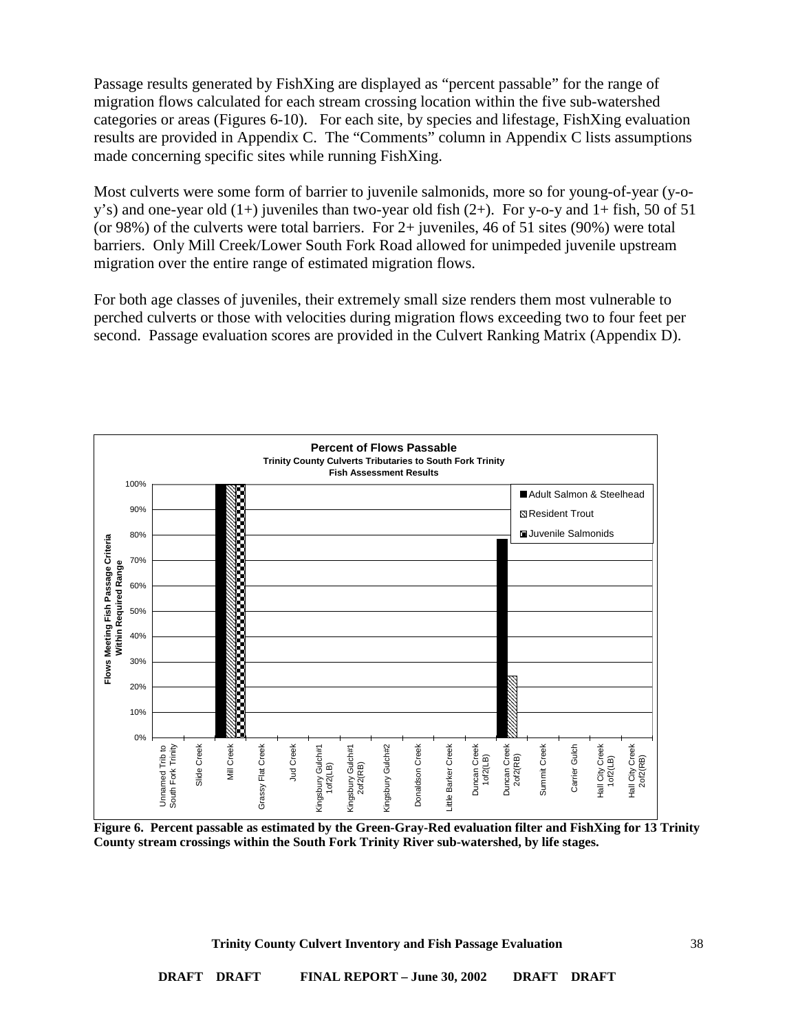Passage results generated by FishXing are displayed as "percent passable" for the range of migration flows calculated for each stream crossing location within the five sub-watershed categories or areas (Figures 6-10). For each site, by species and lifestage, FishXing evaluation results are provided in Appendix C. The "Comments" column in Appendix C lists assumptions made concerning specific sites while running FishXing.

Most culverts were some form of barrier to juvenile salmonids, more so for young-of-year (y-oy's) and one-year old  $(1+)$  juveniles than two-year old fish  $(2+)$ . For y-o-y and  $1+$  fish, 50 of 51 (or 98%) of the culverts were total barriers. For 2+ juveniles, 46 of 51 sites (90%) were total barriers. Only Mill Creek/Lower South Fork Road allowed for unimpeded juvenile upstream migration over the entire range of estimated migration flows.

For both age classes of juveniles, their extremely small size renders them most vulnerable to perched culverts or those with velocities during migration flows exceeding two to four feet per second. Passage evaluation scores are provided in the Culvert Ranking Matrix (Appendix D).



**Figure 6. Percent passable as estimated by the Green-Gray-Red evaluation filter and FishXing for 13 Trinity County stream crossings within the South Fork Trinity River sub-watershed, by life stages.**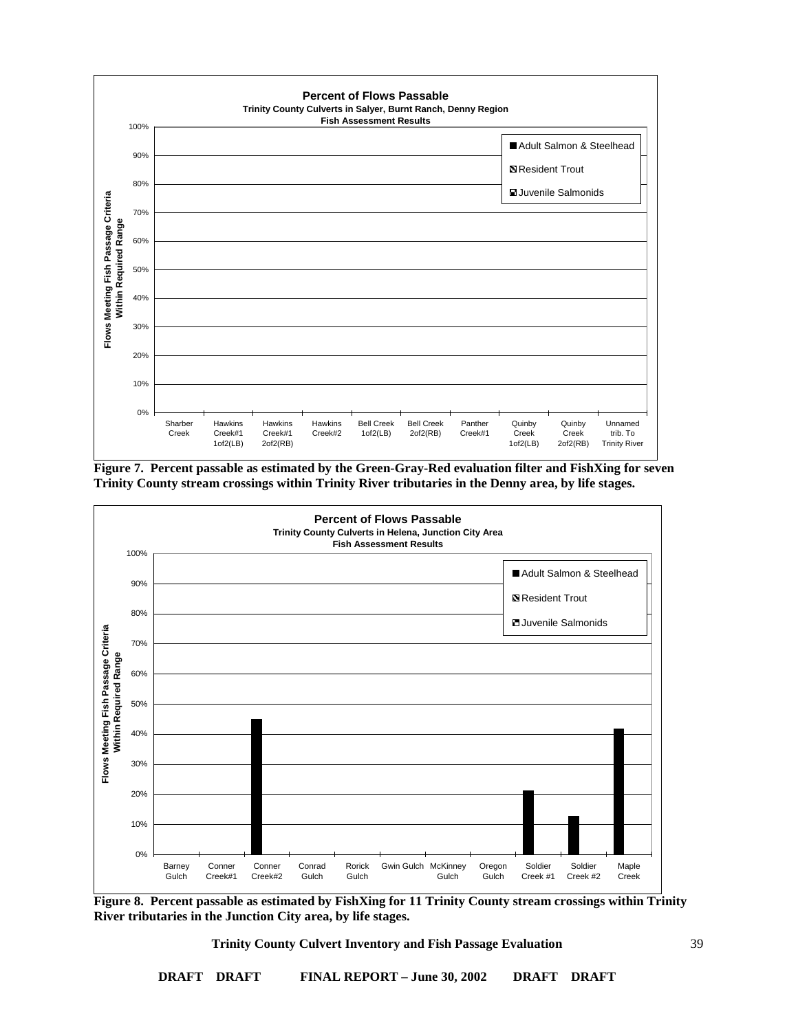

**Figure 7. Percent passable as estimated by the Green-Gray-Red evaluation filter and FishXing for seven Trinity County stream crossings within Trinity River tributaries in the Denny area, by life stages.**



**Figure 8. Percent passable as estimated by FishXing for 11 Trinity County stream crossings within Trinity River tributaries in the Junction City area, by life stages.**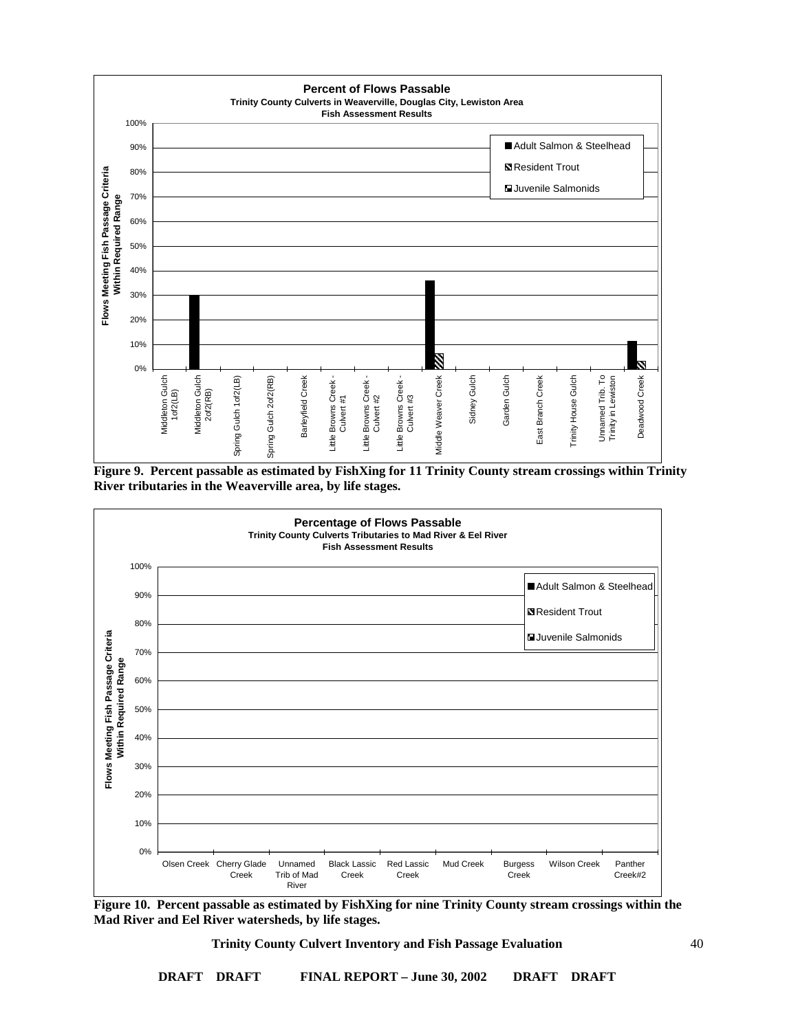

**Figure 9. Percent passable as estimated by FishXing for 11 Trinity County stream crossings within Trinity River tributaries in the Weaverville area, by life stages.**



**Figure 10. Percent passable as estimated by FishXing for nine Trinity County stream crossings within the Mad River and Eel River watersheds, by life stages.**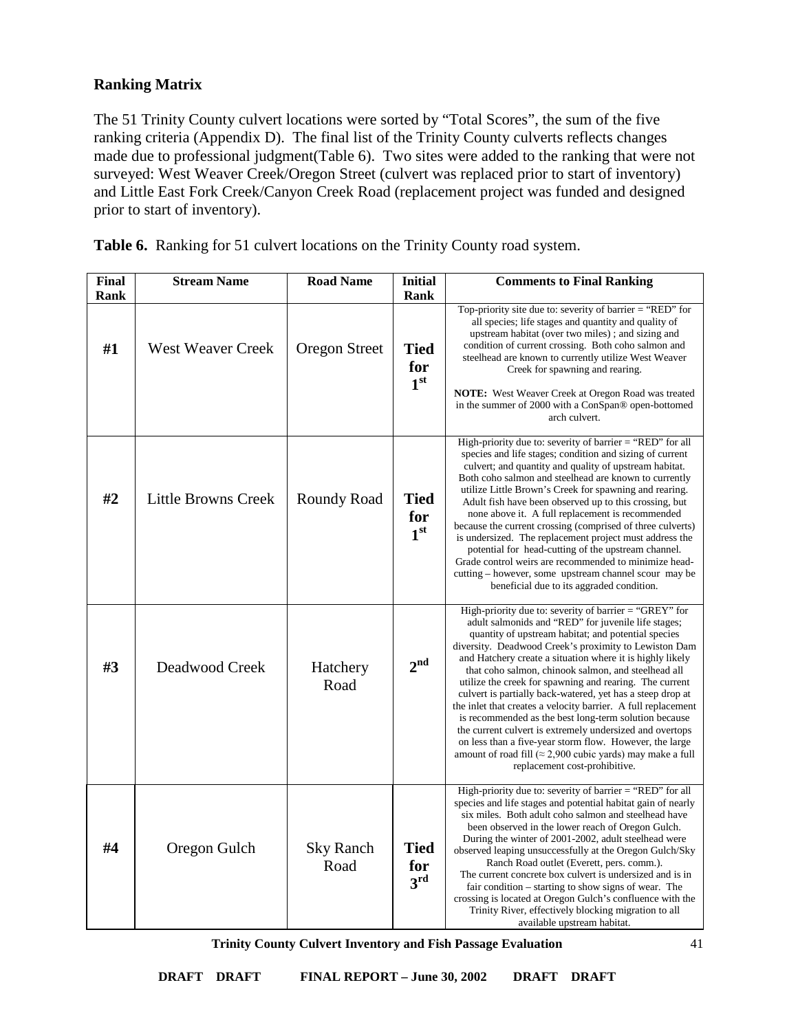## **Ranking Matrix**

The 51 Trinity County culvert locations were sorted by "Total Scores", the sum of the five ranking criteria (Appendix D). The final list of the Trinity County culverts reflects changes made due to professional judgment(Table 6). Two sites were added to the ranking that were not surveyed: West Weaver Creek/Oregon Street (culvert was replaced prior to start of inventory) and Little East Fork Creek/Canyon Creek Road (replacement project was funded and designed prior to start of inventory).

|  | Table 6. Ranking for 51 culvert locations on the Trinity County road system. |  |  |  |  |  |
|--|------------------------------------------------------------------------------|--|--|--|--|--|
|--|------------------------------------------------------------------------------|--|--|--|--|--|

| <b>Final</b><br>Rank | <b>Stream Name</b>         | <b>Road Name</b>         | <b>Initial</b><br><b>Rank</b>         | <b>Comments to Final Ranking</b>                                                                                                                                                                                                                                                                                                                                                                                                                                                                                                                                                                                                                                                                                                                                                                                          |
|----------------------|----------------------------|--------------------------|---------------------------------------|---------------------------------------------------------------------------------------------------------------------------------------------------------------------------------------------------------------------------------------------------------------------------------------------------------------------------------------------------------------------------------------------------------------------------------------------------------------------------------------------------------------------------------------------------------------------------------------------------------------------------------------------------------------------------------------------------------------------------------------------------------------------------------------------------------------------------|
| #1                   | <b>West Weaver Creek</b>   | <b>Oregon Street</b>     | <b>Tied</b><br>for<br>1 <sup>st</sup> | Top-priority site due to: severity of barrier = "RED" for<br>all species; life stages and quantity and quality of<br>upstream habitat (over two miles); and sizing and<br>condition of current crossing. Both coho salmon and<br>steelhead are known to currently utilize West Weaver<br>Creek for spawning and rearing.<br><b>NOTE:</b> West Weaver Creek at Oregon Road was treated<br>in the summer of 2000 with a ConSpan® open-bottomed<br>arch culvert.                                                                                                                                                                                                                                                                                                                                                             |
| #2                   | <b>Little Browns Creek</b> | <b>Roundy Road</b>       | <b>Tied</b><br>for<br>1 <sup>st</sup> | High-priority due to: severity of barrier $=$ "RED" for all<br>species and life stages; condition and sizing of current<br>culvert; and quantity and quality of upstream habitat.<br>Both coho salmon and steelhead are known to currently<br>utilize Little Brown's Creek for spawning and rearing.<br>Adult fish have been observed up to this crossing, but<br>none above it. A full replacement is recommended<br>because the current crossing (comprised of three culverts)<br>is undersized. The replacement project must address the<br>potential for head-cutting of the upstream channel.<br>Grade control weirs are recommended to minimize head-<br>cutting – however, some upstream channel scour may be<br>beneficial due to its aggraded condition.                                                         |
| #3                   | Deadwood Creek             | Hatchery<br>Road         | 2 <sup>nd</sup>                       | High-priority due to: severity of barrier = "GREY" for<br>adult salmonids and "RED" for juvenile life stages;<br>quantity of upstream habitat; and potential species<br>diversity. Deadwood Creek's proximity to Lewiston Dam<br>and Hatchery create a situation where it is highly likely<br>that coho salmon, chinook salmon, and steelhead all<br>utilize the creek for spawning and rearing. The current<br>culvert is partially back-watered, yet has a steep drop at<br>the inlet that creates a velocity barrier. A full replacement<br>is recommended as the best long-term solution because<br>the current culvert is extremely undersized and overtops<br>on less than a five-year storm flow. However, the large<br>amount of road fill (≈ 2,900 cubic yards) may make a full<br>replacement cost-prohibitive. |
| #4                   | Oregon Gulch               | <b>Sky Ranch</b><br>Road | <b>Tied</b><br>for<br>3 <sup>rd</sup> | High-priority due to: severity of barrier $=$ "RED" for all<br>species and life stages and potential habitat gain of nearly<br>six miles. Both adult coho salmon and steelhead have<br>been observed in the lower reach of Oregon Gulch.<br>During the winter of 2001-2002, adult steelhead were<br>observed leaping unsuccessfully at the Oregon Gulch/Sky<br>Ranch Road outlet (Everett, pers. comm.).<br>The current concrete box culvert is undersized and is in<br>fair condition – starting to show signs of wear. The<br>crossing is located at Oregon Gulch's confluence with the<br>Trinity River, effectively blocking migration to all<br>available upstream habitat.                                                                                                                                          |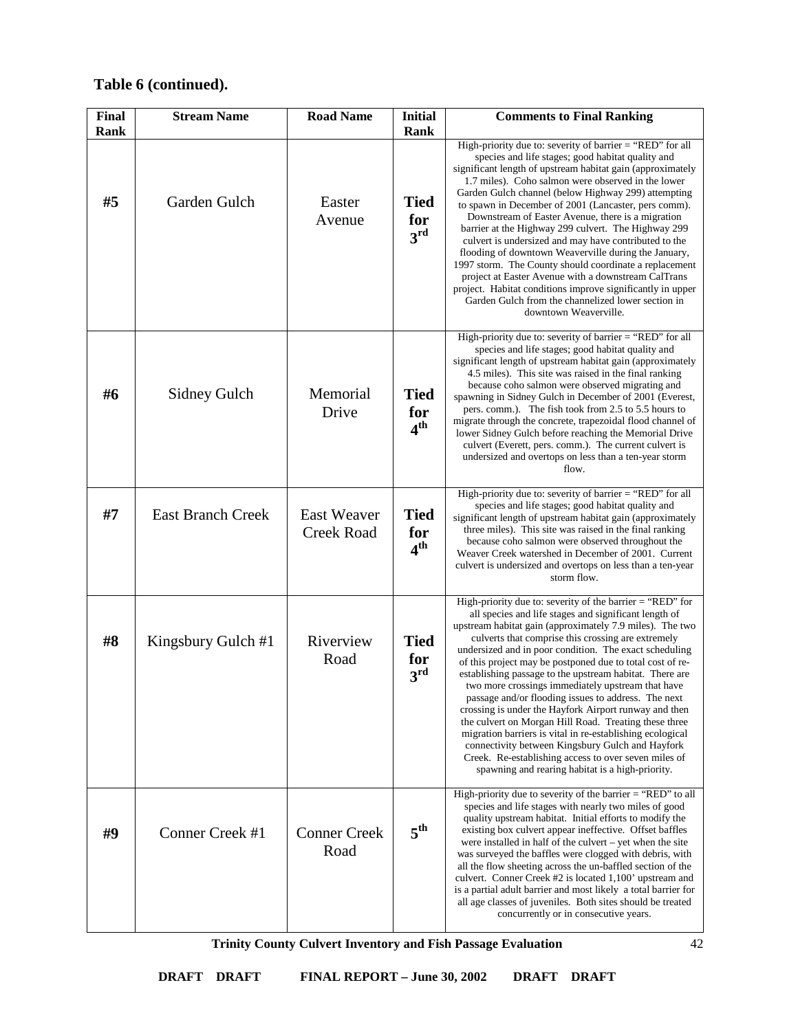| Final<br>Rank | <b>Stream Name</b>       | <b>Road Name</b>                        | <b>Initial</b><br>Rank                | <b>Comments to Final Ranking</b>                                                                                                                                                                                                                                                                                                                                                                                                                                                                                                                                                                                                                                                                                                                                                                                                                                                    |
|---------------|--------------------------|-----------------------------------------|---------------------------------------|-------------------------------------------------------------------------------------------------------------------------------------------------------------------------------------------------------------------------------------------------------------------------------------------------------------------------------------------------------------------------------------------------------------------------------------------------------------------------------------------------------------------------------------------------------------------------------------------------------------------------------------------------------------------------------------------------------------------------------------------------------------------------------------------------------------------------------------------------------------------------------------|
| #5            | Garden Gulch             | Easter<br>Avenue                        | <b>Tied</b><br>for<br>3 <sup>rd</sup> | High-priority due to: severity of barrier = "RED" for all<br>species and life stages; good habitat quality and<br>significant length of upstream habitat gain (approximately<br>1.7 miles). Coho salmon were observed in the lower<br>Garden Gulch channel (below Highway 299) attempting<br>to spawn in December of 2001 (Lancaster, pers comm).<br>Downstream of Easter Avenue, there is a migration<br>barrier at the Highway 299 culvert. The Highway 299<br>culvert is undersized and may have contributed to the<br>flooding of downtown Weaverville during the January,<br>1997 storm. The County should coordinate a replacement<br>project at Easter Avenue with a downstream CalTrans<br>project. Habitat conditions improve significantly in upper<br>Garden Gulch from the channelized lower section in<br>downtown Weaverville.                                        |
| #6            | <b>Sidney Gulch</b>      | Memorial<br>Drive                       | <b>Tied</b><br>for<br>4 <sup>th</sup> | High-priority due to: severity of barrier = "RED" for all<br>species and life stages; good habitat quality and<br>significant length of upstream habitat gain (approximately<br>4.5 miles). This site was raised in the final ranking<br>because coho salmon were observed migrating and<br>spawning in Sidney Gulch in December of 2001 (Everest,<br>pers. comm.). The fish took from 2.5 to 5.5 hours to<br>migrate through the concrete, trapezoidal flood channel of<br>lower Sidney Gulch before reaching the Memorial Drive<br>culvert (Everett, pers. comm.). The current culvert is<br>undersized and overtops on less than a ten-year storm<br>flow.                                                                                                                                                                                                                       |
| #7            | <b>East Branch Creek</b> | <b>East Weaver</b><br><b>Creek Road</b> | <b>Tied</b><br>for<br>4 <sup>th</sup> | High-priority due to: severity of barrier = "RED" for all<br>species and life stages; good habitat quality and<br>significant length of upstream habitat gain (approximately<br>three miles). This site was raised in the final ranking<br>because coho salmon were observed throughout the<br>Weaver Creek watershed in December of 2001. Current<br>culvert is undersized and overtops on less than a ten-year<br>storm flow.                                                                                                                                                                                                                                                                                                                                                                                                                                                     |
| #8            | Kingsbury Gulch #1       | Riverview<br>Road                       | <b>Tied</b><br>for<br>3 <sup>rd</sup> | High-priority due to: severity of the barrier $=$ "RED" for<br>all species and life stages and significant length of<br>upstream habitat gain (approximately 7.9 miles). The two<br>culverts that comprise this crossing are extremely<br>undersized and in poor condition. The exact scheduling<br>of this project may be postponed due to total cost of re-<br>establishing passage to the upstream habitat. There are<br>two more crossings immediately upstream that have<br>passage and/or flooding issues to address. The next<br>crossing is under the Hayfork Airport runway and then<br>the culvert on Morgan Hill Road. Treating these three<br>migration barriers is vital in re-establishing ecological<br>connectivity between Kingsbury Gulch and Hayfork<br>Creek. Re-establishing access to over seven miles of<br>spawning and rearing habitat is a high-priority. |
| #9            | Conner Creek #1          | <b>Conner Creek</b><br>Road             | 5 <sup>th</sup>                       | High-priority due to severity of the barrier = "RED" to all<br>species and life stages with nearly two miles of good<br>quality upstream habitat. Initial efforts to modify the<br>existing box culvert appear ineffective. Offset baffles<br>were installed in half of the culvert – yet when the site<br>was surveyed the baffles were clogged with debris, with<br>all the flow sheeting across the un-baffled section of the<br>culvert. Conner Creek #2 is located 1,100' upstream and<br>is a partial adult barrier and most likely a total barrier for<br>all age classes of juveniles. Both sites should be treated<br>concurrently or in consecutive years.                                                                                                                                                                                                                |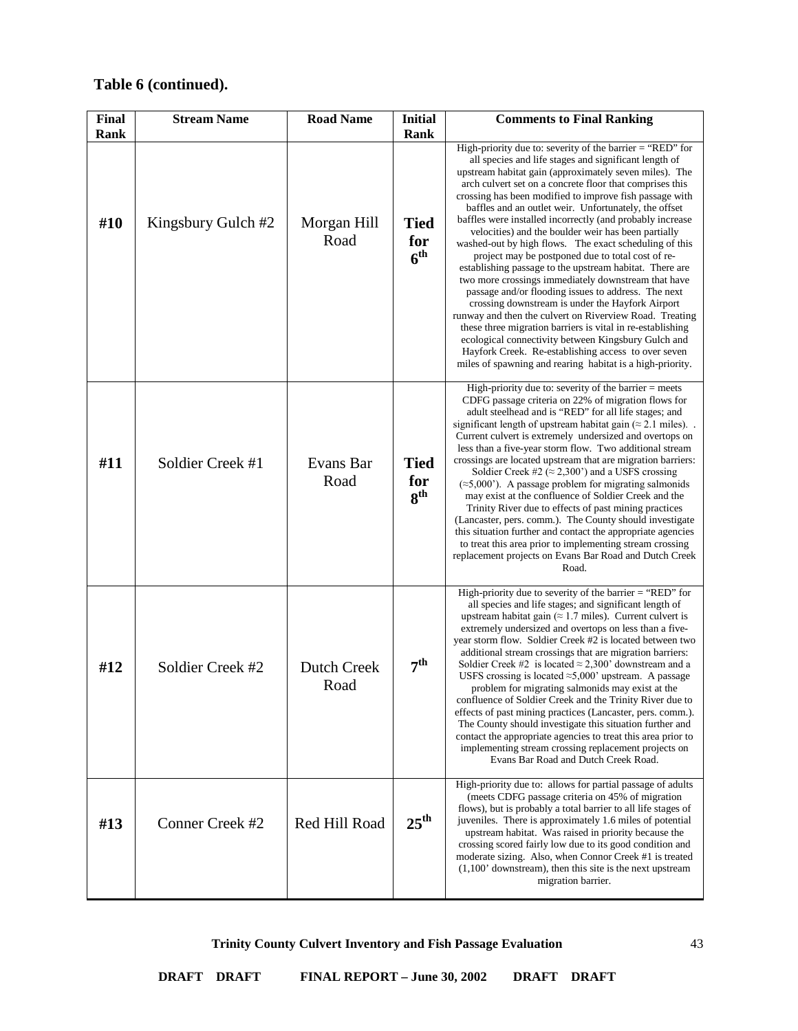| <b>Final</b> | <b>Stream Name</b> | <b>Road Name</b>           | <b>Initial</b>                        | <b>Comments to Final Ranking</b>                                                                                                                                                                                                                                                                                                                                                                                                                                                                                                                                                                                                                                                                                                                                                                                                                                                                                                                                                                                                                                                                                                   |
|--------------|--------------------|----------------------------|---------------------------------------|------------------------------------------------------------------------------------------------------------------------------------------------------------------------------------------------------------------------------------------------------------------------------------------------------------------------------------------------------------------------------------------------------------------------------------------------------------------------------------------------------------------------------------------------------------------------------------------------------------------------------------------------------------------------------------------------------------------------------------------------------------------------------------------------------------------------------------------------------------------------------------------------------------------------------------------------------------------------------------------------------------------------------------------------------------------------------------------------------------------------------------|
| Rank         |                    |                            | Rank                                  |                                                                                                                                                                                                                                                                                                                                                                                                                                                                                                                                                                                                                                                                                                                                                                                                                                                                                                                                                                                                                                                                                                                                    |
| #10          | Kingsbury Gulch #2 | Morgan Hill<br>Road        | <b>Tied</b><br>for<br>6 <sup>th</sup> | High-priority due to: severity of the barrier $=$ "RED" for<br>all species and life stages and significant length of<br>upstream habitat gain (approximately seven miles). The<br>arch culvert set on a concrete floor that comprises this<br>crossing has been modified to improve fish passage with<br>baffles and an outlet weir. Unfortunately, the offset<br>baffles were installed incorrectly (and probably increase<br>velocities) and the boulder weir has been partially<br>washed-out by high flows. The exact scheduling of this<br>project may be postponed due to total cost of re-<br>establishing passage to the upstream habitat. There are<br>two more crossings immediately downstream that have<br>passage and/or flooding issues to address. The next<br>crossing downstream is under the Hayfork Airport<br>runway and then the culvert on Riverview Road. Treating<br>these three migration barriers is vital in re-establishing<br>ecological connectivity between Kingsbury Gulch and<br>Hayfork Creek. Re-establishing access to over seven<br>miles of spawning and rearing habitat is a high-priority. |
| #11          | Soldier Creek #1   | Evans Bar<br>Road          | <b>Tied</b><br>for<br>8 <sup>th</sup> | High-priority due to: severity of the barrier $=$ meets<br>CDFG passage criteria on 22% of migration flows for<br>adult steelhead and is "RED" for all life stages; and<br>significant length of upstream habitat gain ( $\approx$ 2.1 miles).<br>Current culvert is extremely undersized and overtops on<br>less than a five-year storm flow. Two additional stream<br>crossings are located upstream that are migration barriers:<br>Soldier Creek #2 ( $\approx$ 2,300°) and a USFS crossing<br>$(\approx 5,000^{\circ})$ . A passage problem for migrating salmonids<br>may exist at the confluence of Soldier Creek and the<br>Trinity River due to effects of past mining practices<br>(Lancaster, pers. comm.). The County should investigate<br>this situation further and contact the appropriate agencies<br>to treat this area prior to implementing stream crossing<br>replacement projects on Evans Bar Road and Dutch Creek<br>Road.                                                                                                                                                                                 |
| #12          | Soldier Creek #2   | <b>Dutch Creek</b><br>Road | 7 <sup>th</sup>                       | High-priority due to severity of the barrier = "RED" for<br>all species and life stages; and significant length of<br>upstream habitat gain ( $\approx$ 1.7 miles). Current culvert is<br>extremely undersized and overtops on less than a five-<br>year storm flow. Soldier Creek #2 is located between two<br>additional stream crossings that are migration barriers:<br>Soldier Creek #2 is located $\approx$ 2,300' downstream and a<br>USFS crossing is located $\approx$ 5,000' upstream. A passage<br>problem for migrating salmonids may exist at the<br>confluence of Soldier Creek and the Trinity River due to<br>effects of past mining practices (Lancaster, pers. comm.).<br>The County should investigate this situation further and<br>contact the appropriate agencies to treat this area prior to<br>implementing stream crossing replacement projects on<br>Evans Bar Road and Dutch Creek Road.                                                                                                                                                                                                               |
| #13          | Conner Creek #2    | Red Hill Road              | $25^{\text{th}}$                      | High-priority due to: allows for partial passage of adults<br>(meets CDFG passage criteria on 45% of migration<br>flows), but is probably a total barrier to all life stages of<br>juveniles. There is approximately 1.6 miles of potential<br>upstream habitat. Was raised in priority because the<br>crossing scored fairly low due to its good condition and<br>moderate sizing. Also, when Connor Creek #1 is treated<br>$(1,100)$ ' downstream), then this site is the next upstream<br>migration barrier.                                                                                                                                                                                                                                                                                                                                                                                                                                                                                                                                                                                                                    |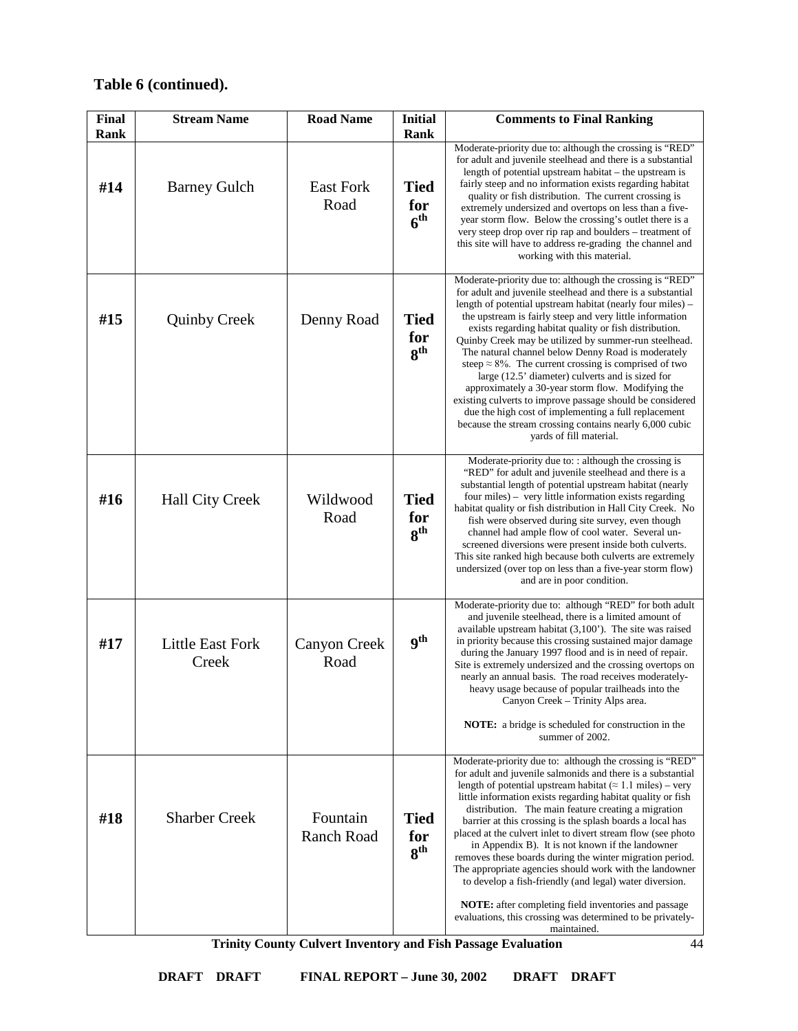| <b>Final</b><br>Rank | <b>Stream Name</b>               | <b>Road Name</b>              | <b>Initial</b><br>Rank                | <b>Comments to Final Ranking</b>                                                                                                                                                                                                                                                                                                                                                                                                                                                                                                                                                                                                                                                                                                                                                                                            |
|----------------------|----------------------------------|-------------------------------|---------------------------------------|-----------------------------------------------------------------------------------------------------------------------------------------------------------------------------------------------------------------------------------------------------------------------------------------------------------------------------------------------------------------------------------------------------------------------------------------------------------------------------------------------------------------------------------------------------------------------------------------------------------------------------------------------------------------------------------------------------------------------------------------------------------------------------------------------------------------------------|
| #14                  | <b>Barney Gulch</b>              | <b>East Fork</b><br>Road      | <b>Tied</b><br>for<br>6 <sup>th</sup> | Moderate-priority due to: although the crossing is "RED"<br>for adult and juvenile steelhead and there is a substantial<br>length of potential upstream habitat – the upstream is<br>fairly steep and no information exists regarding habitat<br>quality or fish distribution. The current crossing is<br>extremely undersized and overtops on less than a five-<br>year storm flow. Below the crossing's outlet there is a<br>very steep drop over rip rap and boulders – treatment of<br>this site will have to address re-grading the channel and<br>working with this material.                                                                                                                                                                                                                                         |
| #15                  | <b>Quinby Creek</b>              | Denny Road                    | <b>Tied</b><br>for<br>8 <sup>th</sup> | Moderate-priority due to: although the crossing is "RED"<br>for adult and juvenile steelhead and there is a substantial<br>length of potential upstream habitat (nearly four miles) –<br>the upstream is fairly steep and very little information<br>exists regarding habitat quality or fish distribution.<br>Quinby Creek may be utilized by summer-run steelhead.<br>The natural channel below Denny Road is moderately<br>steep $\approx 8\%$ . The current crossing is comprised of two<br>large (12.5' diameter) culverts and is sized for<br>approximately a 30-year storm flow. Modifying the<br>existing culverts to improve passage should be considered<br>due the high cost of implementing a full replacement<br>because the stream crossing contains nearly 6,000 cubic<br>yards of fill material.            |
| #16                  | Hall City Creek                  | Wildwood<br>Road              | <b>Tied</b><br>for<br>8 <sup>th</sup> | Moderate-priority due to: $:$ although the crossing is<br>"RED" for adult and juvenile steelhead and there is a<br>substantial length of potential upstream habitat (nearly<br>four miles) – very little information exists regarding<br>habitat quality or fish distribution in Hall City Creek. No<br>fish were observed during site survey, even though<br>channel had ample flow of cool water. Several un-<br>screened diversions were present inside both culverts.<br>This site ranked high because both culverts are extremely<br>undersized (over top on less than a five-year storm flow)<br>and are in poor condition.                                                                                                                                                                                           |
| #17                  | <b>Little East Fork</b><br>Creek | Canyon Creek<br>Road          | <b>gth</b>                            | Moderate-priority due to: although "RED" for both adult<br>and juvenile steelhead, there is a limited amount of<br>available upstream habitat $(3,100)$ . The site was raised<br>in priority because this crossing sustained major damage<br>during the January 1997 flood and is in need of repair.<br>Site is extremely undersized and the crossing overtops on<br>nearly an annual basis. The road receives moderately-<br>heavy usage because of popular trailheads into the<br>Canyon Creek - Trinity Alps area.<br><b>NOTE:</b> a bridge is scheduled for construction in the<br>summer of 2002.                                                                                                                                                                                                                      |
| #18                  | <b>Sharber Creek</b>             | Fountain<br><b>Ranch Road</b> | <b>Tied</b><br>for<br>8 <sup>th</sup> | Moderate-priority due to: although the crossing is "RED"<br>for adult and juvenile salmonids and there is a substantial<br>length of potential upstream habitat ( $\approx 1.1$ miles) – very<br>little information exists regarding habitat quality or fish<br>distribution. The main feature creating a migration<br>barrier at this crossing is the splash boards a local has<br>placed at the culvert inlet to divert stream flow (see photo<br>in Appendix B). It is not known if the landowner<br>removes these boards during the winter migration period.<br>The appropriate agencies should work with the landowner<br>to develop a fish-friendly (and legal) water diversion.<br>NOTE: after completing field inventories and passage<br>evaluations, this crossing was determined to be privately-<br>maintained. |

**Trinity County Culvert Inventory and Fish Passage Evaluation**

44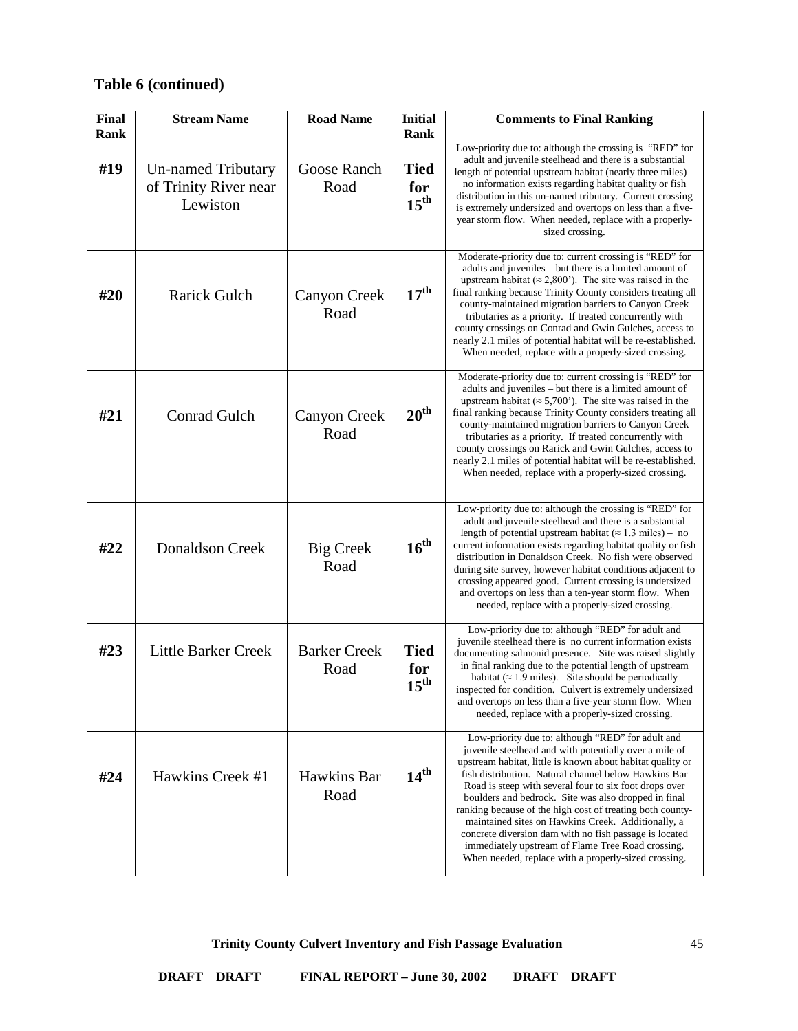| Final<br>Rank | <b>Stream Name</b>                                             | <b>Road Name</b>            | <b>Initial</b><br>Rank                 | <b>Comments to Final Ranking</b>                                                                                                                                                                                                                                                                                                                                                                                                                                                                                                                                                                                                              |
|---------------|----------------------------------------------------------------|-----------------------------|----------------------------------------|-----------------------------------------------------------------------------------------------------------------------------------------------------------------------------------------------------------------------------------------------------------------------------------------------------------------------------------------------------------------------------------------------------------------------------------------------------------------------------------------------------------------------------------------------------------------------------------------------------------------------------------------------|
| #19           | <b>Un-named Tributary</b><br>of Trinity River near<br>Lewiston | Goose Ranch<br>Road         | <b>Tied</b><br>for<br>$15^{\text{th}}$ | Low-priority due to: although the crossing is "RED" for<br>adult and juvenile steelhead and there is a substantial<br>length of potential upstream habitat (nearly three miles) –<br>no information exists regarding habitat quality or fish<br>distribution in this un-named tributary. Current crossing<br>is extremely undersized and overtops on less than a five-<br>year storm flow. When needed, replace with a properly-<br>sized crossing.                                                                                                                                                                                           |
| #20           | <b>Rarick Gulch</b>                                            | <b>Canyon Creek</b><br>Road | 17 <sup>th</sup>                       | Moderate-priority due to: current crossing is "RED" for<br>adults and juveniles - but there is a limited amount of<br>upstream habitat ( $\approx$ 2,800'). The site was raised in the<br>final ranking because Trinity County considers treating all<br>county-maintained migration barriers to Canyon Creek<br>tributaries as a priority. If treated concurrently with<br>county crossings on Conrad and Gwin Gulches, access to<br>nearly 2.1 miles of potential habitat will be re-established.<br>When needed, replace with a properly-sized crossing.                                                                                   |
| #21           | Conrad Gulch                                                   | <b>Canyon Creek</b><br>Road | 20 <sup>th</sup>                       | Moderate-priority due to: current crossing is "RED" for<br>adults and juveniles - but there is a limited amount of<br>upstream habitat ( $\approx$ 5,700'). The site was raised in the<br>final ranking because Trinity County considers treating all<br>county-maintained migration barriers to Canyon Creek<br>tributaries as a priority. If treated concurrently with<br>county crossings on Rarick and Gwin Gulches, access to<br>nearly 2.1 miles of potential habitat will be re-established.<br>When needed, replace with a properly-sized crossing.                                                                                   |
| #22           | <b>Donaldson Creek</b>                                         | <b>Big Creek</b><br>Road    | $16^{th}$                              | Low-priority due to: although the crossing is "RED" for<br>adult and juvenile steelhead and there is a substantial<br>length of potential upstream habitat ( $\approx 1.3$ miles) – no<br>current information exists regarding habitat quality or fish<br>distribution in Donaldson Creek. No fish were observed<br>during site survey, however habitat conditions adjacent to<br>crossing appeared good. Current crossing is undersized<br>and overtops on less than a ten-year storm flow. When<br>needed, replace with a properly-sized crossing.                                                                                          |
| #23           | <b>Little Barker Creek</b>                                     | <b>Barker Creek</b><br>Road | <b>Tied</b><br>for<br>$15^{\text{th}}$ | Low-priority due to: although "RED" for adult and<br>juvenile steelhead there is no current information exists<br>documenting salmonid presence. Site was raised slightly<br>in final ranking due to the potential length of upstream<br>habitat ( $\approx$ 1.9 miles). Site should be periodically<br>inspected for condition. Culvert is extremely undersized<br>and overtops on less than a five-year storm flow. When<br>needed, replace with a properly-sized crossing.                                                                                                                                                                 |
| #24           | Hawkins Creek #1                                               | Hawkins Bar<br>Road         | 14 <sup>th</sup>                       | Low-priority due to: although "RED" for adult and<br>juvenile steelhead and with potentially over a mile of<br>upstream habitat, little is known about habitat quality or<br>fish distribution. Natural channel below Hawkins Bar<br>Road is steep with several four to six foot drops over<br>boulders and bedrock. Site was also dropped in final<br>ranking because of the high cost of treating both county-<br>maintained sites on Hawkins Creek. Additionally, a<br>concrete diversion dam with no fish passage is located<br>immediately upstream of Flame Tree Road crossing.<br>When needed, replace with a properly-sized crossing. |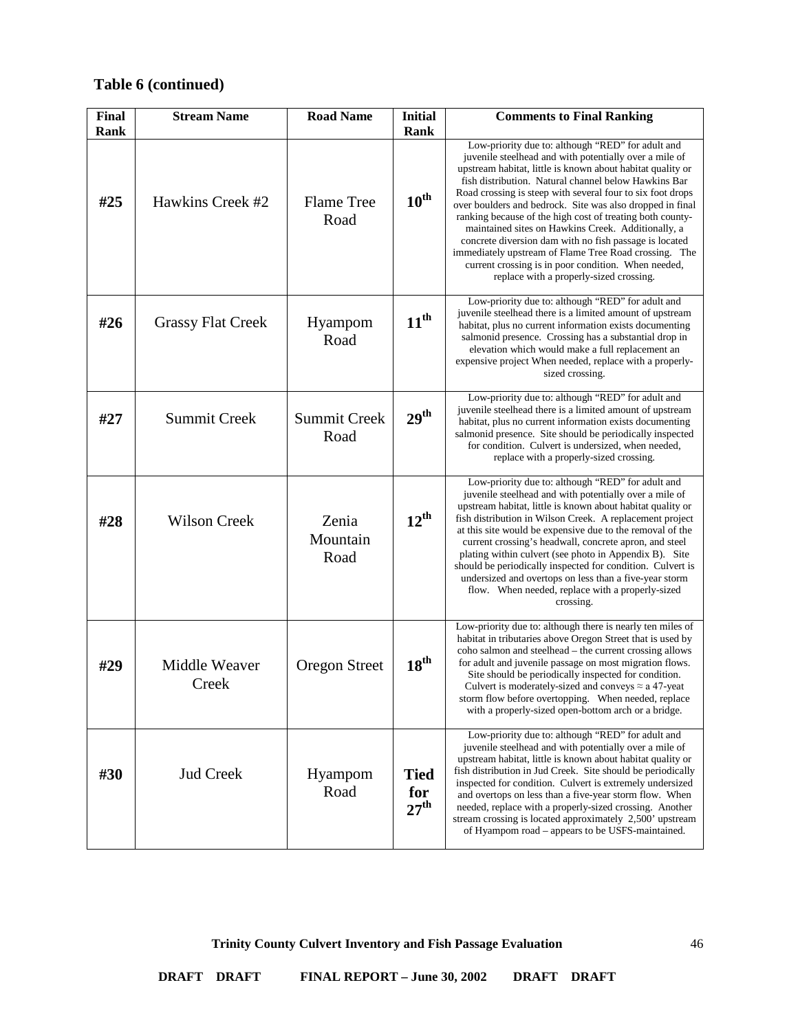| Final<br>Rank | <b>Stream Name</b>       | <b>Road Name</b>            | <b>Initial</b><br>Rank                 | <b>Comments to Final Ranking</b>                                                                                                                                                                                                                                                                                                                                                                                                                                                                                                                                                                                                                                                                     |
|---------------|--------------------------|-----------------------------|----------------------------------------|------------------------------------------------------------------------------------------------------------------------------------------------------------------------------------------------------------------------------------------------------------------------------------------------------------------------------------------------------------------------------------------------------------------------------------------------------------------------------------------------------------------------------------------------------------------------------------------------------------------------------------------------------------------------------------------------------|
| #25           | Hawkins Creek #2         | <b>Flame Tree</b><br>Road   | $10^{\text{th}}$                       | Low-priority due to: although "RED" for adult and<br>juvenile steelhead and with potentially over a mile of<br>upstream habitat, little is known about habitat quality or<br>fish distribution. Natural channel below Hawkins Bar<br>Road crossing is steep with several four to six foot drops<br>over boulders and bedrock. Site was also dropped in final<br>ranking because of the high cost of treating both county-<br>maintained sites on Hawkins Creek. Additionally, a<br>concrete diversion dam with no fish passage is located<br>immediately upstream of Flame Tree Road crossing. The<br>current crossing is in poor condition. When needed,<br>replace with a properly-sized crossing. |
| #26           | <b>Grassy Flat Creek</b> | Hyampom<br>Road             | $11^{\text{th}}$                       | Low-priority due to: although "RED" for adult and<br>juvenile steelhead there is a limited amount of upstream<br>habitat, plus no current information exists documenting<br>salmonid presence. Crossing has a substantial drop in<br>elevation which would make a full replacement an<br>expensive project When needed, replace with a properly-<br>sized crossing.                                                                                                                                                                                                                                                                                                                                  |
| #27           | <b>Summit Creek</b>      | <b>Summit Creek</b><br>Road | 29 <sup>th</sup>                       | Low-priority due to: although "RED" for adult and<br>juvenile steelhead there is a limited amount of upstream<br>habitat, plus no current information exists documenting<br>salmonid presence. Site should be periodically inspected<br>for condition. Culvert is undersized, when needed,<br>replace with a properly-sized crossing.                                                                                                                                                                                                                                                                                                                                                                |
| #28           | <b>Wilson Creek</b>      | Zenia<br>Mountain<br>Road   | $12^{\text{th}}$                       | Low-priority due to: although "RED" for adult and<br>juvenile steelhead and with potentially over a mile of<br>upstream habitat, little is known about habitat quality or<br>fish distribution in Wilson Creek. A replacement project<br>at this site would be expensive due to the removal of the<br>current crossing's headwall, concrete apron, and steel<br>plating within culvert (see photo in Appendix B). Site<br>should be periodically inspected for condition. Culvert is<br>undersized and overtops on less than a five-year storm<br>flow. When needed, replace with a properly-sized<br>crossing.                                                                                      |
| #29           | Middle Weaver<br>Creek   | <b>Oregon Street</b>        | 18 <sup>th</sup>                       | Low-priority due to: although there is nearly ten miles of<br>habitat in tributaries above Oregon Street that is used by<br>coho salmon and steelhead – the current crossing allows<br>for adult and juvenile passage on most migration flows.<br>Site should be periodically inspected for condition.<br>Culvert is moderately-sized and conveys $\approx$ a 47-yeat<br>storm flow before overtopping. When needed, replace<br>with a properly-sized open-bottom arch or a bridge.                                                                                                                                                                                                                  |
| #30           | <b>Jud Creek</b>         | Hyampom<br>Road             | <b>Tied</b><br>for<br>27 <sup>th</sup> | Low-priority due to: although "RED" for adult and<br>juvenile steelhead and with potentially over a mile of<br>upstream habitat, little is known about habitat quality or<br>fish distribution in Jud Creek. Site should be periodically<br>inspected for condition. Culvert is extremely undersized<br>and overtops on less than a five-year storm flow. When<br>needed, replace with a properly-sized crossing. Another<br>stream crossing is located approximately 2,500' upstream<br>of Hyampom road – appears to be USFS-maintained.                                                                                                                                                            |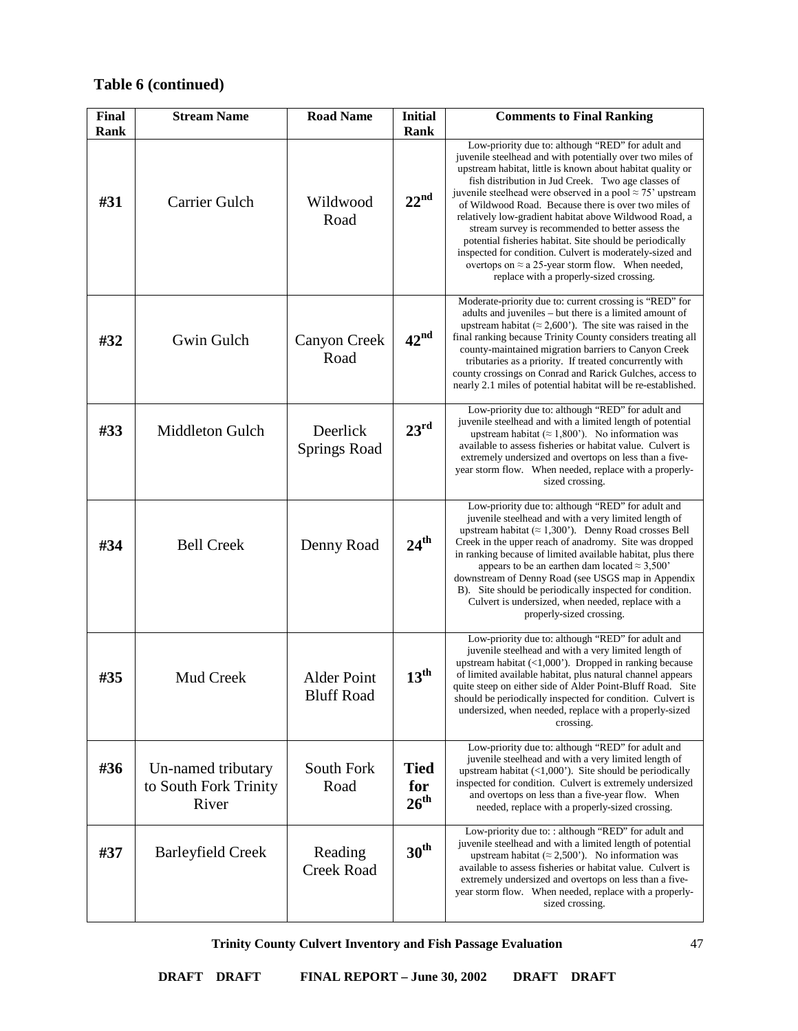| <b>Final</b><br>Rank | <b>Stream Name</b>                                   | <b>Road Name</b>                        | <b>Initial</b><br><b>Rank</b>          | <b>Comments to Final Ranking</b>                                                                                                                                                                                                                                                                                                                                                                                                                                                                                                                                                                                                                                                                              |
|----------------------|------------------------------------------------------|-----------------------------------------|----------------------------------------|---------------------------------------------------------------------------------------------------------------------------------------------------------------------------------------------------------------------------------------------------------------------------------------------------------------------------------------------------------------------------------------------------------------------------------------------------------------------------------------------------------------------------------------------------------------------------------------------------------------------------------------------------------------------------------------------------------------|
| #31                  | Carrier Gulch                                        | Wildwood<br>Road                        | 22 <sup>nd</sup>                       | Low-priority due to: although "RED" for adult and<br>juvenile steelhead and with potentially over two miles of<br>upstream habitat, little is known about habitat quality or<br>fish distribution in Jud Creek. Two age classes of<br>juvenile steelhead were observed in a pool $\approx$ 75' upstream<br>of Wildwood Road. Because there is over two miles of<br>relatively low-gradient habitat above Wildwood Road, a<br>stream survey is recommended to better assess the<br>potential fisheries habitat. Site should be periodically<br>inspected for condition. Culvert is moderately-sized and<br>overtops on $\approx$ a 25-year storm flow. When needed,<br>replace with a properly-sized crossing. |
| #32                  | Gwin Gulch                                           | Canyon Creek<br>Road                    | 42 <sup>nd</sup>                       | Moderate-priority due to: current crossing is "RED" for<br>adults and juveniles - but there is a limited amount of<br>upstream habitat ( $\approx$ 2,600'). The site was raised in the<br>final ranking because Trinity County considers treating all<br>county-maintained migration barriers to Canyon Creek<br>tributaries as a priority. If treated concurrently with<br>county crossings on Conrad and Rarick Gulches, access to<br>nearly 2.1 miles of potential habitat will be re-established.                                                                                                                                                                                                         |
| #33                  | Middleton Gulch                                      | Deerlick<br><b>Springs Road</b>         | 23 <sup>rd</sup>                       | Low-priority due to: although "RED" for adult and<br>juvenile steelhead and with a limited length of potential<br>upstream habitat ( $\approx 1,800$ ). No information was<br>available to assess fisheries or habitat value. Culvert is<br>extremely undersized and overtops on less than a five-<br>year storm flow. When needed, replace with a properly-<br>sized crossing.                                                                                                                                                                                                                                                                                                                               |
| #34                  | <b>Bell Creek</b>                                    | Denny Road                              | $24^{\text{th}}$                       | Low-priority due to: although "RED" for adult and<br>juvenile steelhead and with a very limited length of<br>upstream habitat ( $\approx 1,300$ ). Denny Road crosses Bell<br>Creek in the upper reach of anadromy. Site was dropped<br>in ranking because of limited available habitat, plus there<br>appears to be an earthen dam located $\approx 3,500$ '<br>downstream of Denny Road (see USGS map in Appendix<br>B). Site should be periodically inspected for condition.<br>Culvert is undersized, when needed, replace with a<br>properly-sized crossing.                                                                                                                                             |
| #35                  | Mud Creek                                            | <b>Alder Point</b><br><b>Bluff Road</b> | 13 <sup>th</sup>                       | Low-priority due to: although "RED" for adult and<br>juvenile steelhead and with a very limited length of<br>upstream habitat $(\langle 1,000 \rangle)$ . Dropped in ranking because<br>of limited available habitat, plus natural channel appears<br>quite steep on either side of Alder Point-Bluff Road. Site<br>should be periodically inspected for condition. Culvert is<br>undersized, when needed, replace with a properly-sized<br>crossing.                                                                                                                                                                                                                                                         |
| #36                  | Un-named tributary<br>to South Fork Trinity<br>River | South Fork<br>Road                      | <b>Tied</b><br>for<br>26 <sup>th</sup> | Low-priority due to: although "RED" for adult and<br>juvenile steelhead and with a very limited length of<br>upstream habitat $(\langle 1,000 \rangle)$ . Site should be periodically<br>inspected for condition. Culvert is extremely undersized<br>and overtops on less than a five-year flow. When<br>needed, replace with a properly-sized crossing.                                                                                                                                                                                                                                                                                                                                                      |
| #37                  | <b>Barleyfield Creek</b>                             | Reading<br><b>Creek Road</b>            | 30 <sup>th</sup>                       | Low-priority due to: : although "RED" for adult and<br>juvenile steelhead and with a limited length of potential<br>upstream habitat ( $\approx$ 2,500'). No information was<br>available to assess fisheries or habitat value. Culvert is<br>extremely undersized and overtops on less than a five-<br>year storm flow. When needed, replace with a properly-<br>sized crossing.                                                                                                                                                                                                                                                                                                                             |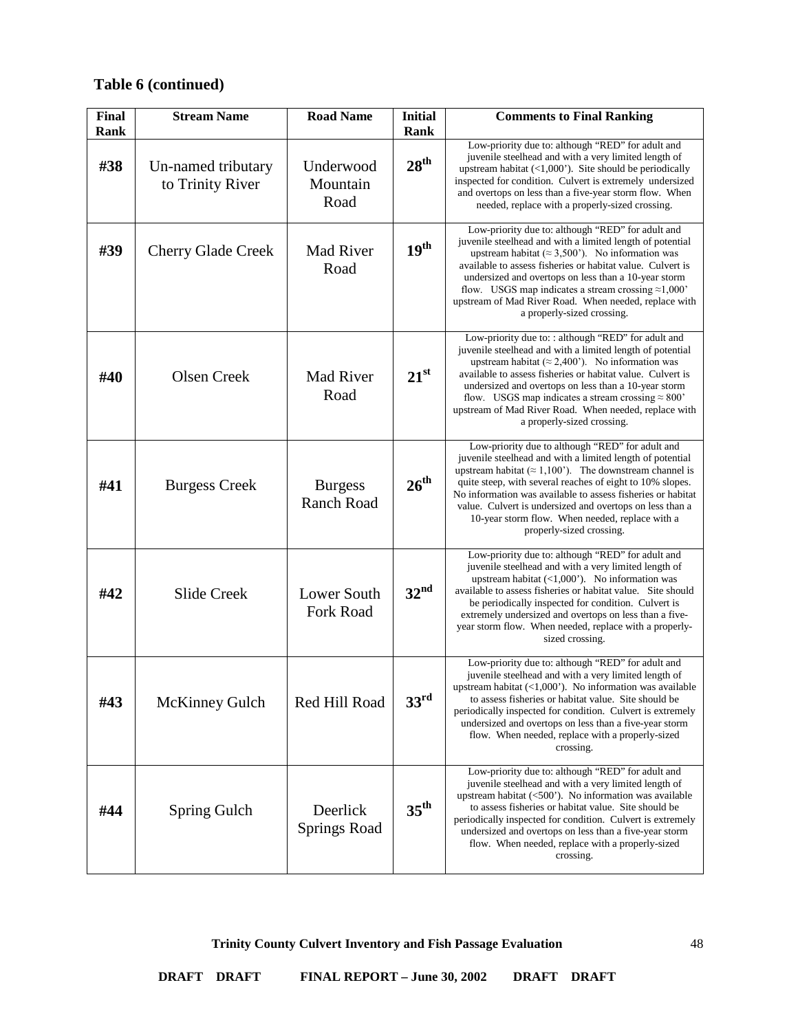| Final<br>Rank | <b>Stream Name</b>                     | <b>Road Name</b>                    | <b>Initial</b><br>Rank | <b>Comments to Final Ranking</b>                                                                                                                                                                                                                                                                                                                                                                                                                        |
|---------------|----------------------------------------|-------------------------------------|------------------------|---------------------------------------------------------------------------------------------------------------------------------------------------------------------------------------------------------------------------------------------------------------------------------------------------------------------------------------------------------------------------------------------------------------------------------------------------------|
| #38           | Un-named tributary<br>to Trinity River | Underwood<br>Mountain<br>Road       | 28 <sup>th</sup>       | Low-priority due to: although "RED" for adult and<br>juvenile steelhead and with a very limited length of<br>upstream habitat $(\langle 1,000 \rangle)$ . Site should be periodically<br>inspected for condition. Culvert is extremely undersized<br>and overtops on less than a five-year storm flow. When<br>needed, replace with a properly-sized crossing.                                                                                          |
| #39           | <b>Cherry Glade Creek</b>              | <b>Mad River</b><br>Road            | 19 <sup>th</sup>       | Low-priority due to: although "RED" for adult and<br>juvenile steelhead and with a limited length of potential<br>upstream habitat ( $\approx$ 3,500'). No information was<br>available to assess fisheries or habitat value. Culvert is<br>undersized and overtops on less than a 10-year storm<br>flow. USGS map indicates a stream crossing $\approx 1,000$<br>upstream of Mad River Road. When needed, replace with<br>a properly-sized crossing.   |
| #40           | <b>Olsen Creek</b>                     | <b>Mad River</b><br>Road            | $21^{st}$              | Low-priority due to: : although "RED" for adult and<br>juvenile steelhead and with a limited length of potential<br>upstream habitat ( $\approx$ 2,400'). No information was<br>available to assess fisheries or habitat value. Culvert is<br>undersized and overtops on less than a 10-year storm<br>flow. USGS map indicates a stream crossing $\approx 800$<br>upstream of Mad River Road. When needed, replace with<br>a properly-sized crossing.   |
| #41           | <b>Burgess Creek</b>                   | <b>Burgess</b><br><b>Ranch Road</b> | 26 <sup>th</sup>       | Low-priority due to although "RED" for adult and<br>juvenile steelhead and with a limited length of potential<br>upstream habitat ( $\approx 1,100$ ). The downstream channel is<br>quite steep, with several reaches of eight to 10% slopes.<br>No information was available to assess fisheries or habitat<br>value. Culvert is undersized and overtops on less than a<br>10-year storm flow. When needed, replace with a<br>properly-sized crossing. |
| #42           | <b>Slide Creek</b>                     | Lower South<br><b>Fork Road</b>     | 32 <sup>nd</sup>       | Low-priority due to: although "RED" for adult and<br>juvenile steelhead and with a very limited length of<br>upstream habitat $(\langle 1,000 \rangle)$ . No information was<br>available to assess fisheries or habitat value. Site should<br>be periodically inspected for condition. Culvert is<br>extremely undersized and overtops on less than a five-<br>year storm flow. When needed, replace with a properly-<br>sized crossing.               |
| #43           | <b>McKinney Gulch</b>                  | Red Hill Road                       | $33^{rd}$              | Low-priority due to: although "RED" for adult and<br>juvenile steelhead and with a very limited length of<br>upstream habitat $(\langle 1,000 \rangle)$ . No information was available<br>to assess fisheries or habitat value. Site should be<br>periodically inspected for condition. Culvert is extremely<br>undersized and overtops on less than a five-year storm<br>flow. When needed, replace with a properly-sized<br>crossing.                 |
| #44           | Spring Gulch                           | Deerlick<br><b>Springs Road</b>     | $35^{\text{th}}$       | Low-priority due to: although "RED" for adult and<br>juvenile steelhead and with a very limited length of<br>upstream habitat $(<500$ <sup>*</sup> ). No information was available<br>to assess fisheries or habitat value. Site should be<br>periodically inspected for condition. Culvert is extremely<br>undersized and overtops on less than a five-year storm<br>flow. When needed, replace with a properly-sized<br>crossing.                     |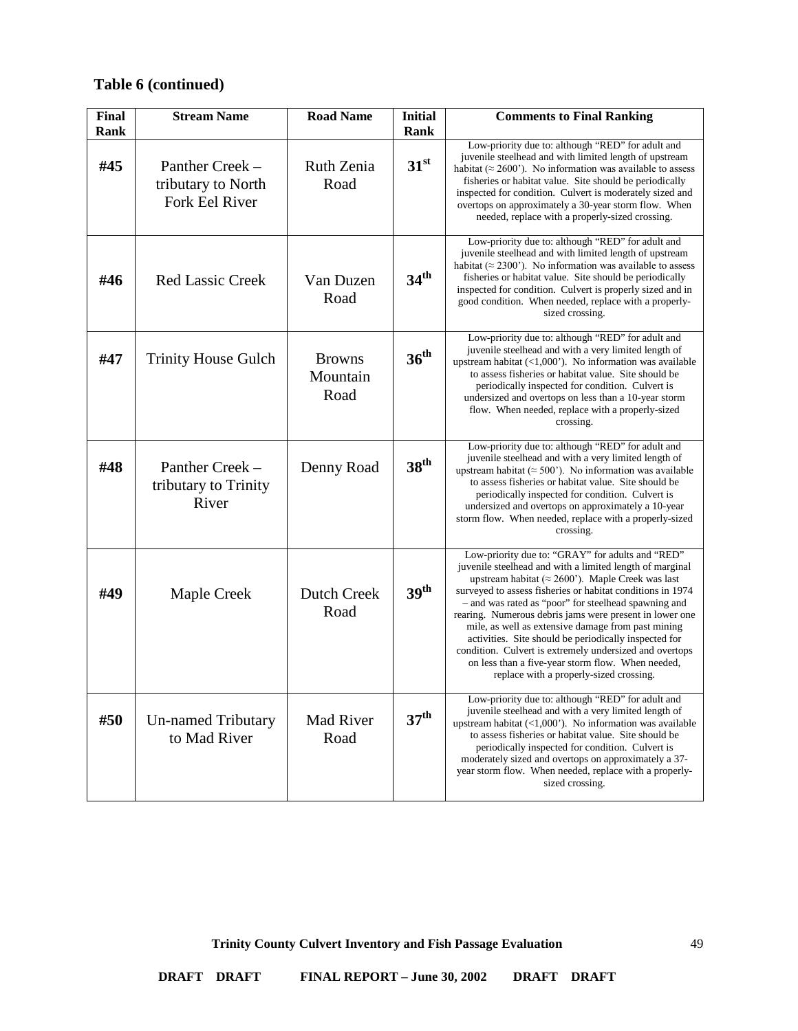| <b>Final</b><br><b>Rank</b> | <b>Stream Name</b>                                             | <b>Road Name</b>                  | <b>Initial</b><br>Rank | <b>Comments to Final Ranking</b>                                                                                                                                                                                                                                                                                                                                                                                                                                                                                                                                                                                                     |
|-----------------------------|----------------------------------------------------------------|-----------------------------------|------------------------|--------------------------------------------------------------------------------------------------------------------------------------------------------------------------------------------------------------------------------------------------------------------------------------------------------------------------------------------------------------------------------------------------------------------------------------------------------------------------------------------------------------------------------------------------------------------------------------------------------------------------------------|
| #45                         | Panther Creek -<br>tributary to North<br><b>Fork Eel River</b> | Ruth Zenia<br>Road                | 31 <sup>st</sup>       | Low-priority due to: although "RED" for adult and<br>juvenile steelhead and with limited length of upstream<br>habitat ( $\approx$ 2600°). No information was available to assess<br>fisheries or habitat value. Site should be periodically<br>inspected for condition. Culvert is moderately sized and<br>overtops on approximately a 30-year storm flow. When<br>needed, replace with a properly-sized crossing.                                                                                                                                                                                                                  |
| #46                         | <b>Red Lassic Creek</b>                                        | Van Duzen<br>Road                 | 34 <sup>th</sup>       | Low-priority due to: although "RED" for adult and<br>juvenile steelhead and with limited length of upstream<br>habitat ( $\approx$ 2300°). No information was available to assess<br>fisheries or habitat value. Site should be periodically<br>inspected for condition. Culvert is properly sized and in<br>good condition. When needed, replace with a properly-<br>sized crossing.                                                                                                                                                                                                                                                |
| #47                         | <b>Trinity House Gulch</b>                                     | <b>Browns</b><br>Mountain<br>Road | 36 <sup>th</sup>       | Low-priority due to: although "RED" for adult and<br>juvenile steelhead and with a very limited length of<br>upstream habitat $(\langle 1,000 \rangle)$ . No information was available<br>to assess fisheries or habitat value. Site should be<br>periodically inspected for condition. Culvert is<br>undersized and overtops on less than a 10-year storm<br>flow. When needed, replace with a properly-sized<br>crossing.                                                                                                                                                                                                          |
| #48                         | Panther Creek -<br>tributary to Trinity<br>River               | Denny Road                        | 38 <sup>th</sup>       | Low-priority due to: although "RED" for adult and<br>juvenile steelhead and with a very limited length of<br>upstream habitat ( $\approx$ 500°). No information was available<br>to assess fisheries or habitat value. Site should be<br>periodically inspected for condition. Culvert is<br>undersized and overtops on approximately a 10-year<br>storm flow. When needed, replace with a properly-sized<br>crossing.                                                                                                                                                                                                               |
| #49                         | Maple Creek                                                    | <b>Dutch Creek</b><br>Road        | 39 <sup>th</sup>       | Low-priority due to: "GRAY" for adults and "RED"<br>juvenile steelhead and with a limited length of marginal<br>upstream habitat ( $\approx$ 2600'). Maple Creek was last<br>surveyed to assess fisheries or habitat conditions in 1974<br>- and was rated as "poor" for steelhead spawning and<br>rearing. Numerous debris jams were present in lower one<br>mile, as well as extensive damage from past mining<br>activities. Site should be periodically inspected for<br>condition. Culvert is extremely undersized and overtops<br>on less than a five-year storm flow. When needed,<br>replace with a properly-sized crossing. |
| #50                         | <b>Un-named Tributary</b><br>to Mad River                      | Mad River<br>Road                 | 37 <sup>th</sup>       | Low-priority due to: although "RED" for adult and<br>juvenile steelhead and with a very limited length of<br>upstream habitat $(\langle 1,000 \rangle)$ . No information was available<br>to assess fisheries or habitat value. Site should be<br>periodically inspected for condition. Culvert is<br>moderately sized and overtops on approximately a 37-<br>year storm flow. When needed, replace with a properly-<br>sized crossing.                                                                                                                                                                                              |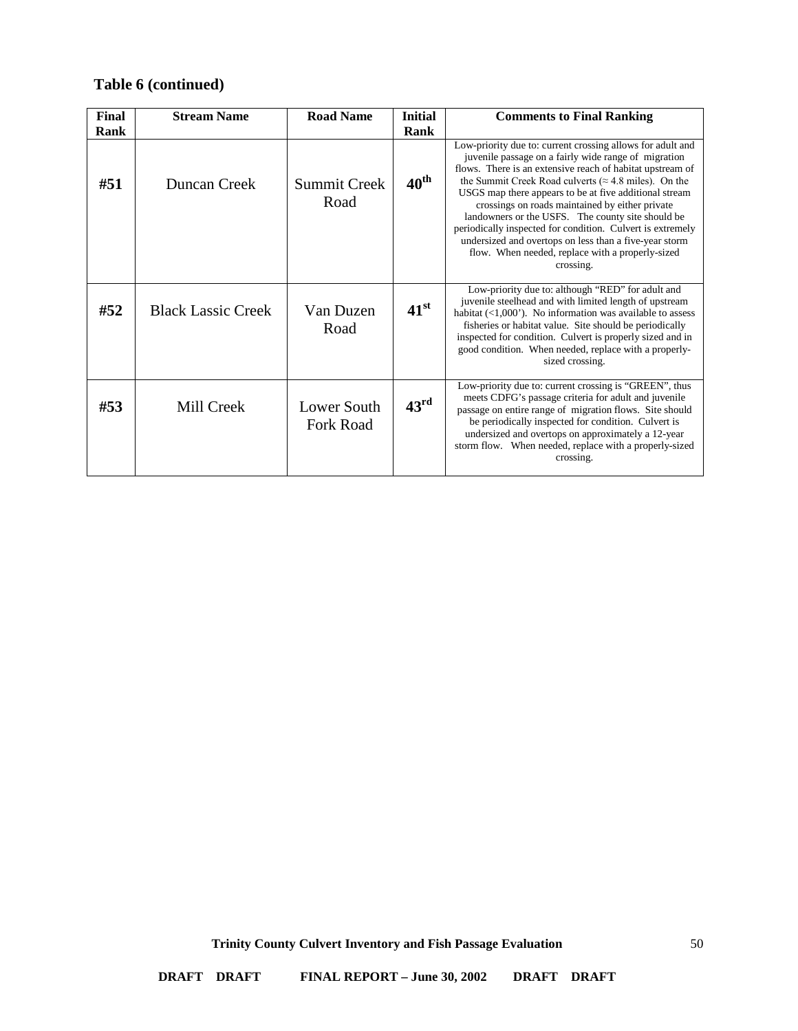| Final | <b>Stream Name</b>        | <b>Road Name</b>                | <b>Initial</b>   | <b>Comments to Final Ranking</b>                                                                                                                                                                                                                                                                                                                                                                                                                                                                                                                                                                            |
|-------|---------------------------|---------------------------------|------------------|-------------------------------------------------------------------------------------------------------------------------------------------------------------------------------------------------------------------------------------------------------------------------------------------------------------------------------------------------------------------------------------------------------------------------------------------------------------------------------------------------------------------------------------------------------------------------------------------------------------|
| Rank  |                           |                                 | Rank             |                                                                                                                                                                                                                                                                                                                                                                                                                                                                                                                                                                                                             |
| #51   | Duncan Creek              | Summit Creek<br>Road            | $40^{\text{th}}$ | Low-priority due to: current crossing allows for adult and<br>juvenile passage on a fairly wide range of migration<br>flows. There is an extensive reach of habitat upstream of<br>the Summit Creek Road culverts ( $\approx$ 4.8 miles). On the<br>USGS map there appears to be at five additional stream<br>crossings on roads maintained by either private<br>landowners or the USFS. The county site should be<br>periodically inspected for condition. Culvert is extremely<br>undersized and overtops on less than a five-year storm<br>flow. When needed, replace with a properly-sized<br>crossing. |
| #52   | <b>Black Lassic Creek</b> | Van Duzen<br>Road               | $41^{\rm st}$    | Low-priority due to: although "RED" for adult and<br>juvenile steelhead and with limited length of upstream<br>habitat $(\langle 1,000 \rangle)$ . No information was available to assess<br>fisheries or habitat value. Site should be periodically<br>inspected for condition. Culvert is properly sized and in<br>good condition. When needed, replace with a properly-<br>sized crossing.                                                                                                                                                                                                               |
| #53   | Mill Creek                | Lower South<br><b>Fork Road</b> | 43 <sup>rd</sup> | Low-priority due to: current crossing is "GREEN", thus<br>meets CDFG's passage criteria for adult and juvenile<br>passage on entire range of migration flows. Site should<br>be periodically inspected for condition. Culvert is<br>undersized and overtops on approximately a 12-year<br>storm flow. When needed, replace with a properly-sized<br>crossing.                                                                                                                                                                                                                                               |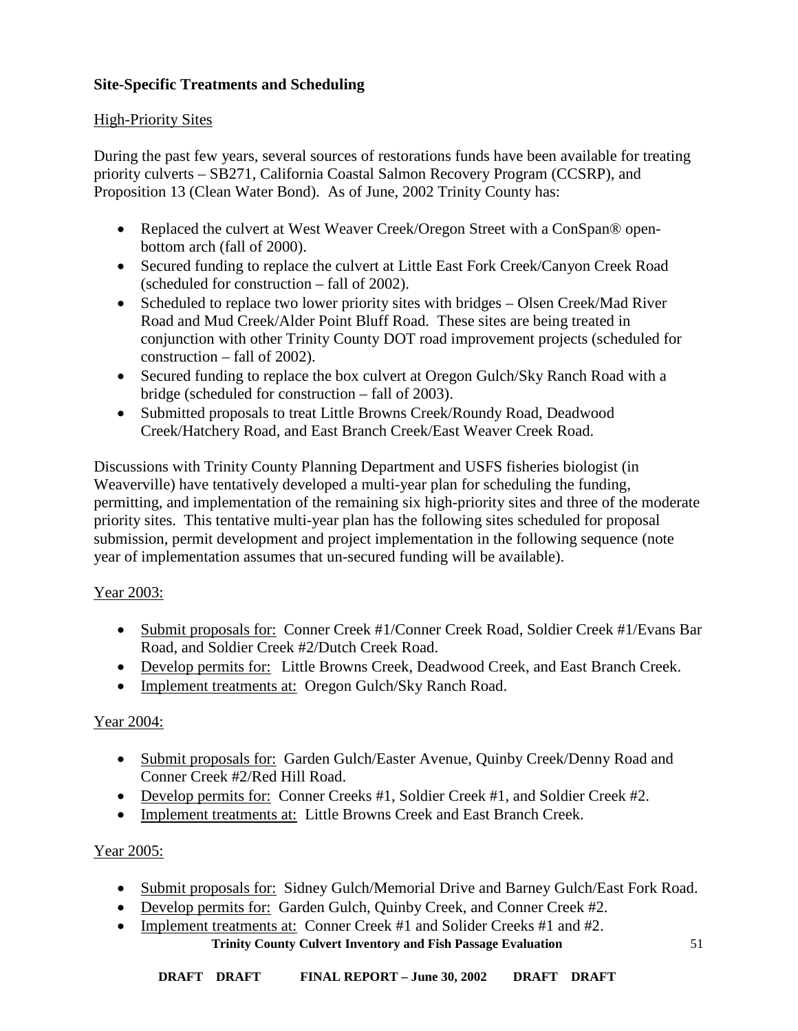## <span id="page-50-0"></span>**Site-Specific Treatments and Scheduling**

## <span id="page-50-1"></span>High-Priority Sites

During the past few years, several sources of restorations funds have been available for treating priority culverts – SB271, California Coastal Salmon Recovery Program (CCSRP), and Proposition 13 (Clean Water Bond). As of June, 2002 Trinity County has:

- Replaced the culvert at West Weaver Creek/Oregon Street with a ConSpan® openbottom arch (fall of 2000).
- Secured funding to replace the culvert at Little East Fork Creek/Canyon Creek Road (scheduled for construction – fall of 2002).
- Scheduled to replace two lower priority sites with bridges Olsen Creek/Mad River Road and Mud Creek/Alder Point Bluff Road. These sites are being treated in conjunction with other Trinity County DOT road improvement projects (scheduled for construction – fall of 2002).
- Secured funding to replace the box culvert at Oregon Gulch/Sky Ranch Road with a bridge (scheduled for construction – fall of 2003).
- Submitted proposals to treat Little Browns Creek/Roundy Road, Deadwood Creek/Hatchery Road, and East Branch Creek/East Weaver Creek Road.

Discussions with Trinity County Planning Department and USFS fisheries biologist (in Weaverville) have tentatively developed a multi-year plan for scheduling the funding, permitting, and implementation of the remaining six high-priority sites and three of the moderate priority sites. This tentative multi-year plan has the following sites scheduled for proposal submission, permit development and project implementation in the following sequence (note year of implementation assumes that un-secured funding will be available).

# Year 2003:

- Submit proposals for: Conner Creek #1/Conner Creek Road, Soldier Creek #1/Evans Bar Road, and Soldier Creek #2/Dutch Creek Road.
- Develop permits for: Little Browns Creek, Deadwood Creek, and East Branch Creek.
- Implement treatments at: Oregon Gulch/Sky Ranch Road.

## Year 2004:

- Submit proposals for: Garden Gulch/Easter Avenue, Quinby Creek/Denny Road and Conner Creek #2/Red Hill Road.
- Develop permits for: Conner Creeks #1, Soldier Creek #1, and Soldier Creek #2.
- Implement treatments at: Little Browns Creek and East Branch Creek.

## Year 2005:

- Submit proposals for: Sidney Gulch/Memorial Drive and Barney Gulch/East Fork Road.
- Develop permits for: Garden Gulch, Quinby Creek, and Conner Creek #2.
- **Trinity County Culvert Inventory and Fish Passage Evaluation** • Implement treatments at: Conner Creek #1 and Solider Creeks #1 and #2.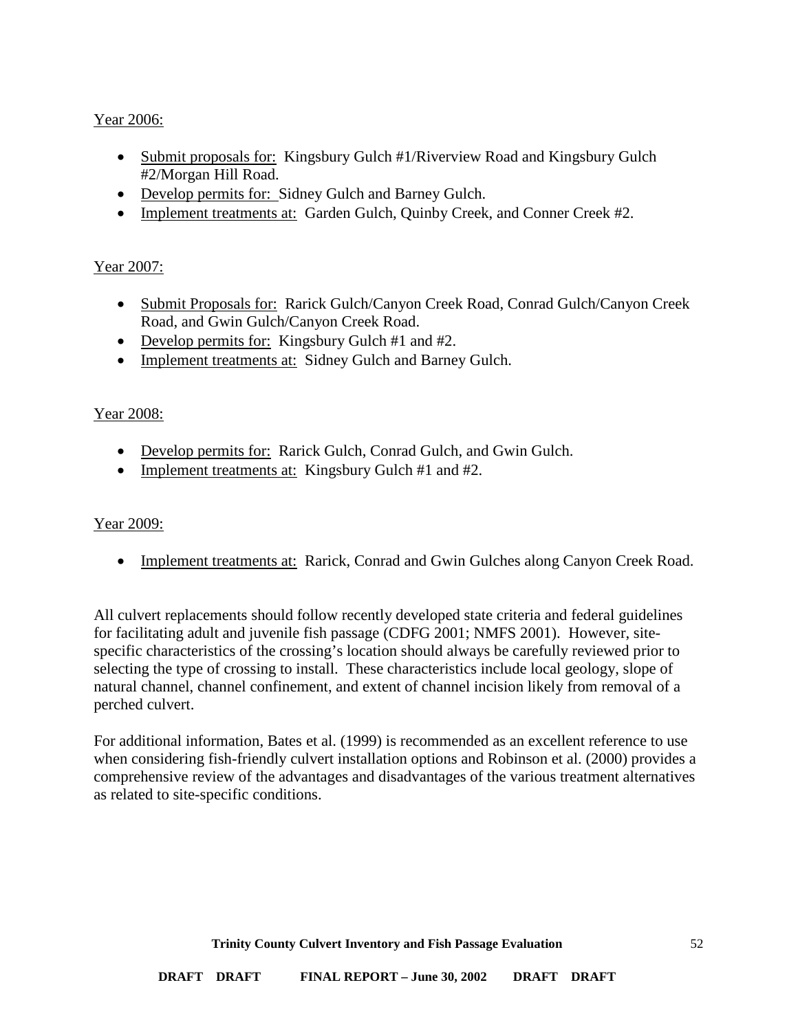## Year 2006:

- Submit proposals for: Kingsbury Gulch #1/Riverview Road and Kingsbury Gulch #2/Morgan Hill Road.
- Develop permits for: Sidney Gulch and Barney Gulch.
- Implement treatments at: Garden Gulch, Quinby Creek, and Conner Creek #2.

## Year 2007:

- Submit Proposals for: Rarick Gulch/Canyon Creek Road, Conrad Gulch/Canyon Creek Road, and Gwin Gulch/Canyon Creek Road.
- Develop permits for: Kingsbury Gulch #1 and #2.
- Implement treatments at: Sidney Gulch and Barney Gulch.

## Year 2008:

- Develop permits for: Rarick Gulch, Conrad Gulch, and Gwin Gulch.
- Implement treatments at: Kingsbury Gulch #1 and #2.

### Year 2009:

• Implement treatments at: Rarick, Conrad and Gwin Gulches along Canyon Creek Road.

All culvert replacements should follow recently developed state criteria and federal guidelines for facilitating adult and juvenile fish passage (CDFG 2001; NMFS 2001). However, sitespecific characteristics of the crossing's location should always be carefully reviewed prior to selecting the type of crossing to install. These characteristics include local geology, slope of natural channel, channel confinement, and extent of channel incision likely from removal of a perched culvert.

For additional information, Bates et al. (1999) is recommended as an excellent reference to use when considering fish-friendly culvert installation options and Robinson et al. (2000) provides a comprehensive review of the advantages and disadvantages of the various treatment alternatives as related to site-specific conditions.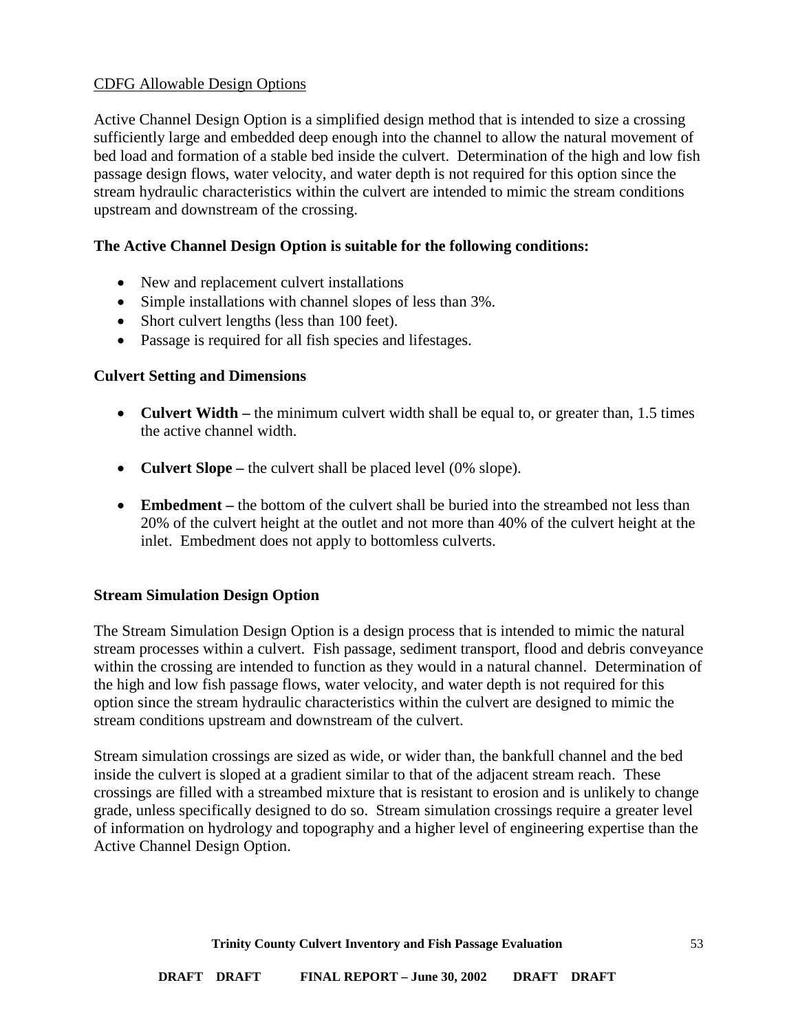### <span id="page-52-0"></span>CDFG Allowable Design Options

Active Channel Design Option is a simplified design method that is intended to size a crossing sufficiently large and embedded deep enough into the channel to allow the natural movement of bed load and formation of a stable bed inside the culvert. Determination of the high and low fish passage design flows, water velocity, and water depth is not required for this option since the stream hydraulic characteristics within the culvert are intended to mimic the stream conditions upstream and downstream of the crossing.

### **The Active Channel Design Option is suitable for the following conditions:**

- New and replacement culvert installations
- Simple installations with channel slopes of less than  $3\%$ .
- Short culvert lengths (less than 100 feet).
- Passage is required for all fish species and lifestages.

### **Culvert Setting and Dimensions**

- **Culvert Width** the minimum culvert width shall be equal to, or greater than, 1.5 times the active channel width.
- **Culvert Slope –** the culvert shall be placed level (0% slope).
- **Embedment** the bottom of the culvert shall be buried into the streambed not less than 20% of the culvert height at the outlet and not more than 40% of the culvert height at the inlet. Embedment does not apply to bottomless culverts.

### **Stream Simulation Design Option**

The Stream Simulation Design Option is a design process that is intended to mimic the natural stream processes within a culvert. Fish passage, sediment transport, flood and debris conveyance within the crossing are intended to function as they would in a natural channel. Determination of the high and low fish passage flows, water velocity, and water depth is not required for this option since the stream hydraulic characteristics within the culvert are designed to mimic the stream conditions upstream and downstream of the culvert.

Stream simulation crossings are sized as wide, or wider than, the bankfull channel and the bed inside the culvert is sloped at a gradient similar to that of the adjacent stream reach. These crossings are filled with a streambed mixture that is resistant to erosion and is unlikely to change grade, unless specifically designed to do so. Stream simulation crossings require a greater level of information on hydrology and topography and a higher level of engineering expertise than the Active Channel Design Option.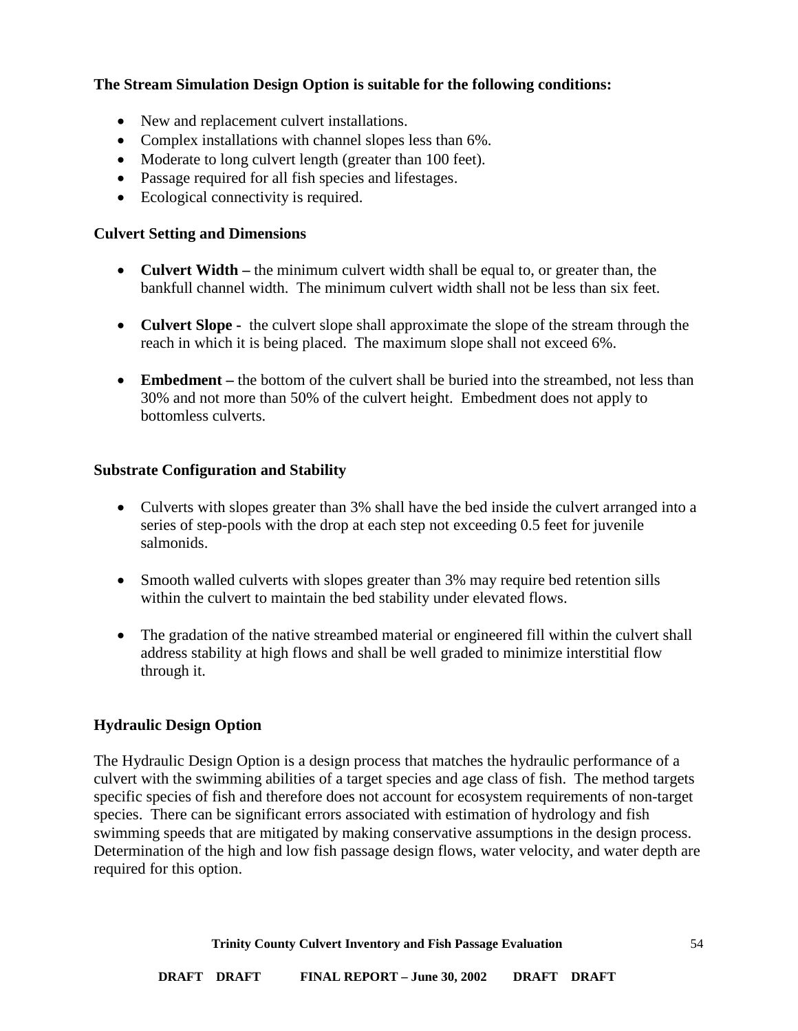## **The Stream Simulation Design Option is suitable for the following conditions:**

- New and replacement culvert installations.
- Complex installations with channel slopes less than 6%.
- Moderate to long culvert length (greater than 100 feet).
- Passage required for all fish species and lifestages.
- Ecological connectivity is required.

### **Culvert Setting and Dimensions**

- **Culvert Width** the minimum culvert width shall be equal to, or greater than, the bankfull channel width. The minimum culvert width shall not be less than six feet.
- **Culvert Slope -** the culvert slope shall approximate the slope of the stream through the reach in which it is being placed. The maximum slope shall not exceed 6%.
- **Embedment** the bottom of the culvert shall be buried into the streambed, not less than 30% and not more than 50% of the culvert height. Embedment does not apply to bottomless culverts.

### **Substrate Configuration and Stability**

- Culverts with slopes greater than 3% shall have the bed inside the culvert arranged into a series of step-pools with the drop at each step not exceeding 0.5 feet for juvenile salmonids.
- Smooth walled culverts with slopes greater than 3% may require bed retention sills within the culvert to maintain the bed stability under elevated flows.
- The gradation of the native streambed material or engineered fill within the culvert shall address stability at high flows and shall be well graded to minimize interstitial flow through it.

### **Hydraulic Design Option**

The Hydraulic Design Option is a design process that matches the hydraulic performance of a culvert with the swimming abilities of a target species and age class of fish. The method targets specific species of fish and therefore does not account for ecosystem requirements of non-target species. There can be significant errors associated with estimation of hydrology and fish swimming speeds that are mitigated by making conservative assumptions in the design process. Determination of the high and low fish passage design flows, water velocity, and water depth are required for this option.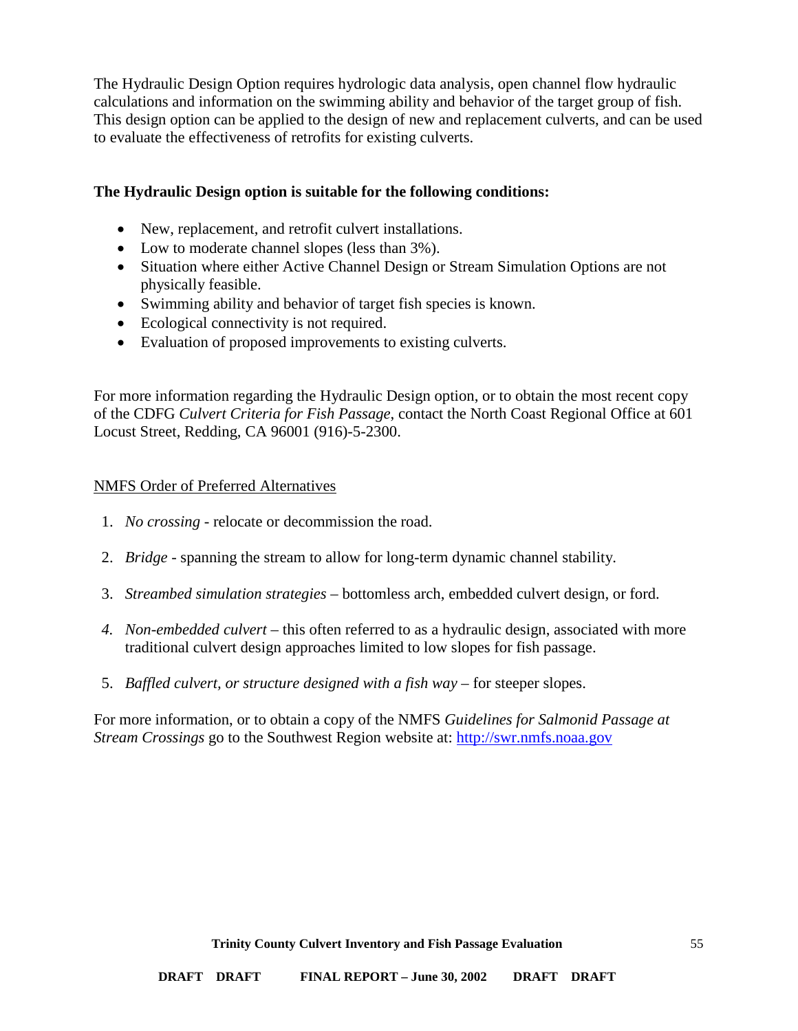The Hydraulic Design Option requires hydrologic data analysis, open channel flow hydraulic calculations and information on the swimming ability and behavior of the target group of fish. This design option can be applied to the design of new and replacement culverts, and can be used to evaluate the effectiveness of retrofits for existing culverts.

### **The Hydraulic Design option is suitable for the following conditions:**

- New, replacement, and retrofit culvert installations.
- Low to moderate channel slopes (less than  $3\%$ ).
- Situation where either Active Channel Design or Stream Simulation Options are not physically feasible.
- Swimming ability and behavior of target fish species is known.
- Ecological connectivity is not required.
- Evaluation of proposed improvements to existing culverts.

For more information regarding the Hydraulic Design option, or to obtain the most recent copy of the CDFG *Culvert Criteria for Fish Passage*, contact the North Coast Regional Office at 601 Locust Street, Redding, CA 96001 (916)-5-2300.

### <span id="page-54-0"></span>NMFS Order of Preferred Alternatives

- 1. *No crossing* relocate or decommission the road.
- 2. *Bridge* spanning the stream to allow for long-term dynamic channel stability.
- 3. *Streambed simulation strategies* bottomless arch, embedded culvert design, or ford.
- *4. Non-embedded culvert* this often referred to as a hydraulic design, associated with more traditional culvert design approaches limited to low slopes for fish passage.
- 5. *Baffled culvert, or structure designed with a fish way* for steeper slopes.

For more information, or to obtain a copy of the NMFS *Guidelines for Salmonid Passage at Stream Crossings* go to the Southwest Region website at: [http://swr.nmfs.noaa.gov](http://swr.nmfs.noaa.gov/)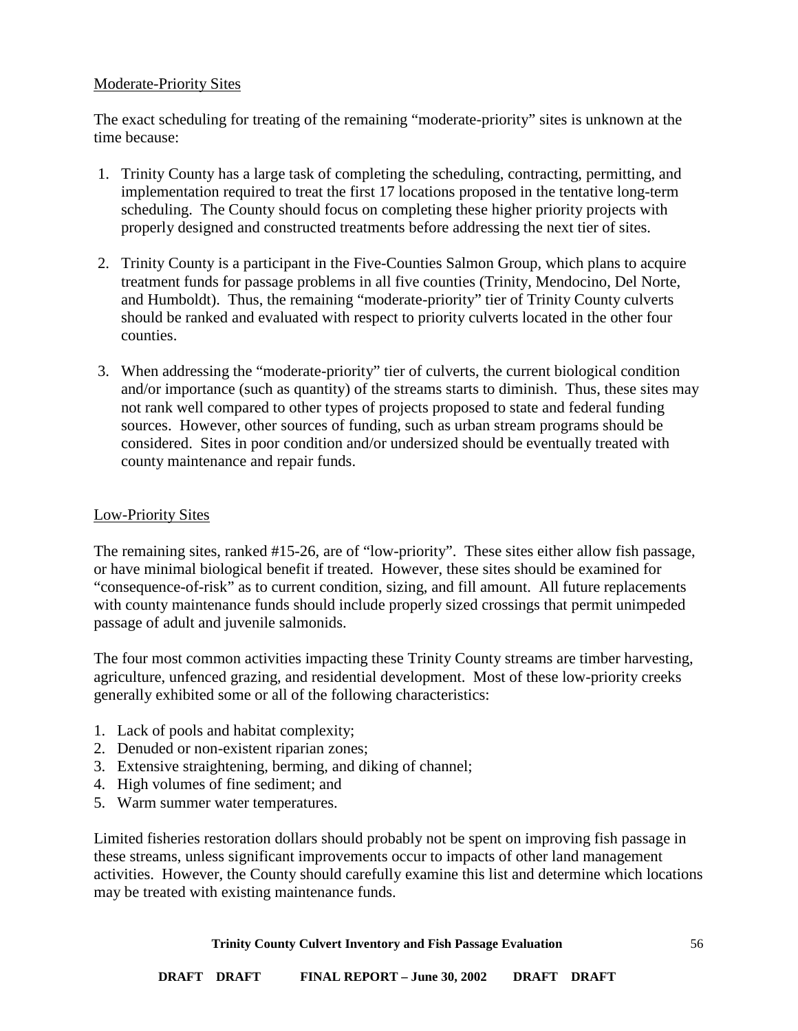### <span id="page-55-0"></span>Moderate-Priority Sites

The exact scheduling for treating of the remaining "moderate-priority" sites is unknown at the time because:

- 1. Trinity County has a large task of completing the scheduling, contracting, permitting, and implementation required to treat the first 17 locations proposed in the tentative long-term scheduling. The County should focus on completing these higher priority projects with properly designed and constructed treatments before addressing the next tier of sites.
- 2. Trinity County is a participant in the Five-Counties Salmon Group, which plans to acquire treatment funds for passage problems in all five counties (Trinity, Mendocino, Del Norte, and Humboldt). Thus, the remaining "moderate-priority" tier of Trinity County culverts should be ranked and evaluated with respect to priority culverts located in the other four counties.
- 3. When addressing the "moderate-priority" tier of culverts, the current biological condition and/or importance (such as quantity) of the streams starts to diminish. Thus, these sites may not rank well compared to other types of projects proposed to state and federal funding sources. However, other sources of funding, such as urban stream programs should be considered. Sites in poor condition and/or undersized should be eventually treated with county maintenance and repair funds.

### <span id="page-55-1"></span>Low-Priority Sites

The remaining sites, ranked #15-26, are of "low-priority". These sites either allow fish passage, or have minimal biological benefit if treated. However, these sites should be examined for "consequence-of-risk" as to current condition, sizing, and fill amount. All future replacements with county maintenance funds should include properly sized crossings that permit unimpeded passage of adult and juvenile salmonids.

The four most common activities impacting these Trinity County streams are timber harvesting, agriculture, unfenced grazing, and residential development. Most of these low-priority creeks generally exhibited some or all of the following characteristics:

- 1. Lack of pools and habitat complexity;
- 2. Denuded or non-existent riparian zones;
- 3. Extensive straightening, berming, and diking of channel;
- 4. High volumes of fine sediment; and
- 5. Warm summer water temperatures.

Limited fisheries restoration dollars should probably not be spent on improving fish passage in these streams, unless significant improvements occur to impacts of other land management activities. However, the County should carefully examine this list and determine which locations may be treated with existing maintenance funds.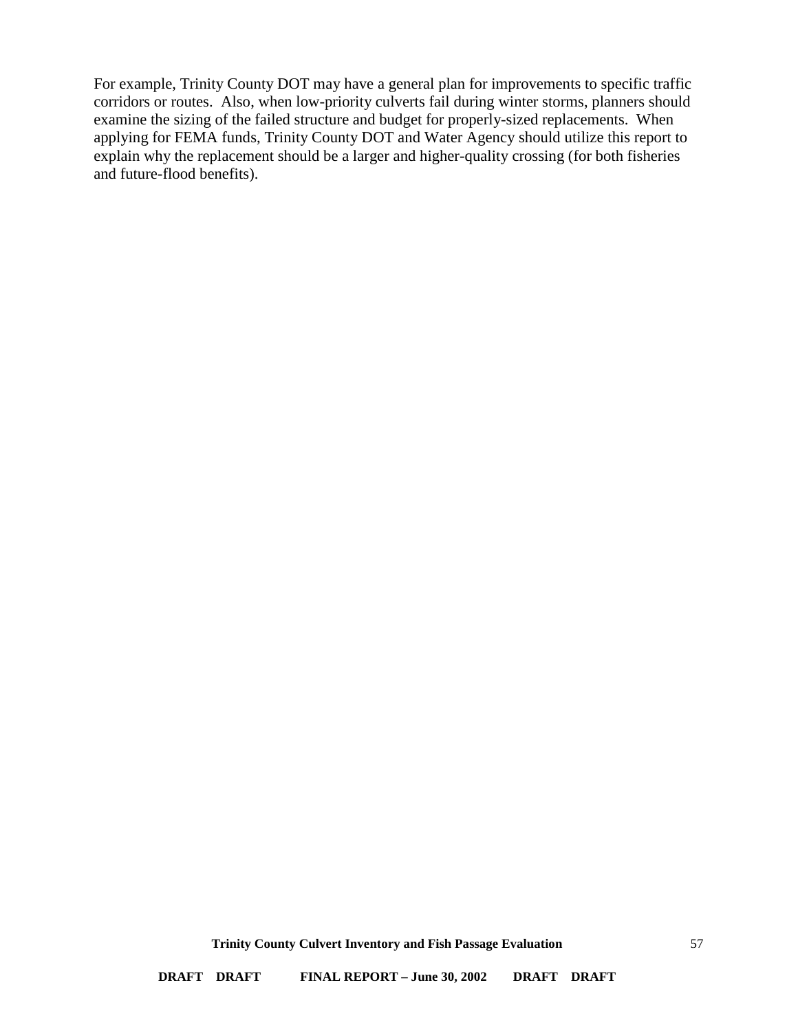For example, Trinity County DOT may have a general plan for improvements to specific traffic corridors or routes. Also, when low-priority culverts fail during winter storms, planners should examine the sizing of the failed structure and budget for properly-sized replacements. When applying for FEMA funds, Trinity County DOT and Water Agency should utilize this report to explain why the replacement should be a larger and higher-quality crossing (for both fisheries and future-flood benefits).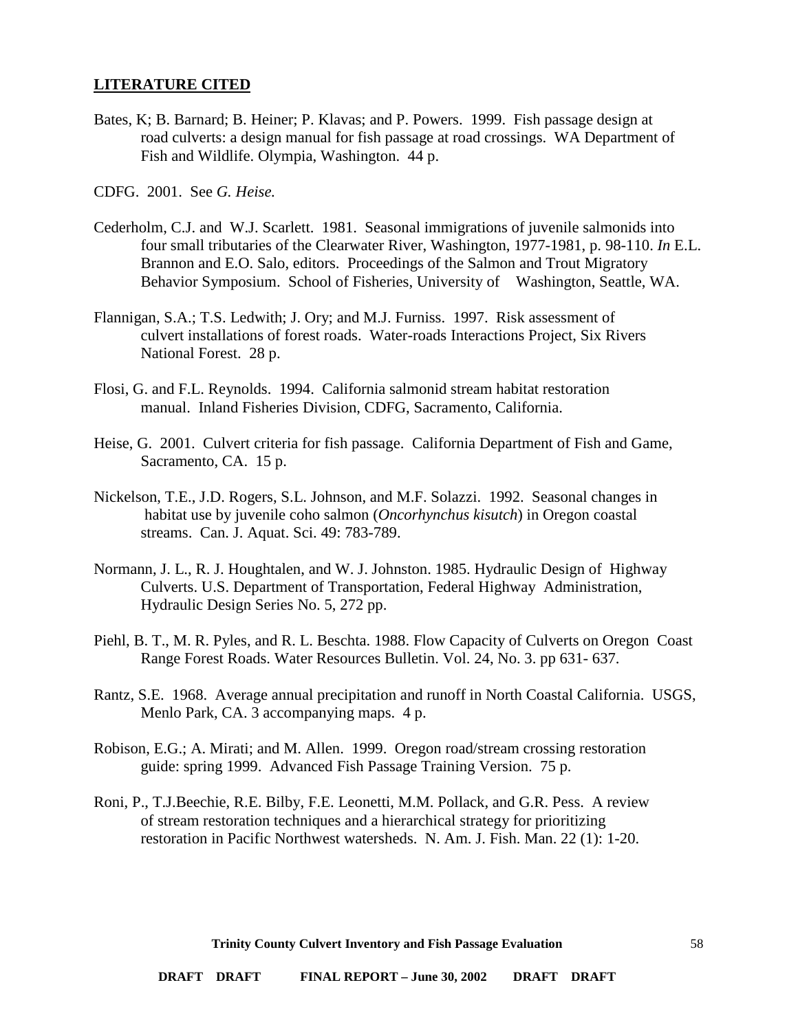#### <span id="page-57-0"></span>**LITERATURE CITED**

Bates, K; B. Barnard; B. Heiner; P. Klavas; and P. Powers. 1999. Fish passage design at road culverts: a design manual for fish passage at road crossings. WA Department of Fish and Wildlife. Olympia, Washington. 44 p.

CDFG. 2001. See *G. Heise.*

- Cederholm, C.J. and W.J. Scarlett. 1981. Seasonal immigrations of juvenile salmonids into four small tributaries of the Clearwater River, Washington, 1977-1981, p. 98-110. *In* E.L. Brannon and E.O. Salo, editors. Proceedings of the Salmon and Trout Migratory Behavior Symposium. School of Fisheries, University of Washington, Seattle, WA.
- Flannigan, S.A.; T.S. Ledwith; J. Ory; and M.J. Furniss. 1997. Risk assessment of culvert installations of forest roads. Water-roads Interactions Project, Six Rivers National Forest. 28 p.
- Flosi, G. and F.L. Reynolds. 1994. California salmonid stream habitat restoration manual. Inland Fisheries Division, CDFG, Sacramento, California.
- Heise, G. 2001. Culvert criteria for fish passage. California Department of Fish and Game, Sacramento, CA. 15 p.
- Nickelson, T.E., J.D. Rogers, S.L. Johnson, and M.F. Solazzi. 1992. Seasonal changes in habitat use by juvenile coho salmon (*Oncorhynchus kisutch*) in Oregon coastal streams. Can. J. Aquat. Sci. 49: 783-789.
- Normann, J. L., R. J. Houghtalen, and W. J. Johnston. 1985. Hydraulic Design of Highway Culverts. U.S. Department of Transportation, Federal Highway Administration, Hydraulic Design Series No. 5, 272 pp.
- Piehl, B. T., M. R. Pyles, and R. L. Beschta. 1988. Flow Capacity of Culverts on Oregon Coast Range Forest Roads. Water Resources Bulletin. Vol. 24, No. 3. pp 631- 637.
- Rantz, S.E. 1968. Average annual precipitation and runoff in North Coastal California. USGS, Menlo Park, CA. 3 accompanying maps. 4 p.
- Robison, E.G.; A. Mirati; and M. Allen. 1999. Oregon road/stream crossing restoration guide: spring 1999. Advanced Fish Passage Training Version. 75 p.
- Roni, P., T.J.Beechie, R.E. Bilby, F.E. Leonetti, M.M. Pollack, and G.R. Pess. A review of stream restoration techniques and a hierarchical strategy for prioritizing restoration in Pacific Northwest watersheds. N. Am. J. Fish. Man. 22 (1): 1-20.